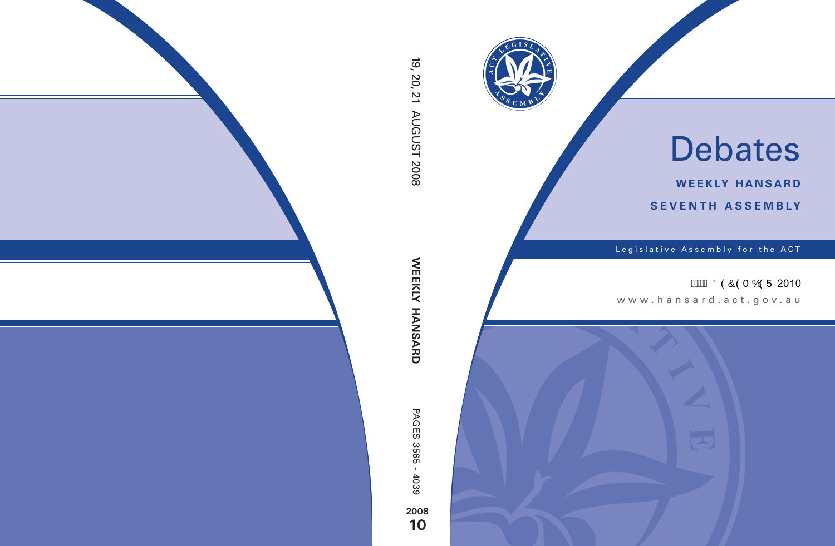

# Debates

**weekly hansard seventh asseMBly**

Legislative Assembly for the ACT

**AMA ÖÒÔÒT ÓÒÜ 2010** 

www.hansard.act.gov.au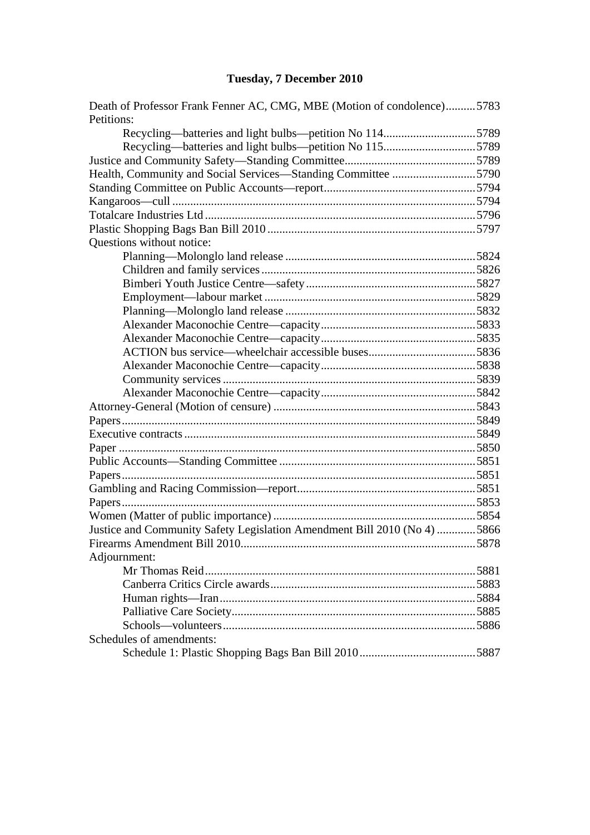# **[Tuesday, 7 December 2010](#page-2-0)**

| Death of Professor Frank Fenner AC, CMG, MBE (Motion of condolence)5783<br>Petitions: |  |
|---------------------------------------------------------------------------------------|--|
| Recycling-batteries and light bulbs-petition No 1145789                               |  |
| Recycling—batteries and light bulbs—petition No 1155789                               |  |
|                                                                                       |  |
| Health, Community and Social Services—Standing Committee 5790                         |  |
|                                                                                       |  |
|                                                                                       |  |
|                                                                                       |  |
|                                                                                       |  |
| Questions without notice:                                                             |  |
|                                                                                       |  |
|                                                                                       |  |
|                                                                                       |  |
|                                                                                       |  |
|                                                                                       |  |
|                                                                                       |  |
|                                                                                       |  |
|                                                                                       |  |
|                                                                                       |  |
|                                                                                       |  |
|                                                                                       |  |
|                                                                                       |  |
|                                                                                       |  |
|                                                                                       |  |
|                                                                                       |  |
|                                                                                       |  |
|                                                                                       |  |
|                                                                                       |  |
|                                                                                       |  |
|                                                                                       |  |
| Justice and Community Safety Legislation Amendment Bill 2010 (No 4) 5866              |  |
|                                                                                       |  |
| Adjournment:                                                                          |  |
|                                                                                       |  |
|                                                                                       |  |
|                                                                                       |  |
|                                                                                       |  |
|                                                                                       |  |
| Schedules of amendments:                                                              |  |
|                                                                                       |  |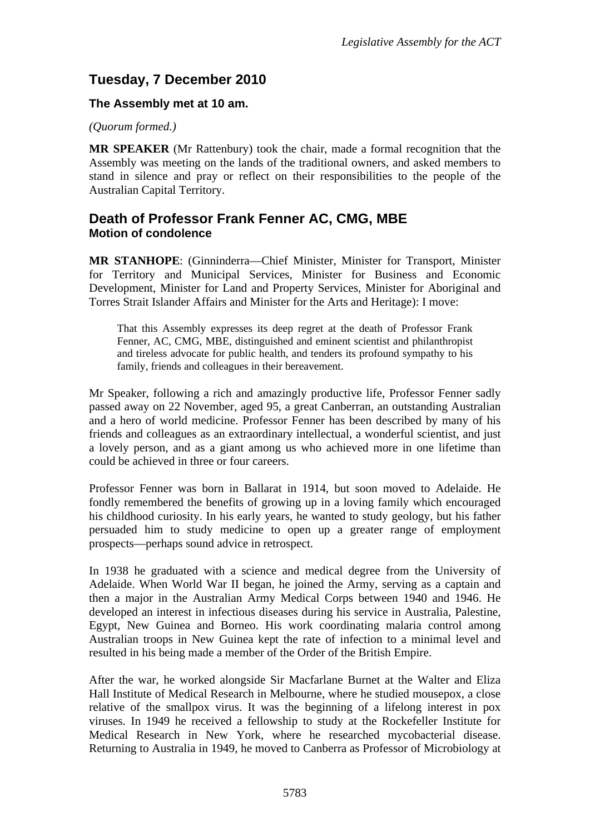# <span id="page-2-0"></span>**Tuesday, 7 December 2010**

## **The Assembly met at 10 am.**

#### *(Quorum formed.)*

**MR SPEAKER** (Mr Rattenbury) took the chair, made a formal recognition that the Assembly was meeting on the lands of the traditional owners, and asked members to stand in silence and pray or reflect on their responsibilities to the people of the Australian Capital Territory.

## <span id="page-2-1"></span>**Death of Professor Frank Fenner AC, CMG, MBE Motion of condolence**

**MR STANHOPE**: (Ginninderra—Chief Minister, Minister for Transport, Minister for Territory and Municipal Services, Minister for Business and Economic Development, Minister for Land and Property Services, Minister for Aboriginal and Torres Strait Islander Affairs and Minister for the Arts and Heritage): I move:

That this Assembly expresses its deep regret at the death of Professor Frank Fenner, AC, CMG, MBE, distinguished and eminent scientist and philanthropist and tireless advocate for public health, and tenders its profound sympathy to his family, friends and colleagues in their bereavement.

Mr Speaker, following a rich and amazingly productive life, Professor Fenner sadly passed away on 22 November, aged 95, a great Canberran, an outstanding Australian and a hero of world medicine. Professor Fenner has been described by many of his friends and colleagues as an extraordinary intellectual, a wonderful scientist, and just a lovely person, and as a giant among us who achieved more in one lifetime than could be achieved in three or four careers.

Professor Fenner was born in Ballarat in 1914, but soon moved to Adelaide. He fondly remembered the benefits of growing up in a loving family which encouraged his childhood curiosity. In his early years, he wanted to study geology, but his father persuaded him to study medicine to open up a greater range of employment prospects—perhaps sound advice in retrospect.

In 1938 he graduated with a science and medical degree from the University of Adelaide. When World War II began, he joined the Army, serving as a captain and then a major in the Australian Army Medical Corps between 1940 and 1946. He developed an interest in infectious diseases during his service in Australia, Palestine, Egypt, New Guinea and Borneo. His work coordinating malaria control among Australian troops in New Guinea kept the rate of infection to a minimal level and resulted in his being made a member of the Order of the British Empire.

After the war, he worked alongside Sir Macfarlane Burnet at the Walter and Eliza Hall Institute of Medical Research in Melbourne, where he studied mousepox, a close relative of the smallpox virus. It was the beginning of a lifelong interest in pox viruses. In 1949 he received a fellowship to study at the Rockefeller Institute for Medical Research in New York, where he researched mycobacterial disease. Returning to Australia in 1949, he moved to Canberra as Professor of Microbiology at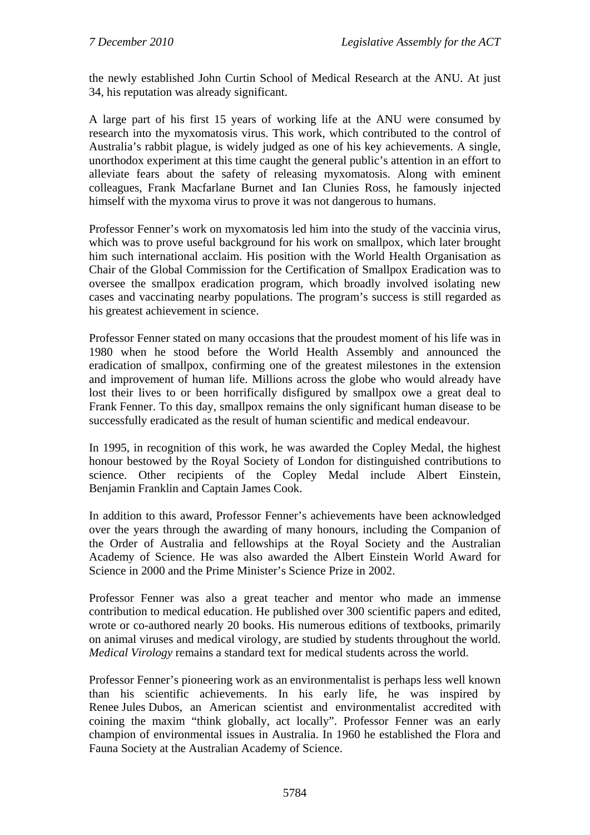the newly established John Curtin School of Medical Research at the ANU. At just 34, his reputation was already significant.

A large part of his first 15 years of working life at the ANU were consumed by research into the myxomatosis virus. This work, which contributed to the control of Australia's rabbit plague, is widely judged as one of his key achievements. A single, unorthodox experiment at this time caught the general public's attention in an effort to alleviate fears about the safety of releasing myxomatosis. Along with eminent colleagues, Frank Macfarlane Burnet and Ian Clunies Ross, he famously injected himself with the myxoma virus to prove it was not dangerous to humans.

Professor Fenner's work on myxomatosis led him into the study of the vaccinia virus, which was to prove useful background for his work on smallpox, which later brought him such international acclaim. His position with the World Health Organisation as Chair of the Global Commission for the Certification of Smallpox Eradication was to oversee the smallpox eradication program, which broadly involved isolating new cases and vaccinating nearby populations. The program's success is still regarded as his greatest achievement in science.

Professor Fenner stated on many occasions that the proudest moment of his life was in 1980 when he stood before the World Health Assembly and announced the eradication of smallpox, confirming one of the greatest milestones in the extension and improvement of human life. Millions across the globe who would already have lost their lives to or been horrifically disfigured by smallpox owe a great deal to Frank Fenner. To this day, smallpox remains the only significant human disease to be successfully eradicated as the result of human scientific and medical endeavour.

In 1995, in recognition of this work, he was awarded the Copley Medal, the highest honour bestowed by the Royal Society of London for distinguished contributions to science. Other recipients of the Copley Medal include Albert Einstein, Benjamin Franklin and Captain James Cook.

In addition to this award, Professor Fenner's achievements have been acknowledged over the years through the awarding of many honours, including the Companion of the Order of Australia and fellowships at the Royal Society and the Australian Academy of Science. He was also awarded the Albert Einstein World Award for Science in 2000 and the Prime Minister's Science Prize in 2002.

Professor Fenner was also a great teacher and mentor who made an immense contribution to medical education. He published over 300 scientific papers and edited, wrote or co-authored nearly 20 books. His numerous editions of textbooks, primarily on animal viruses and medical virology, are studied by students throughout the world. *Medical Virology* remains a standard text for medical students across the world.

Professor Fenner's pioneering work as an environmentalist is perhaps less well known than his scientific achievements. In his early life, he was inspired by Renee Jules Dubos, an American scientist and environmentalist accredited with coining the maxim "think globally, act locally". Professor Fenner was an early champion of environmental issues in Australia. In 1960 he established the Flora and Fauna Society at the Australian Academy of Science.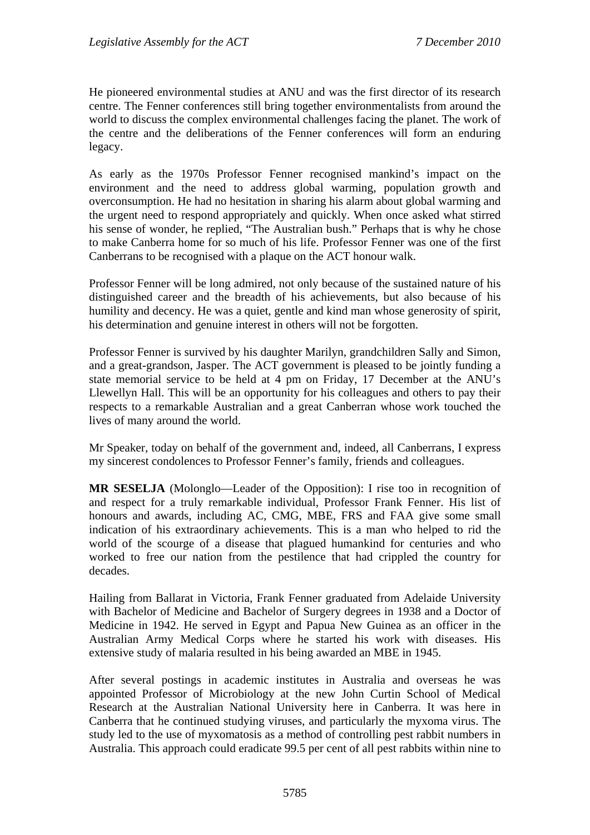He pioneered environmental studies at ANU and was the first director of its research centre. The Fenner conferences still bring together environmentalists from around the world to discuss the complex environmental challenges facing the planet. The work of the centre and the deliberations of the Fenner conferences will form an enduring legacy.

As early as the 1970s Professor Fenner recognised mankind's impact on the environment and the need to address global warming, population growth and overconsumption. He had no hesitation in sharing his alarm about global warming and the urgent need to respond appropriately and quickly. When once asked what stirred his sense of wonder, he replied, "The Australian bush." Perhaps that is why he chose to make Canberra home for so much of his life. Professor Fenner was one of the first Canberrans to be recognised with a plaque on the ACT honour walk.

Professor Fenner will be long admired, not only because of the sustained nature of his distinguished career and the breadth of his achievements, but also because of his humility and decency. He was a quiet, gentle and kind man whose generosity of spirit, his determination and genuine interest in others will not be forgotten.

Professor Fenner is survived by his daughter Marilyn, grandchildren Sally and Simon, and a great-grandson, Jasper. The ACT government is pleased to be jointly funding a state memorial service to be held at 4 pm on Friday, 17 December at the ANU's Llewellyn Hall. This will be an opportunity for his colleagues and others to pay their respects to a remarkable Australian and a great Canberran whose work touched the lives of many around the world.

Mr Speaker, today on behalf of the government and, indeed, all Canberrans, I express my sincerest condolences to Professor Fenner's family, friends and colleagues.

**MR SESELJA** (Molonglo—Leader of the Opposition): I rise too in recognition of and respect for a truly remarkable individual, Professor Frank Fenner. His list of honours and awards, including AC, CMG, MBE, FRS and FAA give some small indication of his extraordinary achievements. This is a man who helped to rid the world of the scourge of a disease that plagued humankind for centuries and who worked to free our nation from the pestilence that had crippled the country for decades.

Hailing from Ballarat in Victoria, Frank Fenner graduated from Adelaide University with Bachelor of Medicine and Bachelor of Surgery degrees in 1938 and a Doctor of Medicine in 1942. He served in Egypt and Papua New Guinea as an officer in the Australian Army Medical Corps where he started his work with diseases. His extensive study of malaria resulted in his being awarded an MBE in 1945.

After several postings in academic institutes in Australia and overseas he was appointed Professor of Microbiology at the new John Curtin School of Medical Research at the Australian National University here in Canberra. It was here in Canberra that he continued studying viruses, and particularly the myxoma virus. The study led to the use of myxomatosis as a method of controlling pest rabbit numbers in Australia. This approach could eradicate 99.5 per cent of all pest rabbits within nine to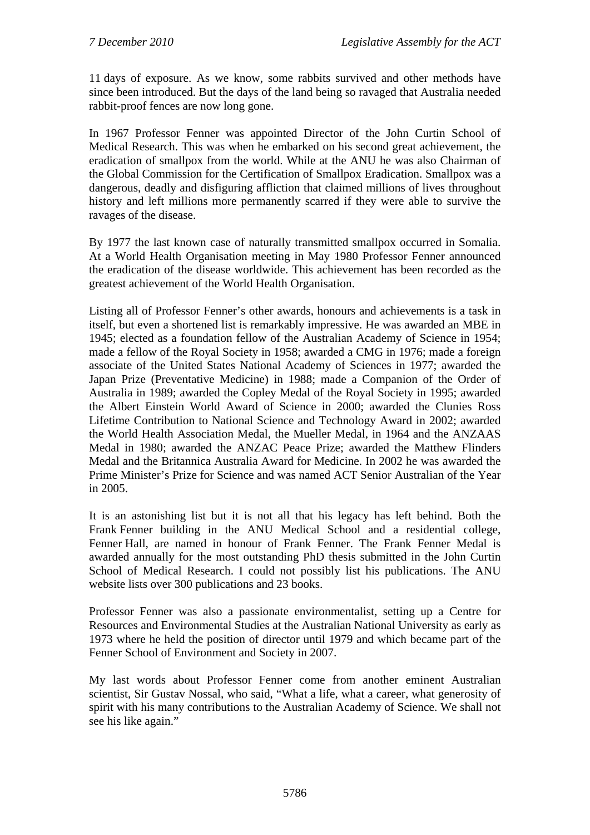11 days of exposure. As we know, some rabbits survived and other methods have since been introduced. But the days of the land being so ravaged that Australia needed rabbit-proof fences are now long gone.

In 1967 Professor Fenner was appointed Director of the John Curtin School of Medical Research. This was when he embarked on his second great achievement, the eradication of smallpox from the world. While at the ANU he was also Chairman of the Global Commission for the Certification of Smallpox Eradication. Smallpox was a dangerous, deadly and disfiguring affliction that claimed millions of lives throughout history and left millions more permanently scarred if they were able to survive the ravages of the disease.

By 1977 the last known case of naturally transmitted smallpox occurred in Somalia. At a World Health Organisation meeting in May 1980 Professor Fenner announced the eradication of the disease worldwide. This achievement has been recorded as the greatest achievement of the World Health Organisation.

Listing all of Professor Fenner's other awards, honours and achievements is a task in itself, but even a shortened list is remarkably impressive. He was awarded an MBE in 1945; elected as a foundation fellow of the Australian Academy of Science in 1954; made a fellow of the Royal Society in 1958; awarded a CMG in 1976; made a foreign associate of the United States National Academy of Sciences in 1977; awarded the Japan Prize (Preventative Medicine) in 1988; made a Companion of the Order of Australia in 1989; awarded the Copley Medal of the Royal Society in 1995; awarded the Albert Einstein World Award of Science in 2000; awarded the Clunies Ross Lifetime Contribution to National Science and Technology Award in 2002; awarded the World Health Association Medal, the Mueller Medal, in 1964 and the ANZAAS Medal in 1980; awarded the ANZAC Peace Prize; awarded the Matthew Flinders Medal and the Britannica Australia Award for Medicine. In 2002 he was awarded the Prime Minister's Prize for Science and was named ACT Senior Australian of the Year in 2005.

It is an astonishing list but it is not all that his legacy has left behind. Both the Frank Fenner building in the ANU Medical School and a residential college, Fenner Hall, are named in honour of Frank Fenner. The Frank Fenner Medal is awarded annually for the most outstanding PhD thesis submitted in the John Curtin School of Medical Research. I could not possibly list his publications. The ANU website lists over 300 publications and 23 books.

Professor Fenner was also a passionate environmentalist, setting up a Centre for Resources and Environmental Studies at the Australian National University as early as 1973 where he held the position of director until 1979 and which became part of the Fenner School of Environment and Society in 2007.

My last words about Professor Fenner come from another eminent Australian scientist, Sir Gustav Nossal, who said, "What a life, what a career, what generosity of spirit with his many contributions to the Australian Academy of Science. We shall not see his like again."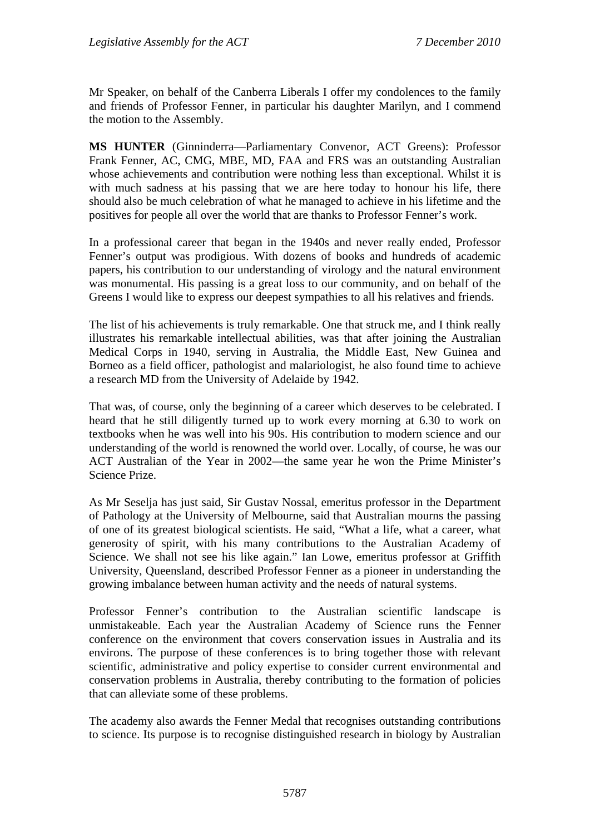Mr Speaker, on behalf of the Canberra Liberals I offer my condolences to the family and friends of Professor Fenner, in particular his daughter Marilyn, and I commend the motion to the Assembly.

**MS HUNTER** (Ginninderra—Parliamentary Convenor, ACT Greens): Professor Frank Fenner, AC, CMG, MBE, MD, FAA and FRS was an outstanding Australian whose achievements and contribution were nothing less than exceptional. Whilst it is with much sadness at his passing that we are here today to honour his life, there should also be much celebration of what he managed to achieve in his lifetime and the positives for people all over the world that are thanks to Professor Fenner's work.

In a professional career that began in the 1940s and never really ended, Professor Fenner's output was prodigious. With dozens of books and hundreds of academic papers, his contribution to our understanding of virology and the natural environment was monumental. His passing is a great loss to our community, and on behalf of the Greens I would like to express our deepest sympathies to all his relatives and friends.

The list of his achievements is truly remarkable. One that struck me, and I think really illustrates his remarkable intellectual abilities, was that after joining the Australian Medical Corps in 1940, serving in Australia, the Middle East, New Guinea and Borneo as a field officer, pathologist and malariologist, he also found time to achieve a research MD from the University of Adelaide by 1942.

That was, of course, only the beginning of a career which deserves to be celebrated. I heard that he still diligently turned up to work every morning at 6.30 to work on textbooks when he was well into his 90s. His contribution to modern science and our understanding of the world is renowned the world over. Locally, of course, he was our ACT Australian of the Year in 2002—the same year he won the Prime Minister's Science Prize.

As Mr Seselja has just said, Sir Gustav Nossal, emeritus professor in the Department of Pathology at the University of Melbourne, said that Australian mourns the passing of one of its greatest biological scientists. He said, "What a life, what a career, what generosity of spirit, with his many contributions to the Australian Academy of Science. We shall not see his like again." Ian Lowe, emeritus professor at Griffith University, Queensland, described Professor Fenner as a pioneer in understanding the growing imbalance between human activity and the needs of natural systems.

Professor Fenner's contribution to the Australian scientific landscape is unmistakeable. Each year the Australian Academy of Science runs the Fenner conference on the environment that covers conservation issues in Australia and its environs. The purpose of these conferences is to bring together those with relevant scientific, administrative and policy expertise to consider current environmental and conservation problems in Australia, thereby contributing to the formation of policies that can alleviate some of these problems.

The academy also awards the Fenner Medal that recognises outstanding contributions to science. Its purpose is to recognise distinguished research in biology by Australian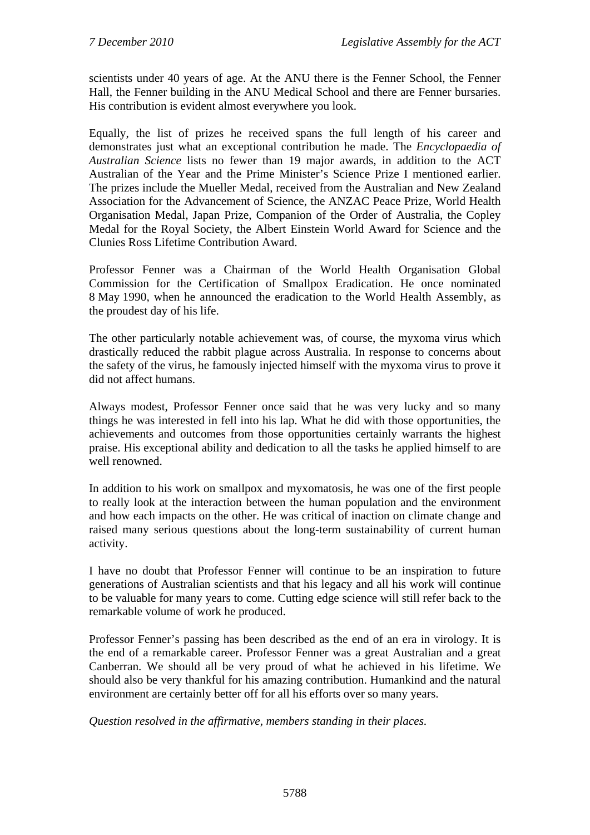scientists under 40 years of age. At the ANU there is the Fenner School, the Fenner Hall, the Fenner building in the ANU Medical School and there are Fenner bursaries. His contribution is evident almost everywhere you look.

Equally, the list of prizes he received spans the full length of his career and demonstrates just what an exceptional contribution he made. The *Encyclopaedia of Australian Science* lists no fewer than 19 major awards, in addition to the ACT Australian of the Year and the Prime Minister's Science Prize I mentioned earlier. The prizes include the Mueller Medal, received from the Australian and New Zealand Association for the Advancement of Science, the ANZAC Peace Prize, World Health Organisation Medal, Japan Prize, Companion of the Order of Australia, the Copley Medal for the Royal Society, the Albert Einstein World Award for Science and the Clunies Ross Lifetime Contribution Award.

Professor Fenner was a Chairman of the World Health Organisation Global Commission for the Certification of Smallpox Eradication. He once nominated 8 May 1990, when he announced the eradication to the World Health Assembly, as the proudest day of his life.

The other particularly notable achievement was, of course, the myxoma virus which drastically reduced the rabbit plague across Australia. In response to concerns about the safety of the virus, he famously injected himself with the myxoma virus to prove it did not affect humans.

Always modest, Professor Fenner once said that he was very lucky and so many things he was interested in fell into his lap. What he did with those opportunities, the achievements and outcomes from those opportunities certainly warrants the highest praise. His exceptional ability and dedication to all the tasks he applied himself to are well renowned.

In addition to his work on smallpox and myxomatosis, he was one of the first people to really look at the interaction between the human population and the environment and how each impacts on the other. He was critical of inaction on climate change and raised many serious questions about the long-term sustainability of current human activity.

I have no doubt that Professor Fenner will continue to be an inspiration to future generations of Australian scientists and that his legacy and all his work will continue to be valuable for many years to come. Cutting edge science will still refer back to the remarkable volume of work he produced.

Professor Fenner's passing has been described as the end of an era in virology. It is the end of a remarkable career. Professor Fenner was a great Australian and a great Canberran. We should all be very proud of what he achieved in his lifetime. We should also be very thankful for his amazing contribution. Humankind and the natural environment are certainly better off for all his efforts over so many years.

*Question resolved in the affirmative, members standing in their places.*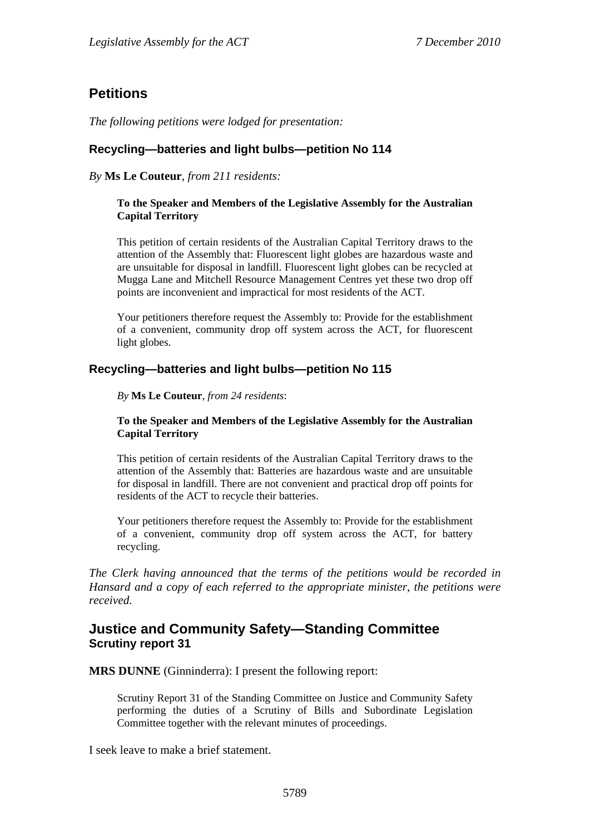## <span id="page-8-0"></span>**Petitions**

*The following petitions were lodged for presentation:* 

#### <span id="page-8-1"></span>**Recycling—batteries and light bulbs—petition No 114**

#### *By* **Ms Le Couteur**, *from 211 residents:*

#### **To the Speaker and Members of the Legislative Assembly for the Australian Capital Territory**

This petition of certain residents of the Australian Capital Territory draws to the attention of the Assembly that: Fluorescent light globes are hazardous waste and are unsuitable for disposal in landfill. Fluorescent light globes can be recycled at Mugga Lane and Mitchell Resource Management Centres yet these two drop off points are inconvenient and impractical for most residents of the ACT.

Your petitioners therefore request the Assembly to: Provide for the establishment of a convenient, community drop off system across the ACT, for fluorescent light globes.

#### <span id="page-8-2"></span>**Recycling—batteries and light bulbs—petition No 115**

*By* **Ms Le Couteur***, from 24 residents*:

#### **To the Speaker and Members of the Legislative Assembly for the Australian Capital Territory**

This petition of certain residents of the Australian Capital Territory draws to the attention of the Assembly that: Batteries are hazardous waste and are unsuitable for disposal in landfill. There are not convenient and practical drop off points for residents of the ACT to recycle their batteries.

Your petitioners therefore request the Assembly to: Provide for the establishment of a convenient, community drop off system across the ACT, for battery recycling.

*The Clerk having announced that the terms of the petitions would be recorded in Hansard and a copy of each referred to the appropriate minister, the petitions were received.*

## <span id="page-8-3"></span>**Justice and Community Safety—Standing Committee Scrutiny report 31**

**MRS DUNNE** (Ginninderra): I present the following report:

Scrutiny Report 31 of the Standing Committee on Justice and Community Safety performing the duties of a Scrutiny of Bills and Subordinate Legislation Committee together with the relevant minutes of proceedings.

I seek leave to make a brief statement.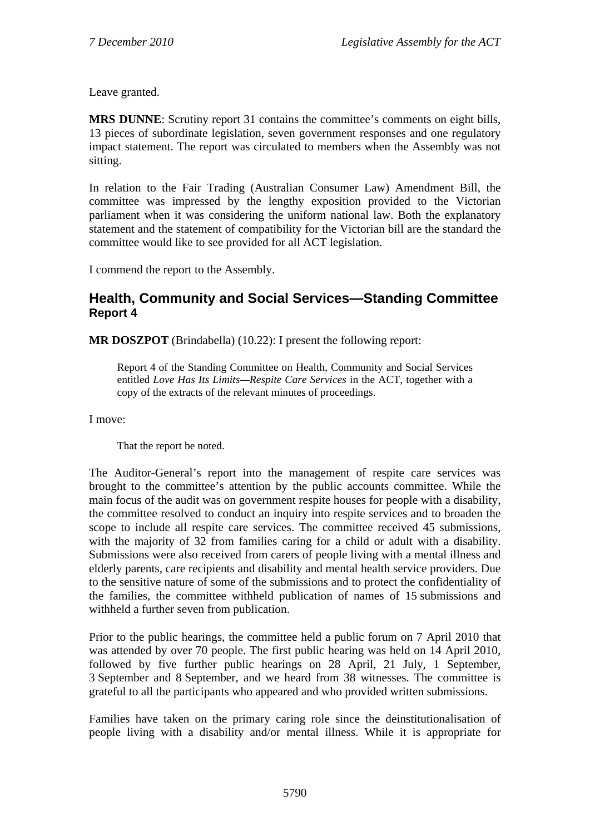Leave granted.

**MRS DUNNE**: Scrutiny report 31 contains the committee's comments on eight bills, 13 pieces of subordinate legislation, seven government responses and one regulatory impact statement. The report was circulated to members when the Assembly was not sitting.

In relation to the Fair Trading (Australian Consumer Law) Amendment Bill, the committee was impressed by the lengthy exposition provided to the Victorian parliament when it was considering the uniform national law. Both the explanatory statement and the statement of compatibility for the Victorian bill are the standard the committee would like to see provided for all ACT legislation.

I commend the report to the Assembly.

## <span id="page-9-0"></span>**Health, Community and Social Services—Standing Committee Report 4**

**MR DOSZPOT** (Brindabella) (10.22): I present the following report:

Report 4 of the Standing Committee on Health, Community and Social Services entitled *Love Has Its Limits—Respite Care Services* in the ACT, together with a copy of the extracts of the relevant minutes of proceedings.

I move:

That the report be noted.

The Auditor-General's report into the management of respite care services was brought to the committee's attention by the public accounts committee. While the main focus of the audit was on government respite houses for people with a disability, the committee resolved to conduct an inquiry into respite services and to broaden the scope to include all respite care services. The committee received 45 submissions, with the majority of 32 from families caring for a child or adult with a disability. Submissions were also received from carers of people living with a mental illness and elderly parents, care recipients and disability and mental health service providers. Due to the sensitive nature of some of the submissions and to protect the confidentiality of the families, the committee withheld publication of names of 15 submissions and withheld a further seven from publication.

Prior to the public hearings, the committee held a public forum on 7 April 2010 that was attended by over 70 people. The first public hearing was held on 14 April 2010, followed by five further public hearings on 28 April, 21 July, 1 September, 3 September and 8 September, and we heard from 38 witnesses. The committee is grateful to all the participants who appeared and who provided written submissions.

Families have taken on the primary caring role since the deinstitutionalisation of people living with a disability and/or mental illness. While it is appropriate for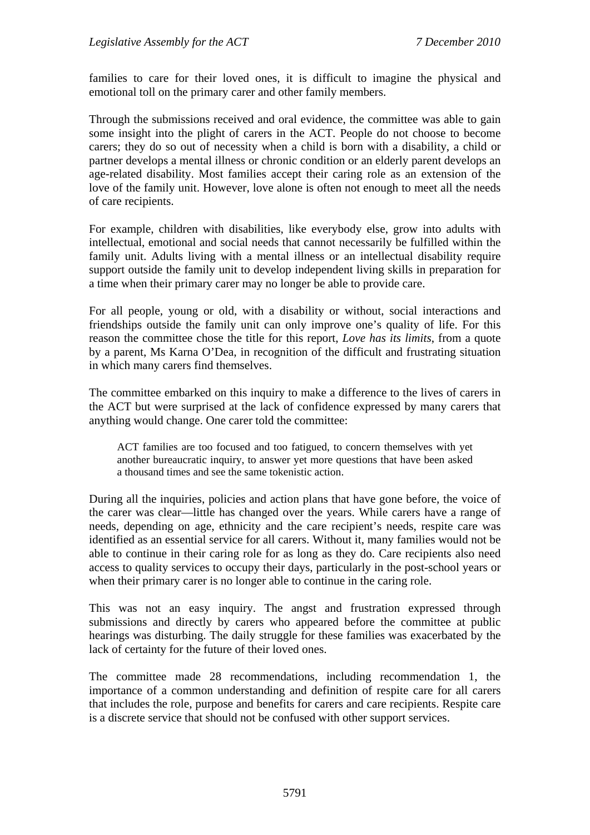families to care for their loved ones, it is difficult to imagine the physical and emotional toll on the primary carer and other family members.

Through the submissions received and oral evidence, the committee was able to gain some insight into the plight of carers in the ACT. People do not choose to become carers; they do so out of necessity when a child is born with a disability, a child or partner develops a mental illness or chronic condition or an elderly parent develops an age-related disability. Most families accept their caring role as an extension of the love of the family unit. However, love alone is often not enough to meet all the needs of care recipients.

For example, children with disabilities, like everybody else, grow into adults with intellectual, emotional and social needs that cannot necessarily be fulfilled within the family unit. Adults living with a mental illness or an intellectual disability require support outside the family unit to develop independent living skills in preparation for a time when their primary carer may no longer be able to provide care.

For all people, young or old, with a disability or without, social interactions and friendships outside the family unit can only improve one's quality of life. For this reason the committee chose the title for this report, *Love has its limits*, from a quote by a parent, Ms Karna O'Dea, in recognition of the difficult and frustrating situation in which many carers find themselves.

The committee embarked on this inquiry to make a difference to the lives of carers in the ACT but were surprised at the lack of confidence expressed by many carers that anything would change. One carer told the committee:

ACT families are too focused and too fatigued, to concern themselves with yet another bureaucratic inquiry, to answer yet more questions that have been asked a thousand times and see the same tokenistic action.

During all the inquiries, policies and action plans that have gone before, the voice of the carer was clear—little has changed over the years. While carers have a range of needs, depending on age, ethnicity and the care recipient's needs, respite care was identified as an essential service for all carers. Without it, many families would not be able to continue in their caring role for as long as they do. Care recipients also need access to quality services to occupy their days, particularly in the post-school years or when their primary carer is no longer able to continue in the caring role.

This was not an easy inquiry. The angst and frustration expressed through submissions and directly by carers who appeared before the committee at public hearings was disturbing. The daily struggle for these families was exacerbated by the lack of certainty for the future of their loved ones.

The committee made 28 recommendations, including recommendation 1, the importance of a common understanding and definition of respite care for all carers that includes the role, purpose and benefits for carers and care recipients. Respite care is a discrete service that should not be confused with other support services.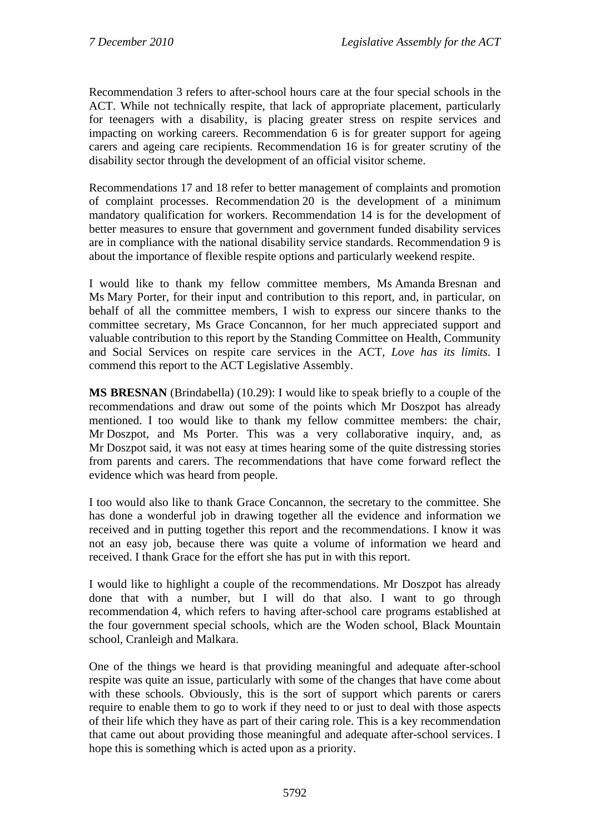Recommendation 3 refers to after-school hours care at the four special schools in the ACT. While not technically respite, that lack of appropriate placement, particularly for teenagers with a disability, is placing greater stress on respite services and impacting on working careers. Recommendation 6 is for greater support for ageing carers and ageing care recipients. Recommendation 16 is for greater scrutiny of the disability sector through the development of an official visitor scheme.

Recommendations 17 and 18 refer to better management of complaints and promotion of complaint processes. Recommendation 20 is the development of a minimum mandatory qualification for workers. Recommendation 14 is for the development of better measures to ensure that government and government funded disability services are in compliance with the national disability service standards. Recommendation 9 is about the importance of flexible respite options and particularly weekend respite.

I would like to thank my fellow committee members, Ms Amanda Bresnan and Ms Mary Porter, for their input and contribution to this report, and, in particular, on behalf of all the committee members, I wish to express our sincere thanks to the committee secretary, Ms Grace Concannon, for her much appreciated support and valuable contribution to this report by the Standing Committee on Health, Community and Social Services on respite care services in the ACT, *Love has its limits*. I commend this report to the ACT Legislative Assembly.

**MS BRESNAN** (Brindabella) (10.29): I would like to speak briefly to a couple of the recommendations and draw out some of the points which Mr Doszpot has already mentioned. I too would like to thank my fellow committee members: the chair, Mr Doszpot, and Ms Porter. This was a very collaborative inquiry, and, as Mr Doszpot said, it was not easy at times hearing some of the quite distressing stories from parents and carers. The recommendations that have come forward reflect the evidence which was heard from people.

I too would also like to thank Grace Concannon, the secretary to the committee. She has done a wonderful job in drawing together all the evidence and information we received and in putting together this report and the recommendations. I know it was not an easy job, because there was quite a volume of information we heard and received. I thank Grace for the effort she has put in with this report.

I would like to highlight a couple of the recommendations. Mr Doszpot has already done that with a number, but I will do that also. I want to go through recommendation 4, which refers to having after-school care programs established at the four government special schools, which are the Woden school, Black Mountain school, Cranleigh and Malkara.

One of the things we heard is that providing meaningful and adequate after-school respite was quite an issue, particularly with some of the changes that have come about with these schools. Obviously, this is the sort of support which parents or carers require to enable them to go to work if they need to or just to deal with those aspects of their life which they have as part of their caring role. This is a key recommendation that came out about providing those meaningful and adequate after-school services. I hope this is something which is acted upon as a priority.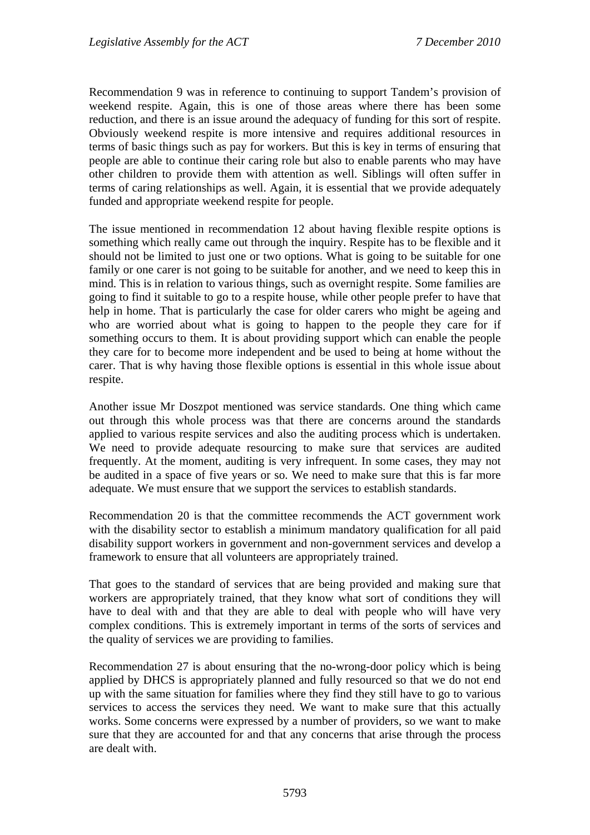Recommendation 9 was in reference to continuing to support Tandem's provision of weekend respite. Again, this is one of those areas where there has been some reduction, and there is an issue around the adequacy of funding for this sort of respite. Obviously weekend respite is more intensive and requires additional resources in terms of basic things such as pay for workers. But this is key in terms of ensuring that people are able to continue their caring role but also to enable parents who may have other children to provide them with attention as well. Siblings will often suffer in terms of caring relationships as well. Again, it is essential that we provide adequately funded and appropriate weekend respite for people.

The issue mentioned in recommendation 12 about having flexible respite options is something which really came out through the inquiry. Respite has to be flexible and it should not be limited to just one or two options. What is going to be suitable for one family or one carer is not going to be suitable for another, and we need to keep this in mind. This is in relation to various things, such as overnight respite. Some families are going to find it suitable to go to a respite house, while other people prefer to have that help in home. That is particularly the case for older carers who might be ageing and who are worried about what is going to happen to the people they care for if something occurs to them. It is about providing support which can enable the people they care for to become more independent and be used to being at home without the carer. That is why having those flexible options is essential in this whole issue about respite.

Another issue Mr Doszpot mentioned was service standards. One thing which came out through this whole process was that there are concerns around the standards applied to various respite services and also the auditing process which is undertaken. We need to provide adequate resourcing to make sure that services are audited frequently. At the moment, auditing is very infrequent. In some cases, they may not be audited in a space of five years or so. We need to make sure that this is far more adequate. We must ensure that we support the services to establish standards.

Recommendation 20 is that the committee recommends the ACT government work with the disability sector to establish a minimum mandatory qualification for all paid disability support workers in government and non-government services and develop a framework to ensure that all volunteers are appropriately trained.

That goes to the standard of services that are being provided and making sure that workers are appropriately trained, that they know what sort of conditions they will have to deal with and that they are able to deal with people who will have very complex conditions. This is extremely important in terms of the sorts of services and the quality of services we are providing to families.

Recommendation 27 is about ensuring that the no-wrong-door policy which is being applied by DHCS is appropriately planned and fully resourced so that we do not end up with the same situation for families where they find they still have to go to various services to access the services they need. We want to make sure that this actually works. Some concerns were expressed by a number of providers, so we want to make sure that they are accounted for and that any concerns that arise through the process are dealt with.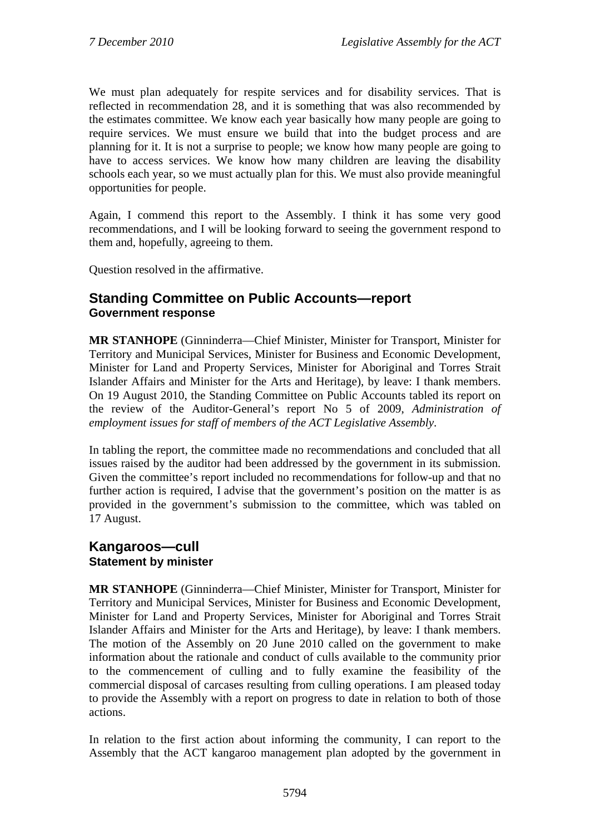We must plan adequately for respite services and for disability services. That is reflected in recommendation 28, and it is something that was also recommended by the estimates committee. We know each year basically how many people are going to require services. We must ensure we build that into the budget process and are planning for it. It is not a surprise to people; we know how many people are going to have to access services. We know how many children are leaving the disability schools each year, so we must actually plan for this. We must also provide meaningful opportunities for people.

Again, I commend this report to the Assembly. I think it has some very good recommendations, and I will be looking forward to seeing the government respond to them and, hopefully, agreeing to them.

Question resolved in the affirmative.

## <span id="page-13-0"></span>**Standing Committee on Public Accounts—report Government response**

**MR STANHOPE** (Ginninderra—Chief Minister, Minister for Transport, Minister for Territory and Municipal Services, Minister for Business and Economic Development, Minister for Land and Property Services, Minister for Aboriginal and Torres Strait Islander Affairs and Minister for the Arts and Heritage), by leave: I thank members. On 19 August 2010, the Standing Committee on Public Accounts tabled its report on the review of the Auditor-General's report No 5 of 2009, *Administration of employment issues for staff of members of the ACT Legislative Assembly*.

In tabling the report, the committee made no recommendations and concluded that all issues raised by the auditor had been addressed by the government in its submission. Given the committee's report included no recommendations for follow-up and that no further action is required, I advise that the government's position on the matter is as provided in the government's submission to the committee, which was tabled on 17 August.

## <span id="page-13-1"></span>**Kangaroos—cull Statement by minister**

**MR STANHOPE** (Ginninderra—Chief Minister, Minister for Transport, Minister for Territory and Municipal Services, Minister for Business and Economic Development, Minister for Land and Property Services, Minister for Aboriginal and Torres Strait Islander Affairs and Minister for the Arts and Heritage), by leave: I thank members. The motion of the Assembly on 20 June 2010 called on the government to make information about the rationale and conduct of culls available to the community prior to the commencement of culling and to fully examine the feasibility of the commercial disposal of carcases resulting from culling operations. I am pleased today to provide the Assembly with a report on progress to date in relation to both of those actions.

In relation to the first action about informing the community, I can report to the Assembly that the ACT kangaroo management plan adopted by the government in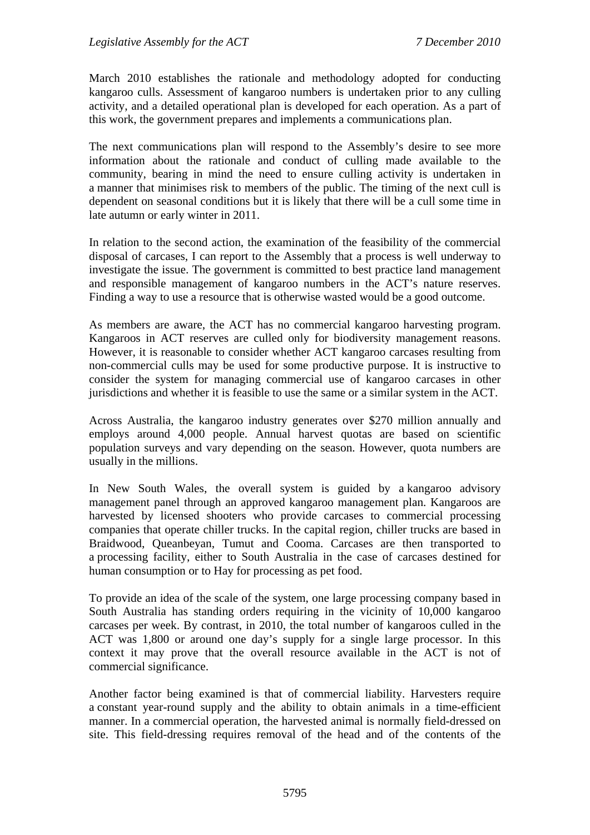March 2010 establishes the rationale and methodology adopted for conducting kangaroo culls. Assessment of kangaroo numbers is undertaken prior to any culling activity, and a detailed operational plan is developed for each operation. As a part of this work, the government prepares and implements a communications plan.

The next communications plan will respond to the Assembly's desire to see more information about the rationale and conduct of culling made available to the community, bearing in mind the need to ensure culling activity is undertaken in a manner that minimises risk to members of the public. The timing of the next cull is dependent on seasonal conditions but it is likely that there will be a cull some time in late autumn or early winter in 2011.

In relation to the second action, the examination of the feasibility of the commercial disposal of carcases, I can report to the Assembly that a process is well underway to investigate the issue. The government is committed to best practice land management and responsible management of kangaroo numbers in the ACT's nature reserves. Finding a way to use a resource that is otherwise wasted would be a good outcome.

As members are aware, the ACT has no commercial kangaroo harvesting program. Kangaroos in ACT reserves are culled only for biodiversity management reasons. However, it is reasonable to consider whether ACT kangaroo carcases resulting from non-commercial culls may be used for some productive purpose. It is instructive to consider the system for managing commercial use of kangaroo carcases in other jurisdictions and whether it is feasible to use the same or a similar system in the ACT.

Across Australia, the kangaroo industry generates over \$270 million annually and employs around 4,000 people. Annual harvest quotas are based on scientific population surveys and vary depending on the season. However, quota numbers are usually in the millions.

In New South Wales, the overall system is guided by a kangaroo advisory management panel through an approved kangaroo management plan. Kangaroos are harvested by licensed shooters who provide carcases to commercial processing companies that operate chiller trucks. In the capital region, chiller trucks are based in Braidwood, Queanbeyan, Tumut and Cooma. Carcases are then transported to a processing facility, either to South Australia in the case of carcases destined for human consumption or to Hay for processing as pet food.

To provide an idea of the scale of the system, one large processing company based in South Australia has standing orders requiring in the vicinity of 10,000 kangaroo carcases per week. By contrast, in 2010, the total number of kangaroos culled in the ACT was 1,800 or around one day's supply for a single large processor. In this context it may prove that the overall resource available in the ACT is not of commercial significance.

Another factor being examined is that of commercial liability. Harvesters require a constant year-round supply and the ability to obtain animals in a time-efficient manner. In a commercial operation, the harvested animal is normally field-dressed on site. This field-dressing requires removal of the head and of the contents of the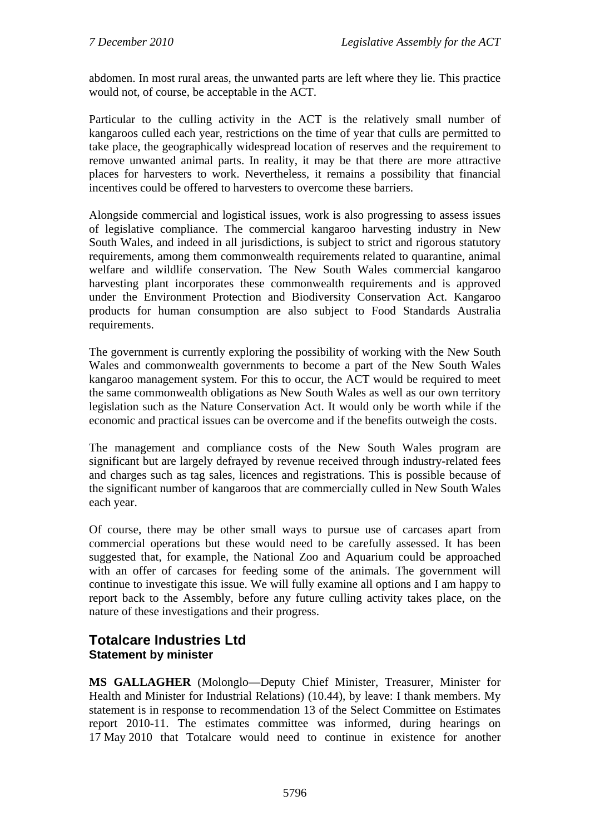abdomen. In most rural areas, the unwanted parts are left where they lie. This practice would not, of course, be acceptable in the ACT.

Particular to the culling activity in the ACT is the relatively small number of kangaroos culled each year, restrictions on the time of year that culls are permitted to take place, the geographically widespread location of reserves and the requirement to remove unwanted animal parts. In reality, it may be that there are more attractive places for harvesters to work. Nevertheless, it remains a possibility that financial incentives could be offered to harvesters to overcome these barriers.

Alongside commercial and logistical issues, work is also progressing to assess issues of legislative compliance. The commercial kangaroo harvesting industry in New South Wales, and indeed in all jurisdictions, is subject to strict and rigorous statutory requirements, among them commonwealth requirements related to quarantine, animal welfare and wildlife conservation. The New South Wales commercial kangaroo harvesting plant incorporates these commonwealth requirements and is approved under the Environment Protection and Biodiversity Conservation Act. Kangaroo products for human consumption are also subject to Food Standards Australia requirements.

The government is currently exploring the possibility of working with the New South Wales and commonwealth governments to become a part of the New South Wales kangaroo management system. For this to occur, the ACT would be required to meet the same commonwealth obligations as New South Wales as well as our own territory legislation such as the Nature Conservation Act. It would only be worth while if the economic and practical issues can be overcome and if the benefits outweigh the costs.

The management and compliance costs of the New South Wales program are significant but are largely defrayed by revenue received through industry-related fees and charges such as tag sales, licences and registrations. This is possible because of the significant number of kangaroos that are commercially culled in New South Wales each year.

Of course, there may be other small ways to pursue use of carcases apart from commercial operations but these would need to be carefully assessed. It has been suggested that, for example, the National Zoo and Aquarium could be approached with an offer of carcases for feeding some of the animals. The government will continue to investigate this issue. We will fully examine all options and I am happy to report back to the Assembly, before any future culling activity takes place, on the nature of these investigations and their progress.

## <span id="page-15-0"></span>**Totalcare Industries Ltd Statement by minister**

**MS GALLAGHER** (Molonglo—Deputy Chief Minister, Treasurer, Minister for Health and Minister for Industrial Relations) (10.44), by leave: I thank members. My statement is in response to recommendation 13 of the Select Committee on Estimates report 2010-11. The estimates committee was informed, during hearings on 17 May 2010 that Totalcare would need to continue in existence for another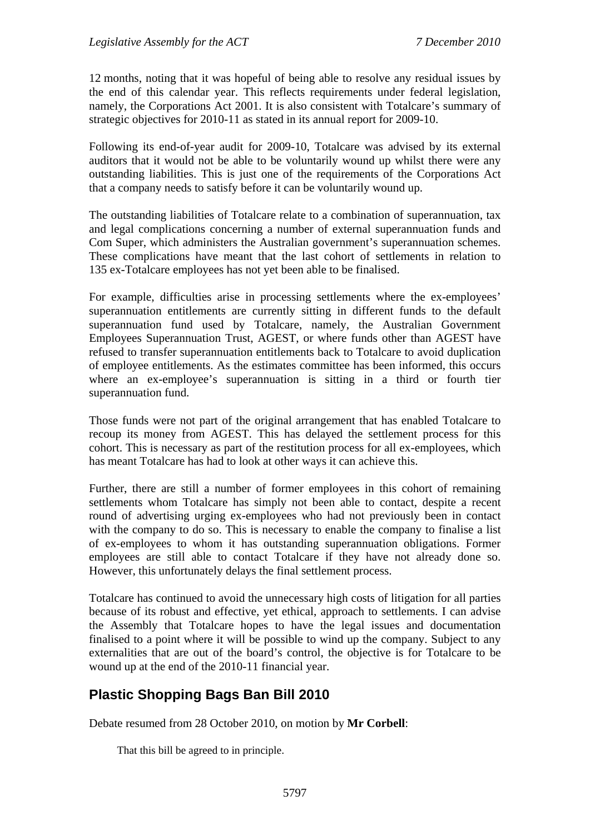12 months, noting that it was hopeful of being able to resolve any residual issues by the end of this calendar year. This reflects requirements under federal legislation, namely, the Corporations Act 2001. It is also consistent with Totalcare's summary of strategic objectives for 2010-11 as stated in its annual report for 2009-10.

Following its end-of-year audit for 2009-10, Totalcare was advised by its external auditors that it would not be able to be voluntarily wound up whilst there were any outstanding liabilities. This is just one of the requirements of the Corporations Act that a company needs to satisfy before it can be voluntarily wound up.

The outstanding liabilities of Totalcare relate to a combination of superannuation, tax and legal complications concerning a number of external superannuation funds and Com Super, which administers the Australian government's superannuation schemes. These complications have meant that the last cohort of settlements in relation to 135 ex-Totalcare employees has not yet been able to be finalised.

For example, difficulties arise in processing settlements where the ex-employees' superannuation entitlements are currently sitting in different funds to the default superannuation fund used by Totalcare, namely, the Australian Government Employees Superannuation Trust, AGEST, or where funds other than AGEST have refused to transfer superannuation entitlements back to Totalcare to avoid duplication of employee entitlements. As the estimates committee has been informed, this occurs where an ex-employee's superannuation is sitting in a third or fourth tier superannuation fund.

Those funds were not part of the original arrangement that has enabled Totalcare to recoup its money from AGEST. This has delayed the settlement process for this cohort. This is necessary as part of the restitution process for all ex-employees, which has meant Totalcare has had to look at other ways it can achieve this.

Further, there are still a number of former employees in this cohort of remaining settlements whom Totalcare has simply not been able to contact, despite a recent round of advertising urging ex-employees who had not previously been in contact with the company to do so. This is necessary to enable the company to finalise a list of ex-employees to whom it has outstanding superannuation obligations. Former employees are still able to contact Totalcare if they have not already done so. However, this unfortunately delays the final settlement process.

Totalcare has continued to avoid the unnecessary high costs of litigation for all parties because of its robust and effective, yet ethical, approach to settlements. I can advise the Assembly that Totalcare hopes to have the legal issues and documentation finalised to a point where it will be possible to wind up the company. Subject to any externalities that are out of the board's control, the objective is for Totalcare to be wound up at the end of the 2010-11 financial year.

## <span id="page-16-0"></span>**Plastic Shopping Bags Ban Bill 2010**

Debate resumed from 28 October 2010, on motion by **Mr Corbell**:

That this bill be agreed to in principle.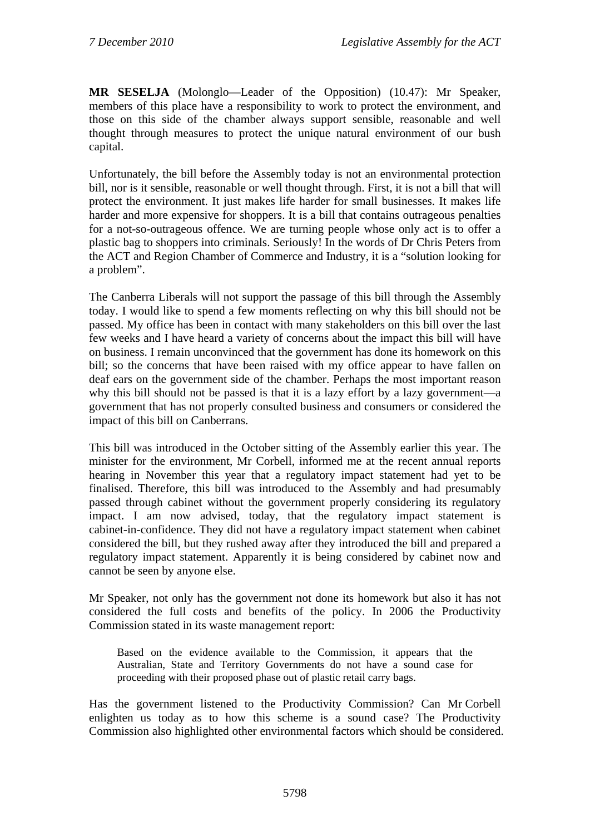**MR SESELJA** (Molonglo—Leader of the Opposition) (10.47): Mr Speaker, members of this place have a responsibility to work to protect the environment, and those on this side of the chamber always support sensible, reasonable and well thought through measures to protect the unique natural environment of our bush capital.

Unfortunately, the bill before the Assembly today is not an environmental protection bill, nor is it sensible, reasonable or well thought through. First, it is not a bill that will protect the environment. It just makes life harder for small businesses. It makes life harder and more expensive for shoppers. It is a bill that contains outrageous penalties for a not-so-outrageous offence. We are turning people whose only act is to offer a plastic bag to shoppers into criminals. Seriously! In the words of Dr Chris Peters from the ACT and Region Chamber of Commerce and Industry, it is a "solution looking for a problem".

The Canberra Liberals will not support the passage of this bill through the Assembly today. I would like to spend a few moments reflecting on why this bill should not be passed. My office has been in contact with many stakeholders on this bill over the last few weeks and I have heard a variety of concerns about the impact this bill will have on business. I remain unconvinced that the government has done its homework on this bill; so the concerns that have been raised with my office appear to have fallen on deaf ears on the government side of the chamber. Perhaps the most important reason why this bill should not be passed is that it is a lazy effort by a lazy government—a government that has not properly consulted business and consumers or considered the impact of this bill on Canberrans.

This bill was introduced in the October sitting of the Assembly earlier this year. The minister for the environment, Mr Corbell, informed me at the recent annual reports hearing in November this year that a regulatory impact statement had yet to be finalised. Therefore, this bill was introduced to the Assembly and had presumably passed through cabinet without the government properly considering its regulatory impact. I am now advised, today, that the regulatory impact statement is cabinet-in-confidence. They did not have a regulatory impact statement when cabinet considered the bill, but they rushed away after they introduced the bill and prepared a regulatory impact statement. Apparently it is being considered by cabinet now and cannot be seen by anyone else.

Mr Speaker, not only has the government not done its homework but also it has not considered the full costs and benefits of the policy. In 2006 the Productivity Commission stated in its waste management report:

Based on the evidence available to the Commission, it appears that the Australian, State and Territory Governments do not have a sound case for proceeding with their proposed phase out of plastic retail carry bags.

Has the government listened to the Productivity Commission? Can Mr Corbell enlighten us today as to how this scheme is a sound case? The Productivity Commission also highlighted other environmental factors which should be considered.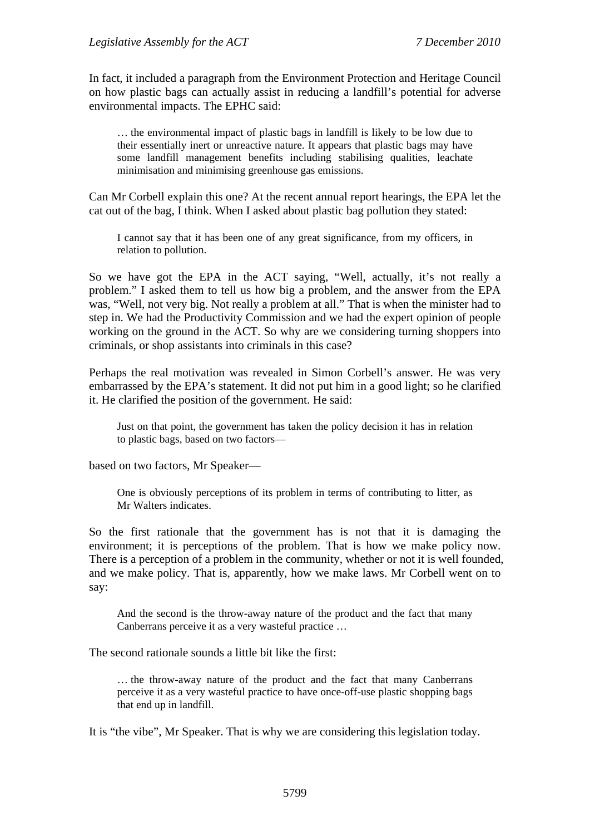In fact, it included a paragraph from the Environment Protection and Heritage Council on how plastic bags can actually assist in reducing a landfill's potential for adverse environmental impacts. The EPHC said:

… the environmental impact of plastic bags in landfill is likely to be low due to their essentially inert or unreactive nature. It appears that plastic bags may have some landfill management benefits including stabilising qualities, leachate minimisation and minimising greenhouse gas emissions.

Can Mr Corbell explain this one? At the recent annual report hearings, the EPA let the cat out of the bag, I think. When I asked about plastic bag pollution they stated:

I cannot say that it has been one of any great significance, from my officers, in relation to pollution.

So we have got the EPA in the ACT saying, "Well, actually, it's not really a problem." I asked them to tell us how big a problem, and the answer from the EPA was, "Well, not very big. Not really a problem at all." That is when the minister had to step in. We had the Productivity Commission and we had the expert opinion of people working on the ground in the ACT. So why are we considering turning shoppers into criminals, or shop assistants into criminals in this case?

Perhaps the real motivation was revealed in Simon Corbell's answer. He was very embarrassed by the EPA's statement. It did not put him in a good light; so he clarified it. He clarified the position of the government. He said:

Just on that point, the government has taken the policy decision it has in relation to plastic bags, based on two factors—

based on two factors, Mr Speaker—

One is obviously perceptions of its problem in terms of contributing to litter, as Mr Walters indicates.

So the first rationale that the government has is not that it is damaging the environment; it is perceptions of the problem. That is how we make policy now. There is a perception of a problem in the community, whether or not it is well founded, and we make policy. That is, apparently, how we make laws. Mr Corbell went on to say:

And the second is the throw-away nature of the product and the fact that many Canberrans perceive it as a very wasteful practice …

The second rationale sounds a little bit like the first:

… the throw-away nature of the product and the fact that many Canberrans perceive it as a very wasteful practice to have once-off-use plastic shopping bags that end up in landfill.

It is "the vibe", Mr Speaker. That is why we are considering this legislation today.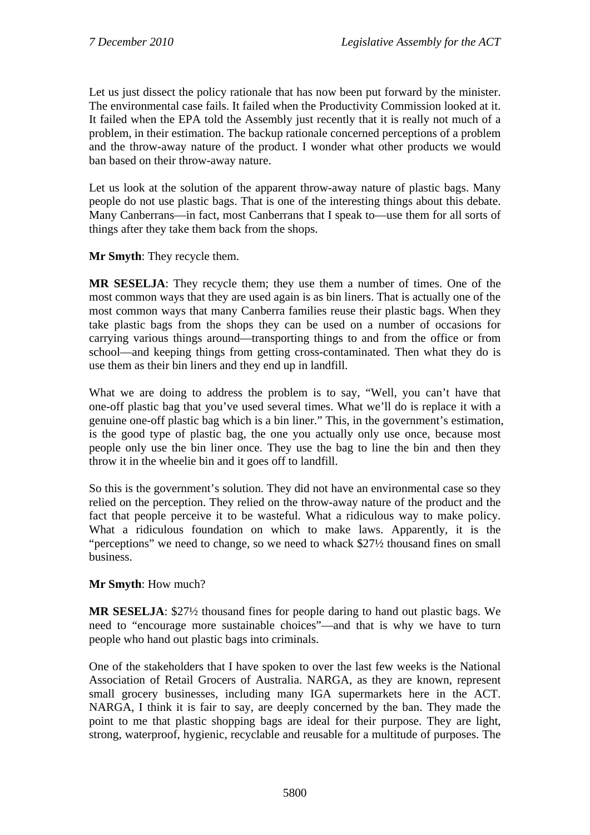Let us just dissect the policy rationale that has now been put forward by the minister. The environmental case fails. It failed when the Productivity Commission looked at it. It failed when the EPA told the Assembly just recently that it is really not much of a problem, in their estimation. The backup rationale concerned perceptions of a problem and the throw-away nature of the product. I wonder what other products we would ban based on their throw-away nature.

Let us look at the solution of the apparent throw-away nature of plastic bags. Many people do not use plastic bags. That is one of the interesting things about this debate. Many Canberrans—in fact, most Canberrans that I speak to—use them for all sorts of things after they take them back from the shops.

**Mr Smyth**: They recycle them.

**MR SESELJA**: They recycle them; they use them a number of times. One of the most common ways that they are used again is as bin liners. That is actually one of the most common ways that many Canberra families reuse their plastic bags. When they take plastic bags from the shops they can be used on a number of occasions for carrying various things around—transporting things to and from the office or from school—and keeping things from getting cross-contaminated. Then what they do is use them as their bin liners and they end up in landfill.

What we are doing to address the problem is to say, "Well, you can't have that one-off plastic bag that you've used several times. What we'll do is replace it with a genuine one-off plastic bag which is a bin liner." This, in the government's estimation, is the good type of plastic bag, the one you actually only use once, because most people only use the bin liner once. They use the bag to line the bin and then they throw it in the wheelie bin and it goes off to landfill.

So this is the government's solution. They did not have an environmental case so they relied on the perception. They relied on the throw-away nature of the product and the fact that people perceive it to be wasteful. What a ridiculous way to make policy. What a ridiculous foundation on which to make laws. Apparently, it is the "perceptions" we need to change, so we need to whack \$27½ thousand fines on small business.

## **Mr Smyth**: How much?

**MR SESELJA**: \$27½ thousand fines for people daring to hand out plastic bags. We need to "encourage more sustainable choices"—and that is why we have to turn people who hand out plastic bags into criminals.

One of the stakeholders that I have spoken to over the last few weeks is the National Association of Retail Grocers of Australia. NARGA, as they are known, represent small grocery businesses, including many IGA supermarkets here in the ACT. NARGA, I think it is fair to say, are deeply concerned by the ban. They made the point to me that plastic shopping bags are ideal for their purpose. They are light, strong, waterproof, hygienic, recyclable and reusable for a multitude of purposes. The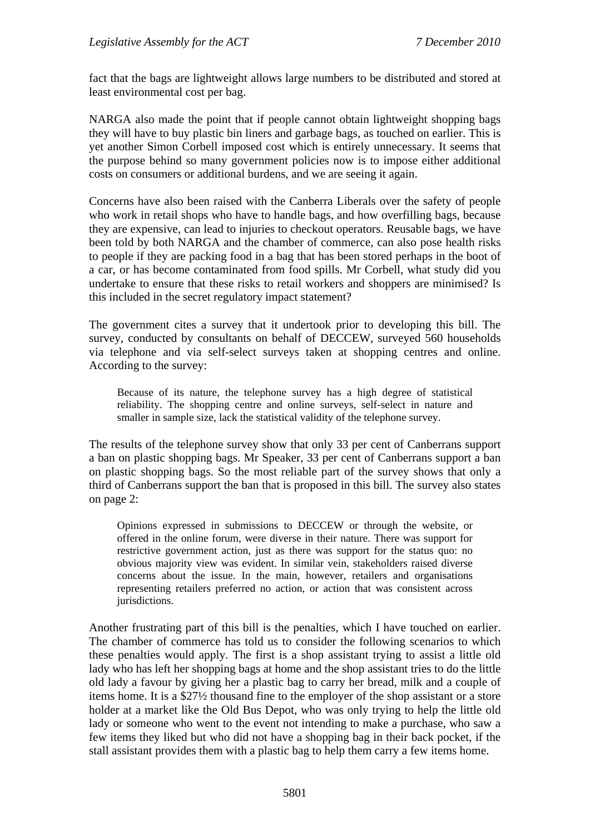fact that the bags are lightweight allows large numbers to be distributed and stored at least environmental cost per bag.

NARGA also made the point that if people cannot obtain lightweight shopping bags they will have to buy plastic bin liners and garbage bags, as touched on earlier. This is yet another Simon Corbell imposed cost which is entirely unnecessary. It seems that the purpose behind so many government policies now is to impose either additional costs on consumers or additional burdens, and we are seeing it again.

Concerns have also been raised with the Canberra Liberals over the safety of people who work in retail shops who have to handle bags, and how overfilling bags, because they are expensive, can lead to injuries to checkout operators. Reusable bags, we have been told by both NARGA and the chamber of commerce, can also pose health risks to people if they are packing food in a bag that has been stored perhaps in the boot of a car, or has become contaminated from food spills. Mr Corbell, what study did you undertake to ensure that these risks to retail workers and shoppers are minimised? Is this included in the secret regulatory impact statement?

The government cites a survey that it undertook prior to developing this bill. The survey, conducted by consultants on behalf of DECCEW, surveyed 560 households via telephone and via self-select surveys taken at shopping centres and online. According to the survey:

Because of its nature, the telephone survey has a high degree of statistical reliability. The shopping centre and online surveys, self-select in nature and smaller in sample size, lack the statistical validity of the telephone survey.

The results of the telephone survey show that only 33 per cent of Canberrans support a ban on plastic shopping bags. Mr Speaker, 33 per cent of Canberrans support a ban on plastic shopping bags. So the most reliable part of the survey shows that only a third of Canberrans support the ban that is proposed in this bill. The survey also states on page 2:

Opinions expressed in submissions to DECCEW or through the website, or offered in the online forum, were diverse in their nature. There was support for restrictive government action, just as there was support for the status quo: no obvious majority view was evident. In similar vein, stakeholders raised diverse concerns about the issue. In the main, however, retailers and organisations representing retailers preferred no action, or action that was consistent across jurisdictions.

Another frustrating part of this bill is the penalties, which I have touched on earlier. The chamber of commerce has told us to consider the following scenarios to which these penalties would apply. The first is a shop assistant trying to assist a little old lady who has left her shopping bags at home and the shop assistant tries to do the little old lady a favour by giving her a plastic bag to carry her bread, milk and a couple of items home. It is a \$27½ thousand fine to the employer of the shop assistant or a store holder at a market like the Old Bus Depot, who was only trying to help the little old lady or someone who went to the event not intending to make a purchase, who saw a few items they liked but who did not have a shopping bag in their back pocket, if the stall assistant provides them with a plastic bag to help them carry a few items home.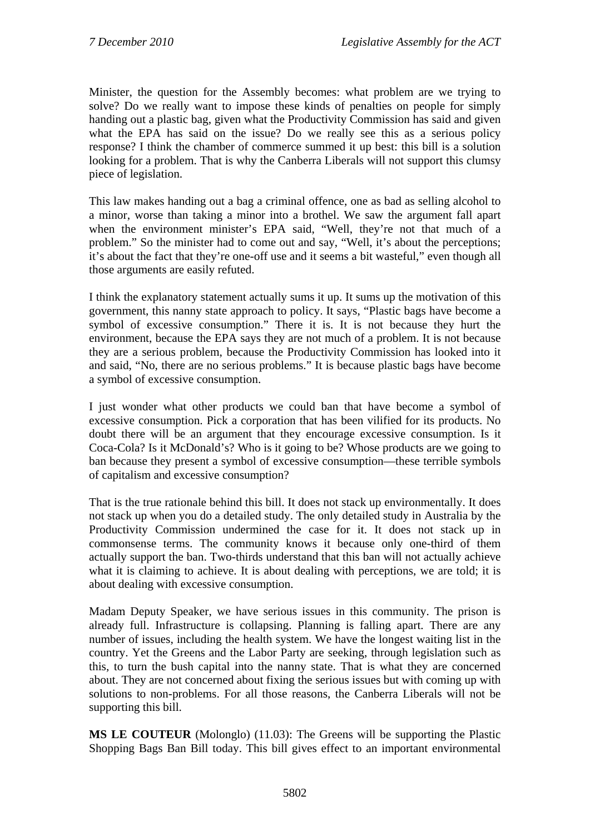Minister, the question for the Assembly becomes: what problem are we trying to solve? Do we really want to impose these kinds of penalties on people for simply handing out a plastic bag, given what the Productivity Commission has said and given what the EPA has said on the issue? Do we really see this as a serious policy response? I think the chamber of commerce summed it up best: this bill is a solution looking for a problem. That is why the Canberra Liberals will not support this clumsy piece of legislation.

This law makes handing out a bag a criminal offence, one as bad as selling alcohol to a minor, worse than taking a minor into a brothel. We saw the argument fall apart when the environment minister's EPA said, "Well, they're not that much of a problem." So the minister had to come out and say, "Well, it's about the perceptions; it's about the fact that they're one-off use and it seems a bit wasteful," even though all those arguments are easily refuted.

I think the explanatory statement actually sums it up. It sums up the motivation of this government, this nanny state approach to policy. It says, "Plastic bags have become a symbol of excessive consumption." There it is. It is not because they hurt the environment, because the EPA says they are not much of a problem. It is not because they are a serious problem, because the Productivity Commission has looked into it and said, "No, there are no serious problems." It is because plastic bags have become a symbol of excessive consumption.

I just wonder what other products we could ban that have become a symbol of excessive consumption. Pick a corporation that has been vilified for its products. No doubt there will be an argument that they encourage excessive consumption. Is it Coca-Cola? Is it McDonald's? Who is it going to be? Whose products are we going to ban because they present a symbol of excessive consumption—these terrible symbols of capitalism and excessive consumption?

That is the true rationale behind this bill. It does not stack up environmentally. It does not stack up when you do a detailed study. The only detailed study in Australia by the Productivity Commission undermined the case for it. It does not stack up in commonsense terms. The community knows it because only one-third of them actually support the ban. Two-thirds understand that this ban will not actually achieve what it is claiming to achieve. It is about dealing with perceptions, we are told; it is about dealing with excessive consumption.

Madam Deputy Speaker, we have serious issues in this community. The prison is already full. Infrastructure is collapsing. Planning is falling apart. There are any number of issues, including the health system. We have the longest waiting list in the country. Yet the Greens and the Labor Party are seeking, through legislation such as this, to turn the bush capital into the nanny state. That is what they are concerned about. They are not concerned about fixing the serious issues but with coming up with solutions to non-problems. For all those reasons, the Canberra Liberals will not be supporting this bill.

**MS LE COUTEUR** (Molonglo) (11.03): The Greens will be supporting the Plastic Shopping Bags Ban Bill today. This bill gives effect to an important environmental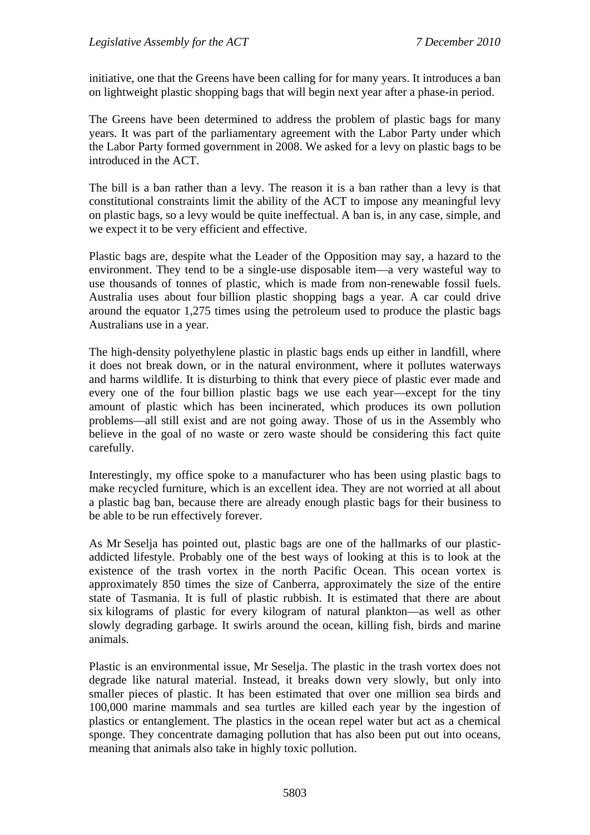initiative, one that the Greens have been calling for for many years. It introduces a ban on lightweight plastic shopping bags that will begin next year after a phase-in period.

The Greens have been determined to address the problem of plastic bags for many years. It was part of the parliamentary agreement with the Labor Party under which the Labor Party formed government in 2008. We asked for a levy on plastic bags to be introduced in the ACT.

The bill is a ban rather than a levy. The reason it is a ban rather than a levy is that constitutional constraints limit the ability of the ACT to impose any meaningful levy on plastic bags, so a levy would be quite ineffectual. A ban is, in any case, simple, and we expect it to be very efficient and effective.

Plastic bags are, despite what the Leader of the Opposition may say, a hazard to the environment. They tend to be a single-use disposable item—a very wasteful way to use thousands of tonnes of plastic, which is made from non-renewable fossil fuels. Australia uses about four billion plastic shopping bags a year. A car could drive around the equator 1,275 times using the petroleum used to produce the plastic bags Australians use in a year.

The high-density polyethylene plastic in plastic bags ends up either in landfill, where it does not break down, or in the natural environment, where it pollutes waterways and harms wildlife. It is disturbing to think that every piece of plastic ever made and every one of the four billion plastic bags we use each year—except for the tiny amount of plastic which has been incinerated, which produces its own pollution problems—all still exist and are not going away. Those of us in the Assembly who believe in the goal of no waste or zero waste should be considering this fact quite carefully.

Interestingly, my office spoke to a manufacturer who has been using plastic bags to make recycled furniture, which is an excellent idea. They are not worried at all about a plastic bag ban, because there are already enough plastic bags for their business to be able to be run effectively forever.

As Mr Seselja has pointed out, plastic bags are one of the hallmarks of our plasticaddicted lifestyle. Probably one of the best ways of looking at this is to look at the existence of the trash vortex in the north Pacific Ocean. This ocean vortex is approximately 850 times the size of Canberra, approximately the size of the entire state of Tasmania. It is full of plastic rubbish. It is estimated that there are about six kilograms of plastic for every kilogram of natural plankton—as well as other slowly degrading garbage. It swirls around the ocean, killing fish, birds and marine animals.

Plastic is an environmental issue, Mr Seselja. The plastic in the trash vortex does not degrade like natural material. Instead, it breaks down very slowly, but only into smaller pieces of plastic. It has been estimated that over one million sea birds and 100,000 marine mammals and sea turtles are killed each year by the ingestion of plastics or entanglement. The plastics in the ocean repel water but act as a chemical sponge. They concentrate damaging pollution that has also been put out into oceans, meaning that animals also take in highly toxic pollution.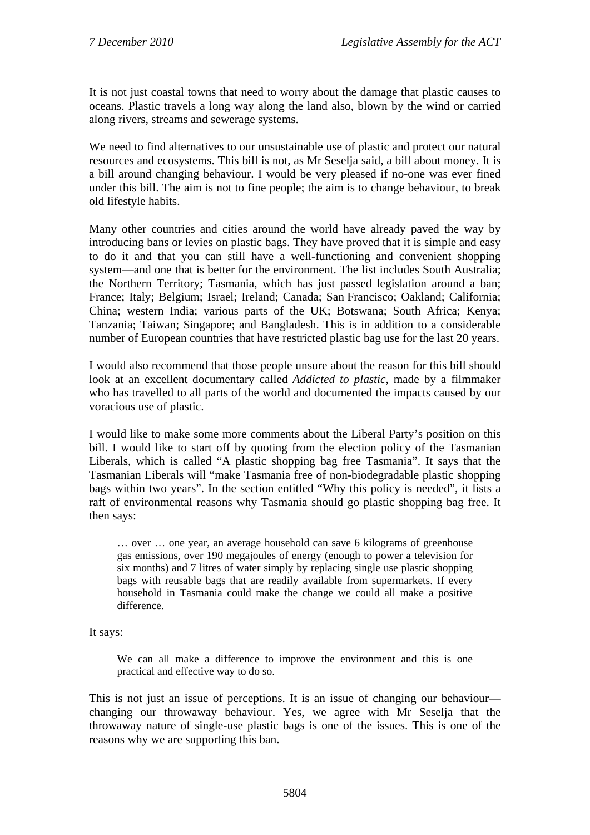It is not just coastal towns that need to worry about the damage that plastic causes to oceans. Plastic travels a long way along the land also, blown by the wind or carried along rivers, streams and sewerage systems.

We need to find alternatives to our unsustainable use of plastic and protect our natural resources and ecosystems. This bill is not, as Mr Seselja said, a bill about money. It is a bill around changing behaviour. I would be very pleased if no-one was ever fined under this bill. The aim is not to fine people; the aim is to change behaviour, to break old lifestyle habits.

Many other countries and cities around the world have already paved the way by introducing bans or levies on plastic bags. They have proved that it is simple and easy to do it and that you can still have a well-functioning and convenient shopping system—and one that is better for the environment. The list includes South Australia; the Northern Territory; Tasmania, which has just passed legislation around a ban; France; Italy; Belgium; Israel; Ireland; Canada; San Francisco; Oakland; California; China; western India; various parts of the UK; Botswana; South Africa; Kenya; Tanzania; Taiwan; Singapore; and Bangladesh. This is in addition to a considerable number of European countries that have restricted plastic bag use for the last 20 years.

I would also recommend that those people unsure about the reason for this bill should look at an excellent documentary called *Addicted to plastic*, made by a filmmaker who has travelled to all parts of the world and documented the impacts caused by our voracious use of plastic.

I would like to make some more comments about the Liberal Party's position on this bill. I would like to start off by quoting from the election policy of the Tasmanian Liberals, which is called "A plastic shopping bag free Tasmania". It says that the Tasmanian Liberals will "make Tasmania free of non-biodegradable plastic shopping bags within two years". In the section entitled "Why this policy is needed", it lists a raft of environmental reasons why Tasmania should go plastic shopping bag free. It then says:

… over … one year, an average household can save 6 kilograms of greenhouse gas emissions, over 190 megajoules of energy (enough to power a television for six months) and 7 litres of water simply by replacing single use plastic shopping bags with reusable bags that are readily available from supermarkets. If every household in Tasmania could make the change we could all make a positive difference.

It says:

We can all make a difference to improve the environment and this is one practical and effective way to do so.

This is not just an issue of perceptions. It is an issue of changing our behaviour changing our throwaway behaviour. Yes, we agree with Mr Seselja that the throwaway nature of single-use plastic bags is one of the issues. This is one of the reasons why we are supporting this ban.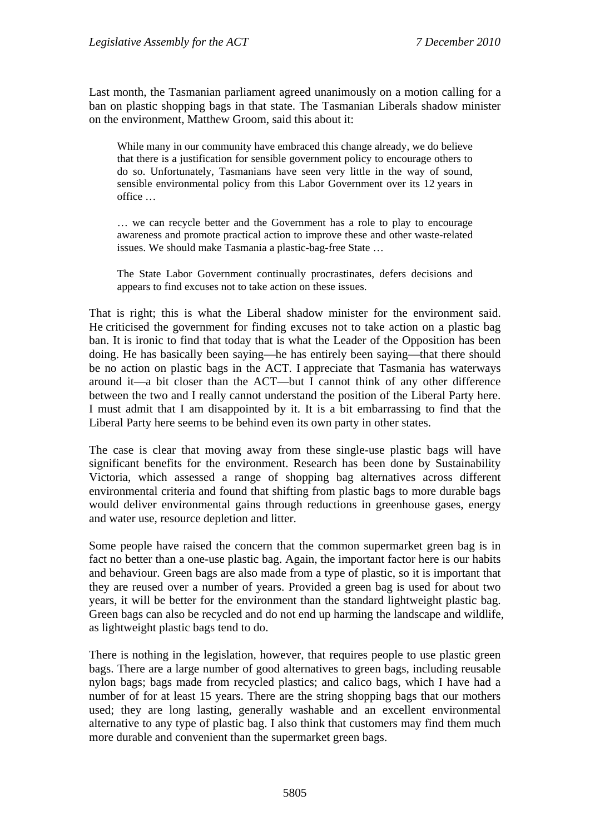Last month, the Tasmanian parliament agreed unanimously on a motion calling for a ban on plastic shopping bags in that state. The Tasmanian Liberals shadow minister on the environment, Matthew Groom, said this about it:

While many in our community have embraced this change already, we do believe that there is a justification for sensible government policy to encourage others to do so. Unfortunately, Tasmanians have seen very little in the way of sound, sensible environmental policy from this Labor Government over its 12 years in office …

… we can recycle better and the Government has a role to play to encourage awareness and promote practical action to improve these and other waste-related issues. We should make Tasmania a plastic-bag-free State …

The State Labor Government continually procrastinates, defers decisions and appears to find excuses not to take action on these issues.

That is right; this is what the Liberal shadow minister for the environment said. He criticised the government for finding excuses not to take action on a plastic bag ban. It is ironic to find that today that is what the Leader of the Opposition has been doing. He has basically been saying—he has entirely been saying—that there should be no action on plastic bags in the ACT. I appreciate that Tasmania has waterways around it—a bit closer than the ACT—but I cannot think of any other difference between the two and I really cannot understand the position of the Liberal Party here. I must admit that I am disappointed by it. It is a bit embarrassing to find that the Liberal Party here seems to be behind even its own party in other states.

The case is clear that moving away from these single-use plastic bags will have significant benefits for the environment. Research has been done by Sustainability Victoria, which assessed a range of shopping bag alternatives across different environmental criteria and found that shifting from plastic bags to more durable bags would deliver environmental gains through reductions in greenhouse gases, energy and water use, resource depletion and litter.

Some people have raised the concern that the common supermarket green bag is in fact no better than a one-use plastic bag. Again, the important factor here is our habits and behaviour. Green bags are also made from a type of plastic, so it is important that they are reused over a number of years. Provided a green bag is used for about two years, it will be better for the environment than the standard lightweight plastic bag. Green bags can also be recycled and do not end up harming the landscape and wildlife, as lightweight plastic bags tend to do.

There is nothing in the legislation, however, that requires people to use plastic green bags. There are a large number of good alternatives to green bags, including reusable nylon bags; bags made from recycled plastics; and calico bags, which I have had a number of for at least 15 years. There are the string shopping bags that our mothers used; they are long lasting, generally washable and an excellent environmental alternative to any type of plastic bag. I also think that customers may find them much more durable and convenient than the supermarket green bags.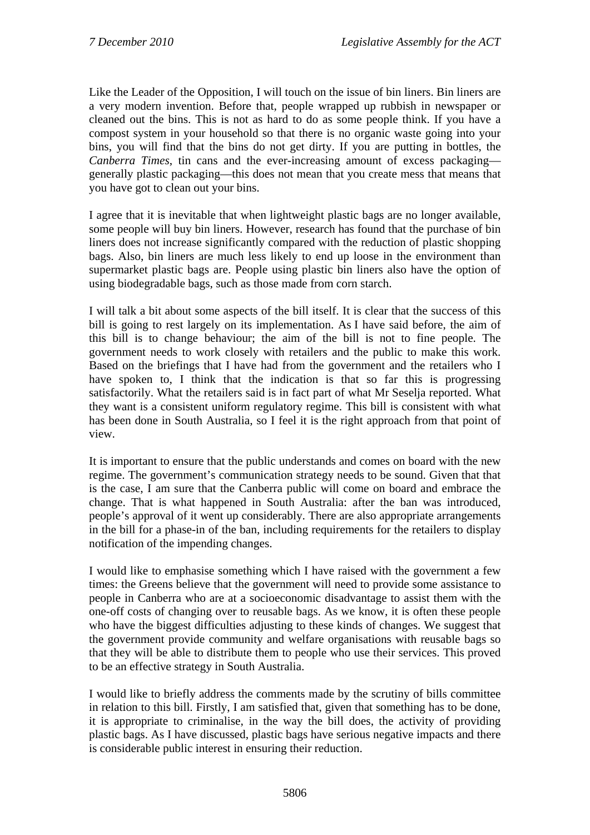Like the Leader of the Opposition, I will touch on the issue of bin liners. Bin liners are a very modern invention. Before that, people wrapped up rubbish in newspaper or cleaned out the bins. This is not as hard to do as some people think. If you have a compost system in your household so that there is no organic waste going into your bins, you will find that the bins do not get dirty. If you are putting in bottles, the *Canberra Times*, tin cans and the ever-increasing amount of excess packaging generally plastic packaging—this does not mean that you create mess that means that you have got to clean out your bins.

I agree that it is inevitable that when lightweight plastic bags are no longer available, some people will buy bin liners. However, research has found that the purchase of bin liners does not increase significantly compared with the reduction of plastic shopping bags. Also, bin liners are much less likely to end up loose in the environment than supermarket plastic bags are. People using plastic bin liners also have the option of using biodegradable bags, such as those made from corn starch.

I will talk a bit about some aspects of the bill itself. It is clear that the success of this bill is going to rest largely on its implementation. As I have said before, the aim of this bill is to change behaviour; the aim of the bill is not to fine people. The government needs to work closely with retailers and the public to make this work. Based on the briefings that I have had from the government and the retailers who I have spoken to, I think that the indication is that so far this is progressing satisfactorily. What the retailers said is in fact part of what Mr Seselja reported. What they want is a consistent uniform regulatory regime. This bill is consistent with what has been done in South Australia, so I feel it is the right approach from that point of view.

It is important to ensure that the public understands and comes on board with the new regime. The government's communication strategy needs to be sound. Given that that is the case, I am sure that the Canberra public will come on board and embrace the change. That is what happened in South Australia: after the ban was introduced, people's approval of it went up considerably. There are also appropriate arrangements in the bill for a phase-in of the ban, including requirements for the retailers to display notification of the impending changes.

I would like to emphasise something which I have raised with the government a few times: the Greens believe that the government will need to provide some assistance to people in Canberra who are at a socioeconomic disadvantage to assist them with the one-off costs of changing over to reusable bags. As we know, it is often these people who have the biggest difficulties adjusting to these kinds of changes. We suggest that the government provide community and welfare organisations with reusable bags so that they will be able to distribute them to people who use their services. This proved to be an effective strategy in South Australia.

I would like to briefly address the comments made by the scrutiny of bills committee in relation to this bill. Firstly, I am satisfied that, given that something has to be done, it is appropriate to criminalise, in the way the bill does, the activity of providing plastic bags. As I have discussed, plastic bags have serious negative impacts and there is considerable public interest in ensuring their reduction.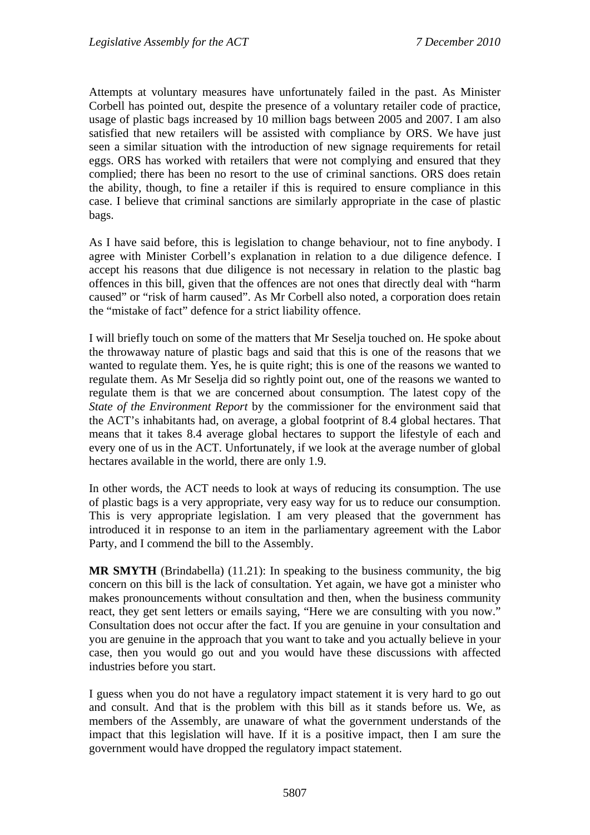Attempts at voluntary measures have unfortunately failed in the past. As Minister Corbell has pointed out, despite the presence of a voluntary retailer code of practice, usage of plastic bags increased by 10 million bags between 2005 and 2007. I am also satisfied that new retailers will be assisted with compliance by ORS. We have just seen a similar situation with the introduction of new signage requirements for retail eggs. ORS has worked with retailers that were not complying and ensured that they complied; there has been no resort to the use of criminal sanctions. ORS does retain the ability, though, to fine a retailer if this is required to ensure compliance in this case. I believe that criminal sanctions are similarly appropriate in the case of plastic bags.

As I have said before, this is legislation to change behaviour, not to fine anybody. I agree with Minister Corbell's explanation in relation to a due diligence defence. I accept his reasons that due diligence is not necessary in relation to the plastic bag offences in this bill, given that the offences are not ones that directly deal with "harm caused" or "risk of harm caused". As Mr Corbell also noted, a corporation does retain the "mistake of fact" defence for a strict liability offence.

I will briefly touch on some of the matters that Mr Seselja touched on. He spoke about the throwaway nature of plastic bags and said that this is one of the reasons that we wanted to regulate them. Yes, he is quite right; this is one of the reasons we wanted to regulate them. As Mr Seselja did so rightly point out, one of the reasons we wanted to regulate them is that we are concerned about consumption. The latest copy of the *State of the Environment Report* by the commissioner for the environment said that the ACT's inhabitants had, on average, a global footprint of 8.4 global hectares. That means that it takes 8.4 average global hectares to support the lifestyle of each and every one of us in the ACT. Unfortunately, if we look at the average number of global hectares available in the world, there are only 1.9.

In other words, the ACT needs to look at ways of reducing its consumption. The use of plastic bags is a very appropriate, very easy way for us to reduce our consumption. This is very appropriate legislation. I am very pleased that the government has introduced it in response to an item in the parliamentary agreement with the Labor Party, and I commend the bill to the Assembly.

**MR SMYTH** (Brindabella) (11.21): In speaking to the business community, the big concern on this bill is the lack of consultation. Yet again, we have got a minister who makes pronouncements without consultation and then, when the business community react, they get sent letters or emails saying, "Here we are consulting with you now." Consultation does not occur after the fact. If you are genuine in your consultation and you are genuine in the approach that you want to take and you actually believe in your case, then you would go out and you would have these discussions with affected industries before you start.

I guess when you do not have a regulatory impact statement it is very hard to go out and consult. And that is the problem with this bill as it stands before us. We, as members of the Assembly, are unaware of what the government understands of the impact that this legislation will have. If it is a positive impact, then I am sure the government would have dropped the regulatory impact statement.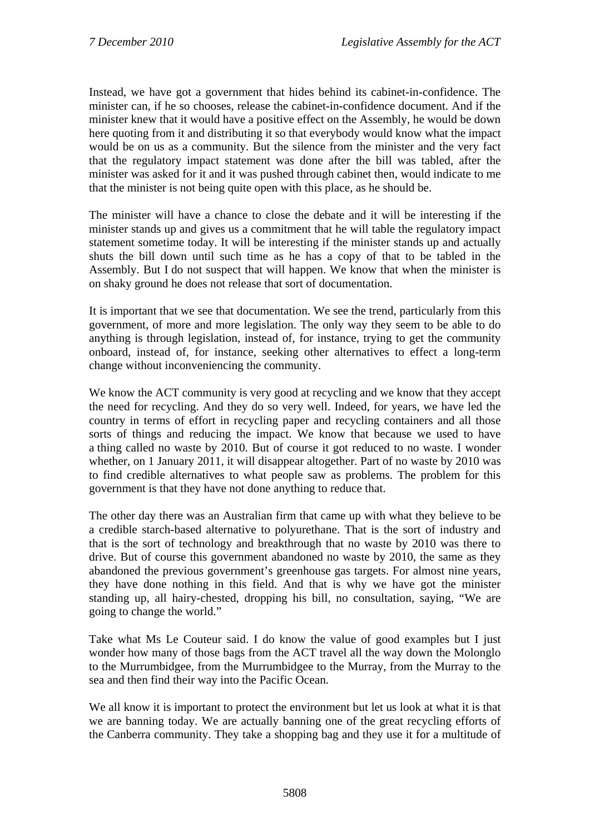Instead, we have got a government that hides behind its cabinet-in-confidence. The minister can, if he so chooses, release the cabinet-in-confidence document. And if the minister knew that it would have a positive effect on the Assembly, he would be down here quoting from it and distributing it so that everybody would know what the impact would be on us as a community. But the silence from the minister and the very fact that the regulatory impact statement was done after the bill was tabled, after the minister was asked for it and it was pushed through cabinet then, would indicate to me that the minister is not being quite open with this place, as he should be.

The minister will have a chance to close the debate and it will be interesting if the minister stands up and gives us a commitment that he will table the regulatory impact statement sometime today. It will be interesting if the minister stands up and actually shuts the bill down until such time as he has a copy of that to be tabled in the Assembly. But I do not suspect that will happen. We know that when the minister is on shaky ground he does not release that sort of documentation.

It is important that we see that documentation. We see the trend, particularly from this government, of more and more legislation. The only way they seem to be able to do anything is through legislation, instead of, for instance, trying to get the community onboard, instead of, for instance, seeking other alternatives to effect a long-term change without inconveniencing the community.

We know the ACT community is very good at recycling and we know that they accept the need for recycling. And they do so very well. Indeed, for years, we have led the country in terms of effort in recycling paper and recycling containers and all those sorts of things and reducing the impact. We know that because we used to have a thing called no waste by 2010. But of course it got reduced to no waste. I wonder whether, on 1 January 2011, it will disappear altogether. Part of no waste by 2010 was to find credible alternatives to what people saw as problems. The problem for this government is that they have not done anything to reduce that.

The other day there was an Australian firm that came up with what they believe to be a credible starch-based alternative to polyurethane. That is the sort of industry and that is the sort of technology and breakthrough that no waste by 2010 was there to drive. But of course this government abandoned no waste by 2010, the same as they abandoned the previous government's greenhouse gas targets. For almost nine years, they have done nothing in this field. And that is why we have got the minister standing up, all hairy-chested, dropping his bill, no consultation, saying, "We are going to change the world."

Take what Ms Le Couteur said. I do know the value of good examples but I just wonder how many of those bags from the ACT travel all the way down the Molonglo to the Murrumbidgee, from the Murrumbidgee to the Murray, from the Murray to the sea and then find their way into the Pacific Ocean.

We all know it is important to protect the environment but let us look at what it is that we are banning today. We are actually banning one of the great recycling efforts of the Canberra community. They take a shopping bag and they use it for a multitude of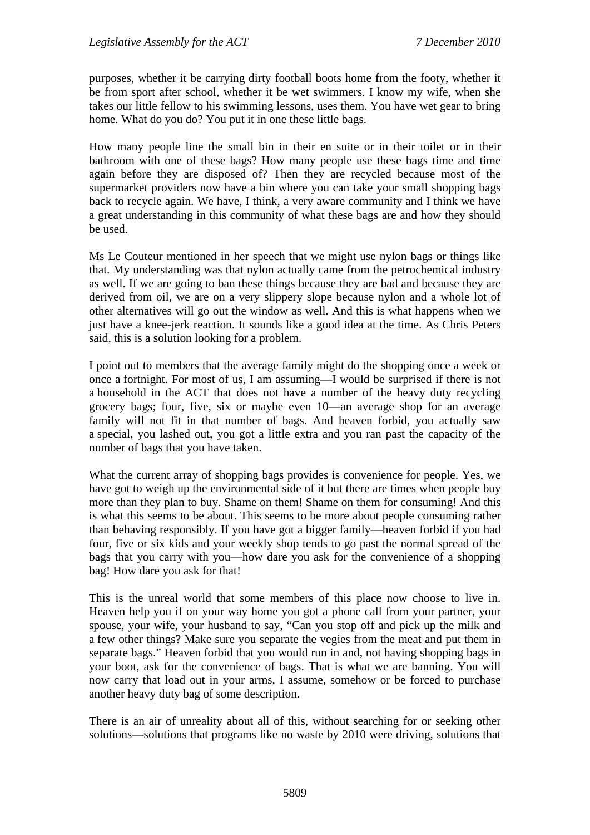purposes, whether it be carrying dirty football boots home from the footy, whether it be from sport after school, whether it be wet swimmers. I know my wife, when she takes our little fellow to his swimming lessons, uses them. You have wet gear to bring home. What do you do? You put it in one these little bags.

How many people line the small bin in their en suite or in their toilet or in their bathroom with one of these bags? How many people use these bags time and time again before they are disposed of? Then they are recycled because most of the supermarket providers now have a bin where you can take your small shopping bags back to recycle again. We have, I think, a very aware community and I think we have a great understanding in this community of what these bags are and how they should be used.

Ms Le Couteur mentioned in her speech that we might use nylon bags or things like that. My understanding was that nylon actually came from the petrochemical industry as well. If we are going to ban these things because they are bad and because they are derived from oil, we are on a very slippery slope because nylon and a whole lot of other alternatives will go out the window as well. And this is what happens when we just have a knee-jerk reaction. It sounds like a good idea at the time. As Chris Peters said, this is a solution looking for a problem.

I point out to members that the average family might do the shopping once a week or once a fortnight. For most of us, I am assuming—I would be surprised if there is not a household in the ACT that does not have a number of the heavy duty recycling grocery bags; four, five, six or maybe even 10—an average shop for an average family will not fit in that number of bags. And heaven forbid, you actually saw a special, you lashed out, you got a little extra and you ran past the capacity of the number of bags that you have taken.

What the current array of shopping bags provides is convenience for people. Yes, we have got to weigh up the environmental side of it but there are times when people buy more than they plan to buy. Shame on them! Shame on them for consuming! And this is what this seems to be about. This seems to be more about people consuming rather than behaving responsibly. If you have got a bigger family—heaven forbid if you had four, five or six kids and your weekly shop tends to go past the normal spread of the bags that you carry with you—how dare you ask for the convenience of a shopping bag! How dare you ask for that!

This is the unreal world that some members of this place now choose to live in. Heaven help you if on your way home you got a phone call from your partner, your spouse, your wife, your husband to say, "Can you stop off and pick up the milk and a few other things? Make sure you separate the vegies from the meat and put them in separate bags." Heaven forbid that you would run in and, not having shopping bags in your boot, ask for the convenience of bags. That is what we are banning. You will now carry that load out in your arms, I assume, somehow or be forced to purchase another heavy duty bag of some description.

There is an air of unreality about all of this, without searching for or seeking other solutions—solutions that programs like no waste by 2010 were driving, solutions that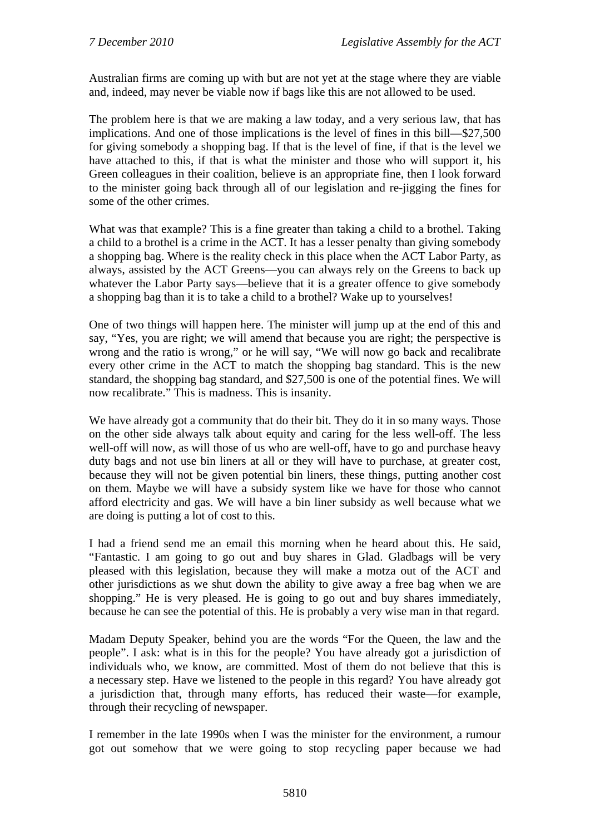Australian firms are coming up with but are not yet at the stage where they are viable and, indeed, may never be viable now if bags like this are not allowed to be used.

The problem here is that we are making a law today, and a very serious law, that has implications. And one of those implications is the level of fines in this bill—\$27,500 for giving somebody a shopping bag. If that is the level of fine, if that is the level we have attached to this, if that is what the minister and those who will support it, his Green colleagues in their coalition, believe is an appropriate fine, then I look forward to the minister going back through all of our legislation and re-jigging the fines for some of the other crimes.

What was that example? This is a fine greater than taking a child to a brothel. Taking a child to a brothel is a crime in the ACT. It has a lesser penalty than giving somebody a shopping bag. Where is the reality check in this place when the ACT Labor Party, as always, assisted by the ACT Greens—you can always rely on the Greens to back up whatever the Labor Party says—believe that it is a greater offence to give somebody a shopping bag than it is to take a child to a brothel? Wake up to yourselves!

One of two things will happen here. The minister will jump up at the end of this and say, "Yes, you are right; we will amend that because you are right; the perspective is wrong and the ratio is wrong," or he will say, "We will now go back and recalibrate every other crime in the ACT to match the shopping bag standard. This is the new standard, the shopping bag standard, and \$27,500 is one of the potential fines. We will now recalibrate." This is madness. This is insanity.

We have already got a community that do their bit. They do it in so many ways. Those on the other side always talk about equity and caring for the less well-off. The less well-off will now, as will those of us who are well-off, have to go and purchase heavy duty bags and not use bin liners at all or they will have to purchase, at greater cost, because they will not be given potential bin liners, these things, putting another cost on them. Maybe we will have a subsidy system like we have for those who cannot afford electricity and gas. We will have a bin liner subsidy as well because what we are doing is putting a lot of cost to this.

I had a friend send me an email this morning when he heard about this. He said, "Fantastic. I am going to go out and buy shares in Glad. Gladbags will be very pleased with this legislation, because they will make a motza out of the ACT and other jurisdictions as we shut down the ability to give away a free bag when we are shopping." He is very pleased. He is going to go out and buy shares immediately, because he can see the potential of this. He is probably a very wise man in that regard.

Madam Deputy Speaker, behind you are the words "For the Queen, the law and the people". I ask: what is in this for the people? You have already got a jurisdiction of individuals who, we know, are committed. Most of them do not believe that this is a necessary step. Have we listened to the people in this regard? You have already got a jurisdiction that, through many efforts, has reduced their waste—for example, through their recycling of newspaper.

I remember in the late 1990s when I was the minister for the environment, a rumour got out somehow that we were going to stop recycling paper because we had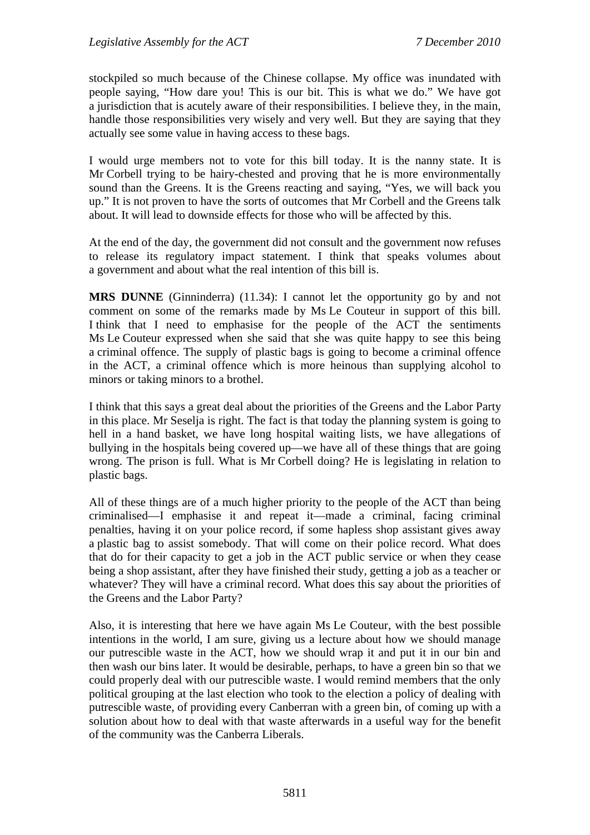stockpiled so much because of the Chinese collapse. My office was inundated with people saying, "How dare you! This is our bit. This is what we do." We have got a jurisdiction that is acutely aware of their responsibilities. I believe they, in the main, handle those responsibilities very wisely and very well. But they are saying that they actually see some value in having access to these bags.

I would urge members not to vote for this bill today. It is the nanny state. It is Mr Corbell trying to be hairy-chested and proving that he is more environmentally sound than the Greens. It is the Greens reacting and saying, "Yes, we will back you up." It is not proven to have the sorts of outcomes that Mr Corbell and the Greens talk about. It will lead to downside effects for those who will be affected by this.

At the end of the day, the government did not consult and the government now refuses to release its regulatory impact statement. I think that speaks volumes about a government and about what the real intention of this bill is.

**MRS DUNNE** (Ginninderra) (11.34): I cannot let the opportunity go by and not comment on some of the remarks made by Ms Le Couteur in support of this bill. I think that I need to emphasise for the people of the ACT the sentiments Ms Le Couteur expressed when she said that she was quite happy to see this being a criminal offence. The supply of plastic bags is going to become a criminal offence in the ACT, a criminal offence which is more heinous than supplying alcohol to minors or taking minors to a brothel.

I think that this says a great deal about the priorities of the Greens and the Labor Party in this place. Mr Seselja is right. The fact is that today the planning system is going to hell in a hand basket, we have long hospital waiting lists, we have allegations of bullying in the hospitals being covered up—we have all of these things that are going wrong. The prison is full. What is Mr Corbell doing? He is legislating in relation to plastic bags.

All of these things are of a much higher priority to the people of the ACT than being criminalised—I emphasise it and repeat it—made a criminal, facing criminal penalties, having it on your police record, if some hapless shop assistant gives away a plastic bag to assist somebody. That will come on their police record. What does that do for their capacity to get a job in the ACT public service or when they cease being a shop assistant, after they have finished their study, getting a job as a teacher or whatever? They will have a criminal record. What does this say about the priorities of the Greens and the Labor Party?

Also, it is interesting that here we have again Ms Le Couteur, with the best possible intentions in the world, I am sure, giving us a lecture about how we should manage our putrescible waste in the ACT, how we should wrap it and put it in our bin and then wash our bins later. It would be desirable, perhaps, to have a green bin so that we could properly deal with our putrescible waste. I would remind members that the only political grouping at the last election who took to the election a policy of dealing with putrescible waste, of providing every Canberran with a green bin, of coming up with a solution about how to deal with that waste afterwards in a useful way for the benefit of the community was the Canberra Liberals.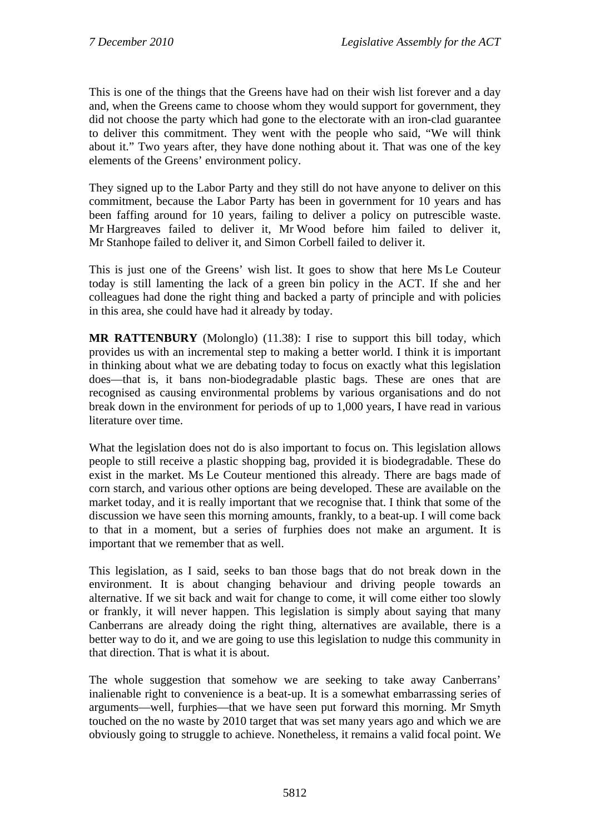This is one of the things that the Greens have had on their wish list forever and a day and, when the Greens came to choose whom they would support for government, they did not choose the party which had gone to the electorate with an iron-clad guarantee to deliver this commitment. They went with the people who said, "We will think about it." Two years after, they have done nothing about it. That was one of the key elements of the Greens' environment policy.

They signed up to the Labor Party and they still do not have anyone to deliver on this commitment, because the Labor Party has been in government for 10 years and has been faffing around for 10 years, failing to deliver a policy on putrescible waste. Mr Hargreaves failed to deliver it, Mr Wood before him failed to deliver it, Mr Stanhope failed to deliver it, and Simon Corbell failed to deliver it.

This is just one of the Greens' wish list. It goes to show that here Ms Le Couteur today is still lamenting the lack of a green bin policy in the ACT. If she and her colleagues had done the right thing and backed a party of principle and with policies in this area, she could have had it already by today.

**MR RATTENBURY** (Molonglo) (11.38): I rise to support this bill today, which provides us with an incremental step to making a better world. I think it is important in thinking about what we are debating today to focus on exactly what this legislation does—that is, it bans non-biodegradable plastic bags. These are ones that are recognised as causing environmental problems by various organisations and do not break down in the environment for periods of up to 1,000 years, I have read in various literature over time.

What the legislation does not do is also important to focus on. This legislation allows people to still receive a plastic shopping bag, provided it is biodegradable. These do exist in the market. Ms Le Couteur mentioned this already. There are bags made of corn starch, and various other options are being developed. These are available on the market today, and it is really important that we recognise that. I think that some of the discussion we have seen this morning amounts, frankly, to a beat-up. I will come back to that in a moment, but a series of furphies does not make an argument. It is important that we remember that as well.

This legislation, as I said, seeks to ban those bags that do not break down in the environment. It is about changing behaviour and driving people towards an alternative. If we sit back and wait for change to come, it will come either too slowly or frankly, it will never happen. This legislation is simply about saying that many Canberrans are already doing the right thing, alternatives are available, there is a better way to do it, and we are going to use this legislation to nudge this community in that direction. That is what it is about.

The whole suggestion that somehow we are seeking to take away Canberrans' inalienable right to convenience is a beat-up. It is a somewhat embarrassing series of arguments—well, furphies—that we have seen put forward this morning. Mr Smyth touched on the no waste by 2010 target that was set many years ago and which we are obviously going to struggle to achieve. Nonetheless, it remains a valid focal point. We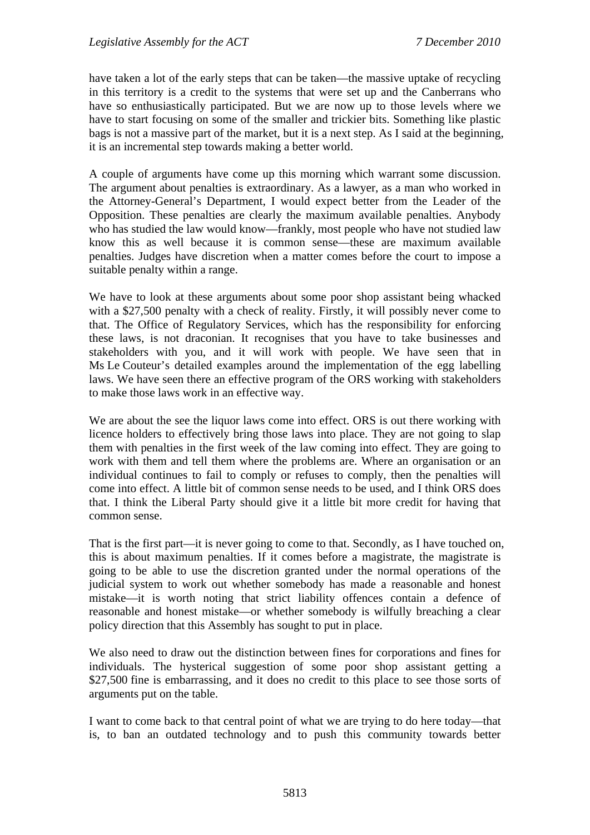have taken a lot of the early steps that can be taken—the massive uptake of recycling in this territory is a credit to the systems that were set up and the Canberrans who have so enthusiastically participated. But we are now up to those levels where we have to start focusing on some of the smaller and trickier bits. Something like plastic bags is not a massive part of the market, but it is a next step. As I said at the beginning, it is an incremental step towards making a better world.

A couple of arguments have come up this morning which warrant some discussion. The argument about penalties is extraordinary. As a lawyer, as a man who worked in the Attorney-General's Department, I would expect better from the Leader of the Opposition. These penalties are clearly the maximum available penalties. Anybody who has studied the law would know—frankly, most people who have not studied law know this as well because it is common sense—these are maximum available penalties. Judges have discretion when a matter comes before the court to impose a suitable penalty within a range.

We have to look at these arguments about some poor shop assistant being whacked with a \$27,500 penalty with a check of reality. Firstly, it will possibly never come to that. The Office of Regulatory Services, which has the responsibility for enforcing these laws, is not draconian. It recognises that you have to take businesses and stakeholders with you, and it will work with people. We have seen that in Ms Le Couteur's detailed examples around the implementation of the egg labelling laws. We have seen there an effective program of the ORS working with stakeholders to make those laws work in an effective way.

We are about the see the liquor laws come into effect. ORS is out there working with licence holders to effectively bring those laws into place. They are not going to slap them with penalties in the first week of the law coming into effect. They are going to work with them and tell them where the problems are. Where an organisation or an individual continues to fail to comply or refuses to comply, then the penalties will come into effect. A little bit of common sense needs to be used, and I think ORS does that. I think the Liberal Party should give it a little bit more credit for having that common sense.

That is the first part—it is never going to come to that. Secondly, as I have touched on, this is about maximum penalties. If it comes before a magistrate, the magistrate is going to be able to use the discretion granted under the normal operations of the judicial system to work out whether somebody has made a reasonable and honest mistake—it is worth noting that strict liability offences contain a defence of reasonable and honest mistake—or whether somebody is wilfully breaching a clear policy direction that this Assembly has sought to put in place.

We also need to draw out the distinction between fines for corporations and fines for individuals. The hysterical suggestion of some poor shop assistant getting a \$27,500 fine is embarrassing, and it does no credit to this place to see those sorts of arguments put on the table.

I want to come back to that central point of what we are trying to do here today—that is, to ban an outdated technology and to push this community towards better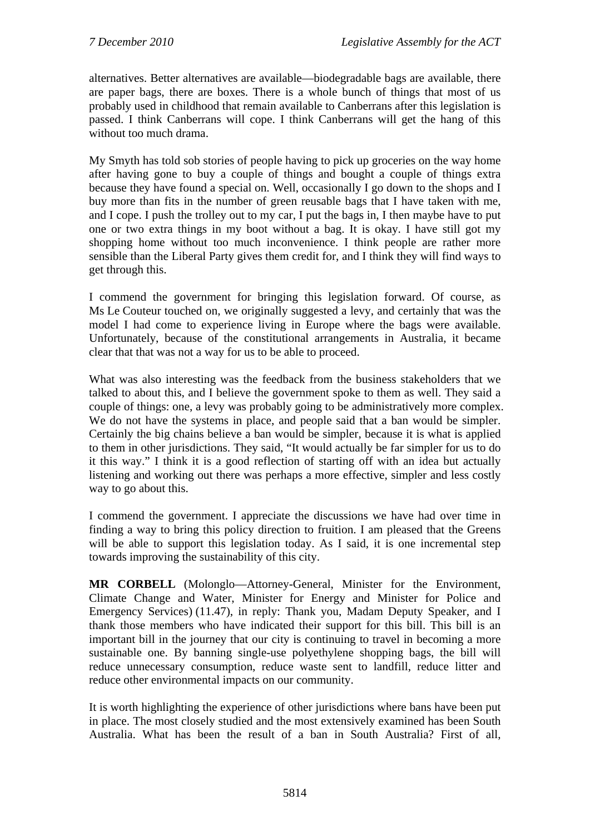alternatives. Better alternatives are available—biodegradable bags are available, there are paper bags, there are boxes. There is a whole bunch of things that most of us probably used in childhood that remain available to Canberrans after this legislation is passed. I think Canberrans will cope. I think Canberrans will get the hang of this without too much drama.

My Smyth has told sob stories of people having to pick up groceries on the way home after having gone to buy a couple of things and bought a couple of things extra because they have found a special on. Well, occasionally I go down to the shops and I buy more than fits in the number of green reusable bags that I have taken with me, and I cope. I push the trolley out to my car, I put the bags in, I then maybe have to put one or two extra things in my boot without a bag. It is okay. I have still got my shopping home without too much inconvenience. I think people are rather more sensible than the Liberal Party gives them credit for, and I think they will find ways to get through this.

I commend the government for bringing this legislation forward. Of course, as Ms Le Couteur touched on, we originally suggested a levy, and certainly that was the model I had come to experience living in Europe where the bags were available. Unfortunately, because of the constitutional arrangements in Australia, it became clear that that was not a way for us to be able to proceed.

What was also interesting was the feedback from the business stakeholders that we talked to about this, and I believe the government spoke to them as well. They said a couple of things: one, a levy was probably going to be administratively more complex. We do not have the systems in place, and people said that a ban would be simpler. Certainly the big chains believe a ban would be simpler, because it is what is applied to them in other jurisdictions. They said, "It would actually be far simpler for us to do it this way." I think it is a good reflection of starting off with an idea but actually listening and working out there was perhaps a more effective, simpler and less costly way to go about this.

I commend the government. I appreciate the discussions we have had over time in finding a way to bring this policy direction to fruition. I am pleased that the Greens will be able to support this legislation today. As I said, it is one incremental step towards improving the sustainability of this city.

**MR CORBELL** (Molonglo—Attorney-General, Minister for the Environment, Climate Change and Water, Minister for Energy and Minister for Police and Emergency Services) (11.47), in reply: Thank you, Madam Deputy Speaker, and I thank those members who have indicated their support for this bill. This bill is an important bill in the journey that our city is continuing to travel in becoming a more sustainable one. By banning single-use polyethylene shopping bags, the bill will reduce unnecessary consumption, reduce waste sent to landfill, reduce litter and reduce other environmental impacts on our community.

It is worth highlighting the experience of other jurisdictions where bans have been put in place. The most closely studied and the most extensively examined has been South Australia. What has been the result of a ban in South Australia? First of all,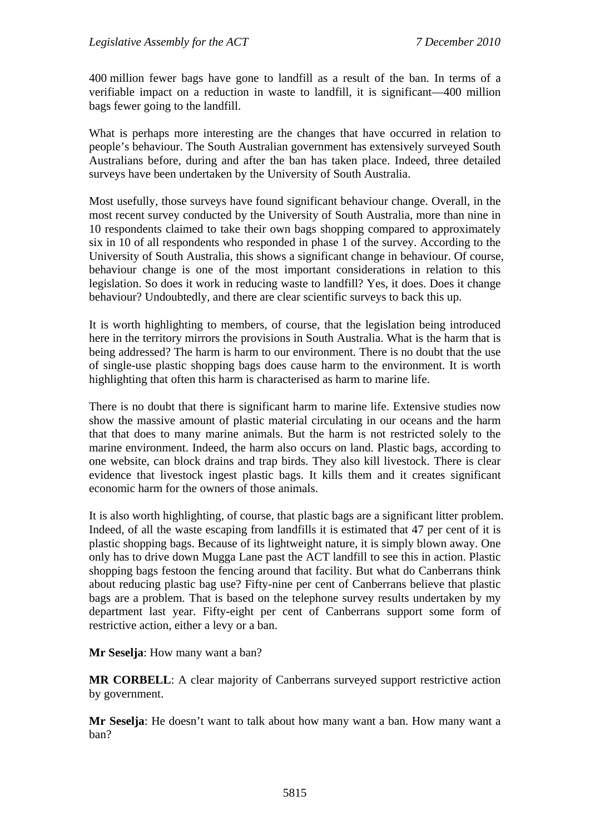400 million fewer bags have gone to landfill as a result of the ban. In terms of a verifiable impact on a reduction in waste to landfill, it is significant—400 million bags fewer going to the landfill.

What is perhaps more interesting are the changes that have occurred in relation to people's behaviour. The South Australian government has extensively surveyed South Australians before, during and after the ban has taken place. Indeed, three detailed surveys have been undertaken by the University of South Australia.

Most usefully, those surveys have found significant behaviour change. Overall, in the most recent survey conducted by the University of South Australia, more than nine in 10 respondents claimed to take their own bags shopping compared to approximately six in 10 of all respondents who responded in phase 1 of the survey. According to the University of South Australia, this shows a significant change in behaviour. Of course, behaviour change is one of the most important considerations in relation to this legislation. So does it work in reducing waste to landfill? Yes, it does. Does it change behaviour? Undoubtedly, and there are clear scientific surveys to back this up.

It is worth highlighting to members, of course, that the legislation being introduced here in the territory mirrors the provisions in South Australia. What is the harm that is being addressed? The harm is harm to our environment. There is no doubt that the use of single-use plastic shopping bags does cause harm to the environment. It is worth highlighting that often this harm is characterised as harm to marine life.

There is no doubt that there is significant harm to marine life. Extensive studies now show the massive amount of plastic material circulating in our oceans and the harm that that does to many marine animals. But the harm is not restricted solely to the marine environment. Indeed, the harm also occurs on land. Plastic bags, according to one website, can block drains and trap birds. They also kill livestock. There is clear evidence that livestock ingest plastic bags. It kills them and it creates significant economic harm for the owners of those animals.

It is also worth highlighting, of course, that plastic bags are a significant litter problem. Indeed, of all the waste escaping from landfills it is estimated that 47 per cent of it is plastic shopping bags. Because of its lightweight nature, it is simply blown away. One only has to drive down Mugga Lane past the ACT landfill to see this in action. Plastic shopping bags festoon the fencing around that facility. But what do Canberrans think about reducing plastic bag use? Fifty-nine per cent of Canberrans believe that plastic bags are a problem. That is based on the telephone survey results undertaken by my department last year. Fifty-eight per cent of Canberrans support some form of restrictive action, either a levy or a ban.

**Mr Seselja**: How many want a ban?

**MR CORBELL**: A clear majority of Canberrans surveyed support restrictive action by government.

**Mr Seselja**: He doesn't want to talk about how many want a ban. How many want a ban?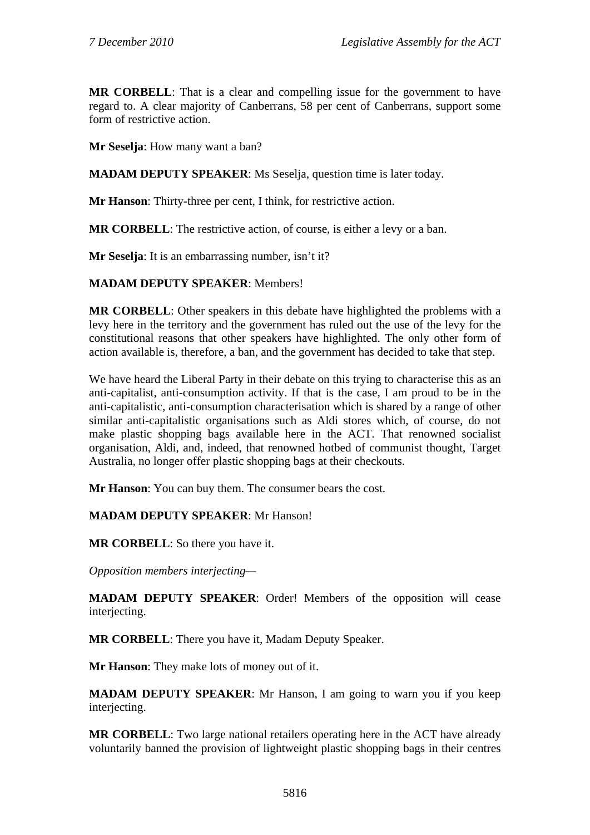**MR CORBELL**: That is a clear and compelling issue for the government to have regard to. A clear majority of Canberrans, 58 per cent of Canberrans, support some form of restrictive action.

**Mr Seselja**: How many want a ban?

**MADAM DEPUTY SPEAKER**: Ms Seselja, question time is later today.

**Mr Hanson**: Thirty-three per cent, I think, for restrictive action.

**MR CORBELL**: The restrictive action, of course, is either a levy or a ban.

**Mr Seselja**: It is an embarrassing number, isn't it?

## **MADAM DEPUTY SPEAKER**: Members!

**MR CORBELL**: Other speakers in this debate have highlighted the problems with a levy here in the territory and the government has ruled out the use of the levy for the constitutional reasons that other speakers have highlighted. The only other form of action available is, therefore, a ban, and the government has decided to take that step.

We have heard the Liberal Party in their debate on this trying to characterise this as an anti-capitalist, anti-consumption activity. If that is the case, I am proud to be in the anti-capitalistic, anti-consumption characterisation which is shared by a range of other similar anti-capitalistic organisations such as Aldi stores which, of course, do not make plastic shopping bags available here in the ACT. That renowned socialist organisation, Aldi, and, indeed, that renowned hotbed of communist thought, Target Australia, no longer offer plastic shopping bags at their checkouts.

**Mr Hanson**: You can buy them. The consumer bears the cost.

## **MADAM DEPUTY SPEAKER**: Mr Hanson!

**MR CORBELL**: So there you have it.

*Opposition members interjecting—* 

**MADAM DEPUTY SPEAKER**: Order! Members of the opposition will cease interjecting.

**MR CORBELL**: There you have it, Madam Deputy Speaker.

**Mr Hanson**: They make lots of money out of it.

**MADAM DEPUTY SPEAKER**: Mr Hanson, I am going to warn you if you keep interjecting.

**MR CORBELL**: Two large national retailers operating here in the ACT have already voluntarily banned the provision of lightweight plastic shopping bags in their centres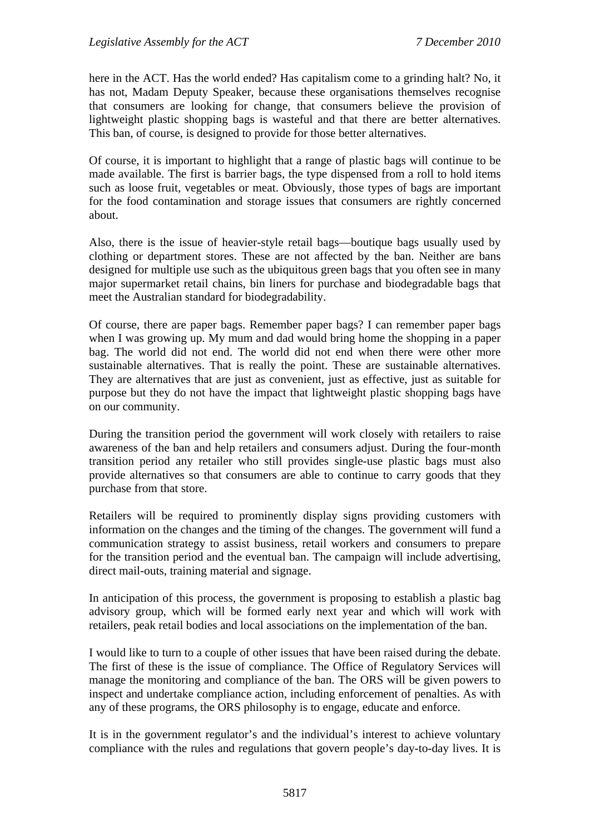here in the ACT. Has the world ended? Has capitalism come to a grinding halt? No, it has not, Madam Deputy Speaker, because these organisations themselves recognise that consumers are looking for change, that consumers believe the provision of lightweight plastic shopping bags is wasteful and that there are better alternatives. This ban, of course, is designed to provide for those better alternatives.

Of course, it is important to highlight that a range of plastic bags will continue to be made available. The first is barrier bags, the type dispensed from a roll to hold items such as loose fruit, vegetables or meat. Obviously, those types of bags are important for the food contamination and storage issues that consumers are rightly concerned about.

Also, there is the issue of heavier-style retail bags—boutique bags usually used by clothing or department stores. These are not affected by the ban. Neither are bans designed for multiple use such as the ubiquitous green bags that you often see in many major supermarket retail chains, bin liners for purchase and biodegradable bags that meet the Australian standard for biodegradability.

Of course, there are paper bags. Remember paper bags? I can remember paper bags when I was growing up. My mum and dad would bring home the shopping in a paper bag. The world did not end. The world did not end when there were other more sustainable alternatives. That is really the point. These are sustainable alternatives. They are alternatives that are just as convenient, just as effective, just as suitable for purpose but they do not have the impact that lightweight plastic shopping bags have on our community.

During the transition period the government will work closely with retailers to raise awareness of the ban and help retailers and consumers adjust. During the four-month transition period any retailer who still provides single-use plastic bags must also provide alternatives so that consumers are able to continue to carry goods that they purchase from that store.

Retailers will be required to prominently display signs providing customers with information on the changes and the timing of the changes. The government will fund a communication strategy to assist business, retail workers and consumers to prepare for the transition period and the eventual ban. The campaign will include advertising, direct mail-outs, training material and signage.

In anticipation of this process, the government is proposing to establish a plastic bag advisory group, which will be formed early next year and which will work with retailers, peak retail bodies and local associations on the implementation of the ban.

I would like to turn to a couple of other issues that have been raised during the debate. The first of these is the issue of compliance. The Office of Regulatory Services will manage the monitoring and compliance of the ban. The ORS will be given powers to inspect and undertake compliance action, including enforcement of penalties. As with any of these programs, the ORS philosophy is to engage, educate and enforce.

It is in the government regulator's and the individual's interest to achieve voluntary compliance with the rules and regulations that govern people's day-to-day lives. It is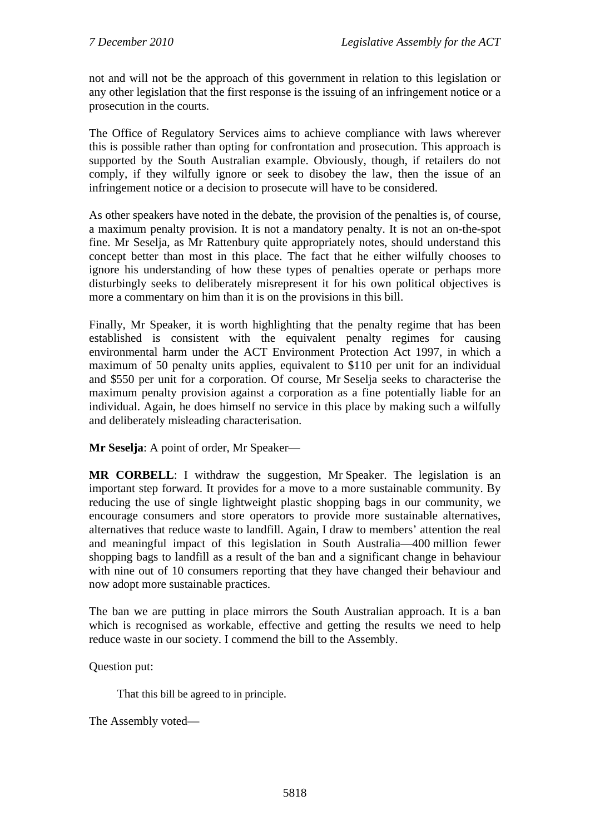not and will not be the approach of this government in relation to this legislation or any other legislation that the first response is the issuing of an infringement notice or a prosecution in the courts.

The Office of Regulatory Services aims to achieve compliance with laws wherever this is possible rather than opting for confrontation and prosecution. This approach is supported by the South Australian example. Obviously, though, if retailers do not comply, if they wilfully ignore or seek to disobey the law, then the issue of an infringement notice or a decision to prosecute will have to be considered.

As other speakers have noted in the debate, the provision of the penalties is, of course, a maximum penalty provision. It is not a mandatory penalty. It is not an on-the-spot fine. Mr Seselja, as Mr Rattenbury quite appropriately notes, should understand this concept better than most in this place. The fact that he either wilfully chooses to ignore his understanding of how these types of penalties operate or perhaps more disturbingly seeks to deliberately misrepresent it for his own political objectives is more a commentary on him than it is on the provisions in this bill.

Finally, Mr Speaker, it is worth highlighting that the penalty regime that has been established is consistent with the equivalent penalty regimes for causing environmental harm under the ACT Environment Protection Act 1997, in which a maximum of 50 penalty units applies, equivalent to \$110 per unit for an individual and \$550 per unit for a corporation. Of course, Mr Seselja seeks to characterise the maximum penalty provision against a corporation as a fine potentially liable for an individual. Again, he does himself no service in this place by making such a wilfully and deliberately misleading characterisation.

**Mr Seselja**: A point of order, Mr Speaker—

**MR CORBELL**: I withdraw the suggestion, Mr Speaker. The legislation is an important step forward. It provides for a move to a more sustainable community. By reducing the use of single lightweight plastic shopping bags in our community, we encourage consumers and store operators to provide more sustainable alternatives, alternatives that reduce waste to landfill. Again, I draw to members' attention the real and meaningful impact of this legislation in South Australia—400 million fewer shopping bags to landfill as a result of the ban and a significant change in behaviour with nine out of 10 consumers reporting that they have changed their behaviour and now adopt more sustainable practices.

The ban we are putting in place mirrors the South Australian approach. It is a ban which is recognised as workable, effective and getting the results we need to help reduce waste in our society. I commend the bill to the Assembly.

Question put:

That this bill be agreed to in principle.

The Assembly voted—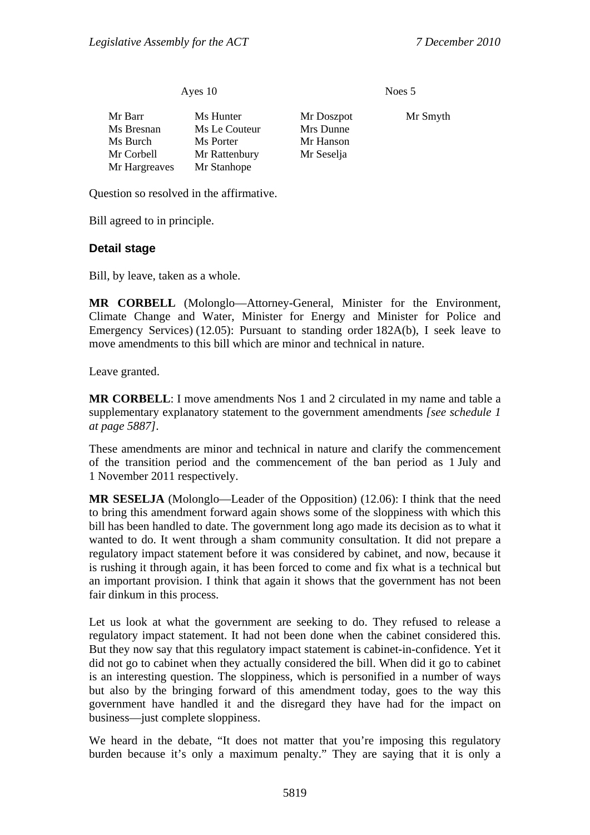#### Ayes 10 Noes 5

| Mr Barr       | Ms Hunter     | Mr Doszpot | Mr Smyth |
|---------------|---------------|------------|----------|
| Ms Bresnan    | Ms Le Couteur | Mrs Dunne  |          |
| Ms Burch      | Ms Porter     | Mr Hanson  |          |
| Mr Corbell    | Mr Rattenbury | Mr Seselja |          |
| Mr Hargreaves | Mr Stanhope   |            |          |

Question so resolved in the affirmative.

Bill agreed to in principle.

### **Detail stage**

Bill, by leave, taken as a whole.

**MR CORBELL** (Molonglo—Attorney-General, Minister for the Environment, Climate Change and Water, Minister for Energy and Minister for Police and Emergency Services) (12.05): Pursuant to standing order 182A(b), I seek leave to move amendments to this bill which are minor and technical in nature.

Leave granted.

**MR CORBELL**: I move amendments Nos 1 and 2 circulated in my name and table a supplementary explanatory statement to the government amendments *[see schedule 1 at page 5887]*.

These amendments are minor and technical in nature and clarify the commencement of the transition period and the commencement of the ban period as 1 July and 1 November 2011 respectively.

**MR SESELJA** (Molonglo—Leader of the Opposition) (12.06): I think that the need to bring this amendment forward again shows some of the sloppiness with which this bill has been handled to date. The government long ago made its decision as to what it wanted to do. It went through a sham community consultation. It did not prepare a regulatory impact statement before it was considered by cabinet, and now, because it is rushing it through again, it has been forced to come and fix what is a technical but an important provision. I think that again it shows that the government has not been fair dinkum in this process.

Let us look at what the government are seeking to do. They refused to release a regulatory impact statement. It had not been done when the cabinet considered this. But they now say that this regulatory impact statement is cabinet-in-confidence. Yet it did not go to cabinet when they actually considered the bill. When did it go to cabinet is an interesting question. The sloppiness, which is personified in a number of ways but also by the bringing forward of this amendment today, goes to the way this government have handled it and the disregard they have had for the impact on business—just complete sloppiness.

We heard in the debate, "It does not matter that you're imposing this regulatory burden because it's only a maximum penalty." They are saying that it is only a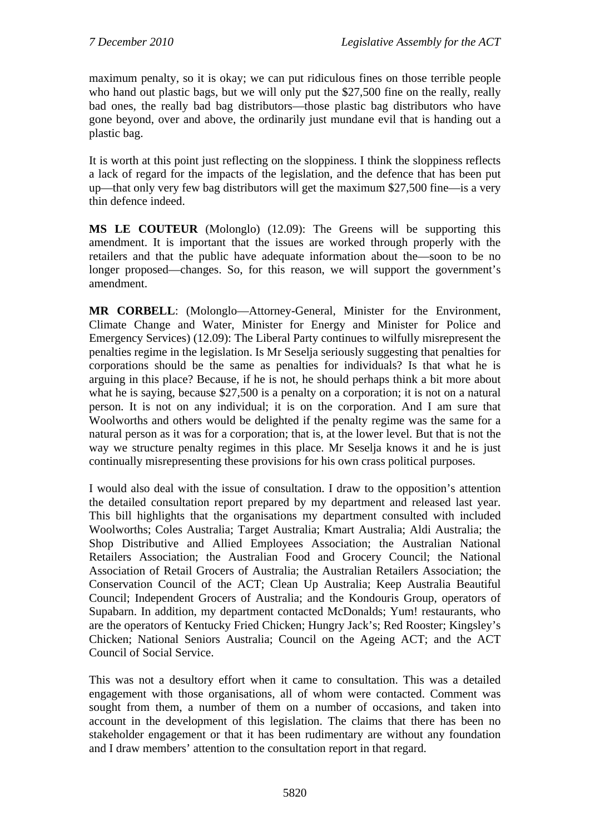maximum penalty, so it is okay; we can put ridiculous fines on those terrible people who hand out plastic bags, but we will only put the \$27,500 fine on the really, really bad ones, the really bad bag distributors—those plastic bag distributors who have gone beyond, over and above, the ordinarily just mundane evil that is handing out a plastic bag.

It is worth at this point just reflecting on the sloppiness. I think the sloppiness reflects a lack of regard for the impacts of the legislation, and the defence that has been put up—that only very few bag distributors will get the maximum \$27,500 fine—is a very thin defence indeed.

**MS LE COUTEUR** (Molonglo) (12.09): The Greens will be supporting this amendment. It is important that the issues are worked through properly with the retailers and that the public have adequate information about the—soon to be no longer proposed—changes. So, for this reason, we will support the government's amendment.

**MR CORBELL**: (Molonglo—Attorney-General, Minister for the Environment, Climate Change and Water, Minister for Energy and Minister for Police and Emergency Services) (12.09): The Liberal Party continues to wilfully misrepresent the penalties regime in the legislation. Is Mr Seselja seriously suggesting that penalties for corporations should be the same as penalties for individuals? Is that what he is arguing in this place? Because, if he is not, he should perhaps think a bit more about what he is saying, because \$27,500 is a penalty on a corporation; it is not on a natural person. It is not on any individual; it is on the corporation. And I am sure that Woolworths and others would be delighted if the penalty regime was the same for a natural person as it was for a corporation; that is, at the lower level. But that is not the way we structure penalty regimes in this place. Mr Seselja knows it and he is just continually misrepresenting these provisions for his own crass political purposes.

I would also deal with the issue of consultation. I draw to the opposition's attention the detailed consultation report prepared by my department and released last year. This bill highlights that the organisations my department consulted with included Woolworths; Coles Australia; Target Australia; Kmart Australia; Aldi Australia; the Shop Distributive and Allied Employees Association; the Australian National Retailers Association; the Australian Food and Grocery Council; the National Association of Retail Grocers of Australia; the Australian Retailers Association; the Conservation Council of the ACT; Clean Up Australia; Keep Australia Beautiful Council; Independent Grocers of Australia; and the Kondouris Group, operators of Supabarn. In addition, my department contacted McDonalds; Yum! restaurants, who are the operators of Kentucky Fried Chicken; Hungry Jack's; Red Rooster; Kingsley's Chicken; National Seniors Australia; Council on the Ageing ACT; and the ACT Council of Social Service.

This was not a desultory effort when it came to consultation. This was a detailed engagement with those organisations, all of whom were contacted. Comment was sought from them, a number of them on a number of occasions, and taken into account in the development of this legislation. The claims that there has been no stakeholder engagement or that it has been rudimentary are without any foundation and I draw members' attention to the consultation report in that regard.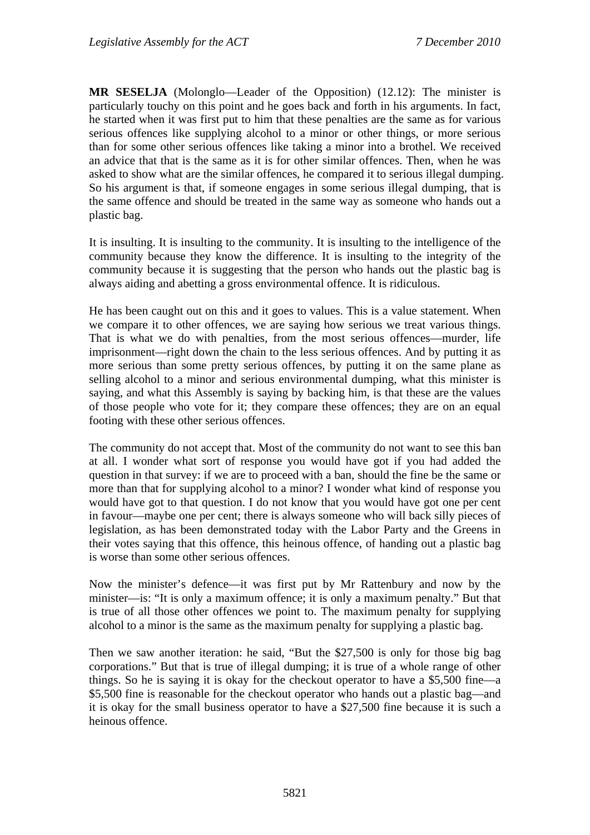**MR SESELJA** (Molonglo—Leader of the Opposition) (12.12): The minister is particularly touchy on this point and he goes back and forth in his arguments. In fact, he started when it was first put to him that these penalties are the same as for various serious offences like supplying alcohol to a minor or other things, or more serious than for some other serious offences like taking a minor into a brothel. We received an advice that that is the same as it is for other similar offences. Then, when he was asked to show what are the similar offences, he compared it to serious illegal dumping. So his argument is that, if someone engages in some serious illegal dumping, that is the same offence and should be treated in the same way as someone who hands out a plastic bag.

It is insulting. It is insulting to the community. It is insulting to the intelligence of the community because they know the difference. It is insulting to the integrity of the community because it is suggesting that the person who hands out the plastic bag is always aiding and abetting a gross environmental offence. It is ridiculous.

He has been caught out on this and it goes to values. This is a value statement. When we compare it to other offences, we are saying how serious we treat various things. That is what we do with penalties, from the most serious offences—murder, life imprisonment—right down the chain to the less serious offences. And by putting it as more serious than some pretty serious offences, by putting it on the same plane as selling alcohol to a minor and serious environmental dumping, what this minister is saying, and what this Assembly is saying by backing him, is that these are the values of those people who vote for it; they compare these offences; they are on an equal footing with these other serious offences.

The community do not accept that. Most of the community do not want to see this ban at all. I wonder what sort of response you would have got if you had added the question in that survey: if we are to proceed with a ban, should the fine be the same or more than that for supplying alcohol to a minor? I wonder what kind of response you would have got to that question. I do not know that you would have got one per cent in favour—maybe one per cent; there is always someone who will back silly pieces of legislation, as has been demonstrated today with the Labor Party and the Greens in their votes saying that this offence, this heinous offence, of handing out a plastic bag is worse than some other serious offences.

Now the minister's defence—it was first put by Mr Rattenbury and now by the minister—is: "It is only a maximum offence; it is only a maximum penalty." But that is true of all those other offences we point to. The maximum penalty for supplying alcohol to a minor is the same as the maximum penalty for supplying a plastic bag.

Then we saw another iteration: he said, "But the \$27,500 is only for those big bag corporations." But that is true of illegal dumping; it is true of a whole range of other things. So he is saying it is okay for the checkout operator to have a \$5,500 fine—a \$5,500 fine is reasonable for the checkout operator who hands out a plastic bag—and it is okay for the small business operator to have a \$27,500 fine because it is such a heinous offence.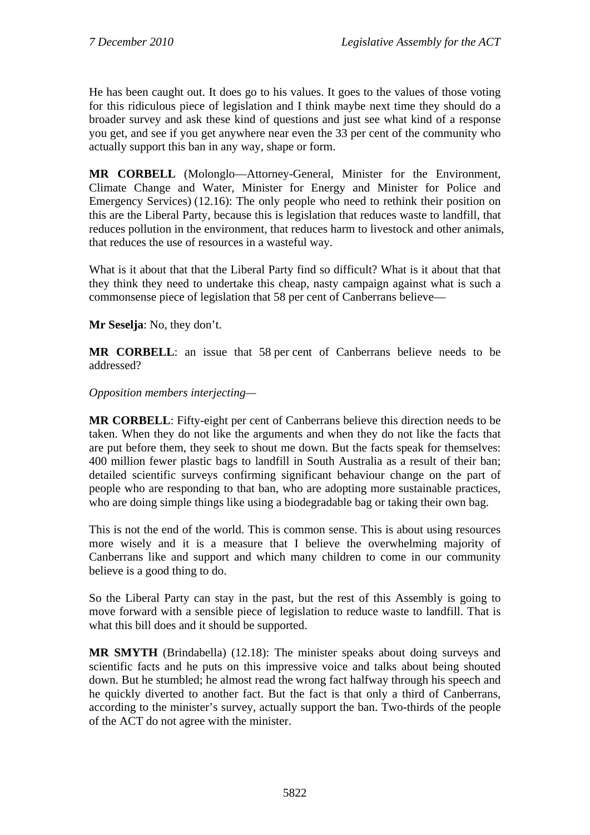He has been caught out. It does go to his values. It goes to the values of those voting for this ridiculous piece of legislation and I think maybe next time they should do a broader survey and ask these kind of questions and just see what kind of a response you get, and see if you get anywhere near even the 33 per cent of the community who actually support this ban in any way, shape or form.

**MR CORBELL** (Molonglo—Attorney-General, Minister for the Environment, Climate Change and Water, Minister for Energy and Minister for Police and Emergency Services) (12.16): The only people who need to rethink their position on this are the Liberal Party, because this is legislation that reduces waste to landfill, that reduces pollution in the environment, that reduces harm to livestock and other animals, that reduces the use of resources in a wasteful way.

What is it about that that the Liberal Party find so difficult? What is it about that that they think they need to undertake this cheap, nasty campaign against what is such a commonsense piece of legislation that 58 per cent of Canberrans believe—

**Mr Seselja**: No, they don't.

**MR CORBELL**: an issue that 58 per cent of Canberrans believe needs to be addressed?

#### *Opposition members interjecting—*

**MR CORBELL**: Fifty-eight per cent of Canberrans believe this direction needs to be taken. When they do not like the arguments and when they do not like the facts that are put before them, they seek to shout me down. But the facts speak for themselves: 400 million fewer plastic bags to landfill in South Australia as a result of their ban; detailed scientific surveys confirming significant behaviour change on the part of people who are responding to that ban, who are adopting more sustainable practices, who are doing simple things like using a biodegradable bag or taking their own bag.

This is not the end of the world. This is common sense. This is about using resources more wisely and it is a measure that I believe the overwhelming majority of Canberrans like and support and which many children to come in our community believe is a good thing to do.

So the Liberal Party can stay in the past, but the rest of this Assembly is going to move forward with a sensible piece of legislation to reduce waste to landfill. That is what this bill does and it should be supported.

**MR SMYTH** (Brindabella) (12.18): The minister speaks about doing surveys and scientific facts and he puts on this impressive voice and talks about being shouted down. But he stumbled; he almost read the wrong fact halfway through his speech and he quickly diverted to another fact. But the fact is that only a third of Canberrans, according to the minister's survey, actually support the ban. Two-thirds of the people of the ACT do not agree with the minister.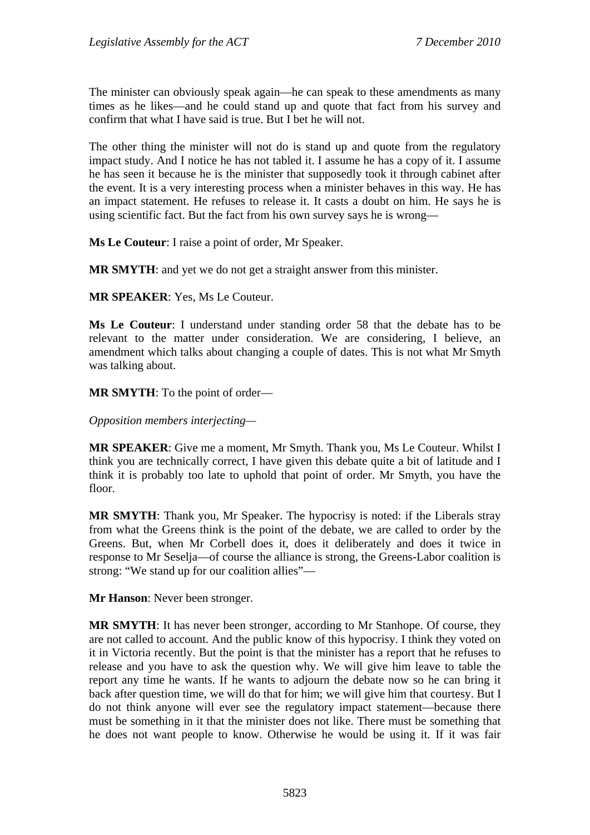The minister can obviously speak again—he can speak to these amendments as many times as he likes—and he could stand up and quote that fact from his survey and confirm that what I have said is true. But I bet he will not.

The other thing the minister will not do is stand up and quote from the regulatory impact study. And I notice he has not tabled it. I assume he has a copy of it. I assume he has seen it because he is the minister that supposedly took it through cabinet after the event. It is a very interesting process when a minister behaves in this way. He has an impact statement. He refuses to release it. It casts a doubt on him. He says he is using scientific fact. But the fact from his own survey says he is wrong—

**Ms Le Couteur**: I raise a point of order, Mr Speaker.

**MR SMYTH**: and yet we do not get a straight answer from this minister.

**MR SPEAKER**: Yes, Ms Le Couteur.

**Ms Le Couteur**: I understand under standing order 58 that the debate has to be relevant to the matter under consideration. We are considering, I believe, an amendment which talks about changing a couple of dates. This is not what Mr Smyth was talking about.

**MR SMYTH**: To the point of order—

*Opposition members interjecting—* 

**MR SPEAKER**: Give me a moment, Mr Smyth. Thank you, Ms Le Couteur. Whilst I think you are technically correct, I have given this debate quite a bit of latitude and I think it is probably too late to uphold that point of order. Mr Smyth, you have the floor.

**MR SMYTH**: Thank you, Mr Speaker. The hypocrisy is noted: if the Liberals stray from what the Greens think is the point of the debate, we are called to order by the Greens. But, when Mr Corbell does it, does it deliberately and does it twice in response to Mr Seselja—of course the alliance is strong, the Greens-Labor coalition is strong: "We stand up for our coalition allies"—

**Mr Hanson**: Never been stronger.

**MR SMYTH**: It has never been stronger, according to Mr Stanhope. Of course, they are not called to account. And the public know of this hypocrisy. I think they voted on it in Victoria recently. But the point is that the minister has a report that he refuses to release and you have to ask the question why. We will give him leave to table the report any time he wants. If he wants to adjourn the debate now so he can bring it back after question time, we will do that for him; we will give him that courtesy. But I do not think anyone will ever see the regulatory impact statement—because there must be something in it that the minister does not like. There must be something that he does not want people to know. Otherwise he would be using it. If it was fair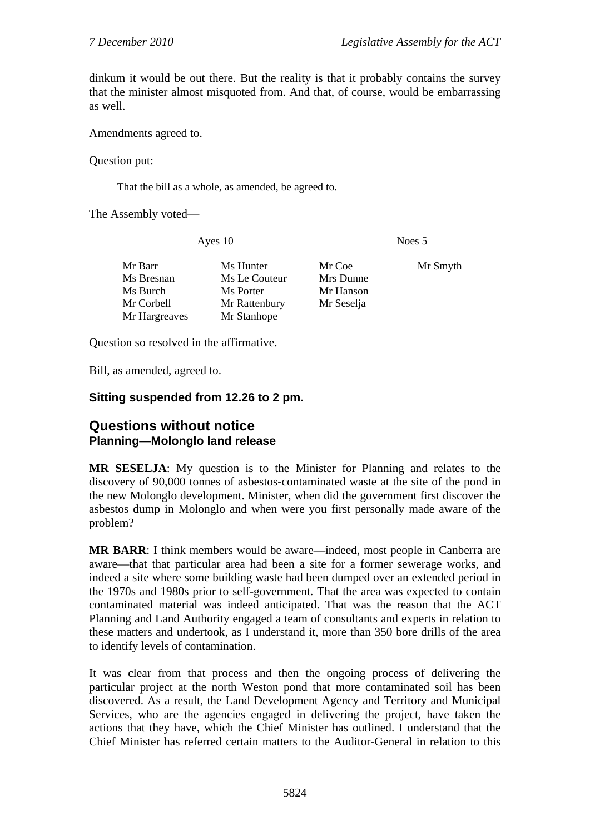dinkum it would be out there. But the reality is that it probably contains the survey that the minister almost misquoted from. And that, of course, would be embarrassing as well.

Amendments agreed to.

Question put:

That the bill as a whole, as amended, be agreed to.

The Assembly voted—

Ayes 10 Noes 5

| Mr Barr       | Ms Hunter     | Mr Coe     | Mr Smyth |
|---------------|---------------|------------|----------|
| Ms Bresnan    | Ms Le Couteur | Mrs Dunne  |          |
| Ms Burch      | Ms Porter     | Mr Hanson  |          |
| Mr Corbell    | Mr Rattenbury | Mr Seselja |          |
| Mr Hargreaves | Mr Stanhope   |            |          |

Question so resolved in the affirmative.

Bill, as amended, agreed to.

### **Sitting suspended from 12.26 to 2 pm.**

## **Questions without notice Planning—Molonglo land release**

**MR SESELJA**: My question is to the Minister for Planning and relates to the discovery of 90,000 tonnes of asbestos-contaminated waste at the site of the pond in the new Molonglo development. Minister, when did the government first discover the asbestos dump in Molonglo and when were you first personally made aware of the problem?

**MR BARR**: I think members would be aware—indeed, most people in Canberra are aware—that that particular area had been a site for a former sewerage works, and indeed a site where some building waste had been dumped over an extended period in the 1970s and 1980s prior to self-government. That the area was expected to contain contaminated material was indeed anticipated. That was the reason that the ACT Planning and Land Authority engaged a team of consultants and experts in relation to these matters and undertook, as I understand it, more than 350 bore drills of the area to identify levels of contamination.

It was clear from that process and then the ongoing process of delivering the particular project at the north Weston pond that more contaminated soil has been discovered. As a result, the Land Development Agency and Territory and Municipal Services, who are the agencies engaged in delivering the project, have taken the actions that they have, which the Chief Minister has outlined. I understand that the Chief Minister has referred certain matters to the Auditor-General in relation to this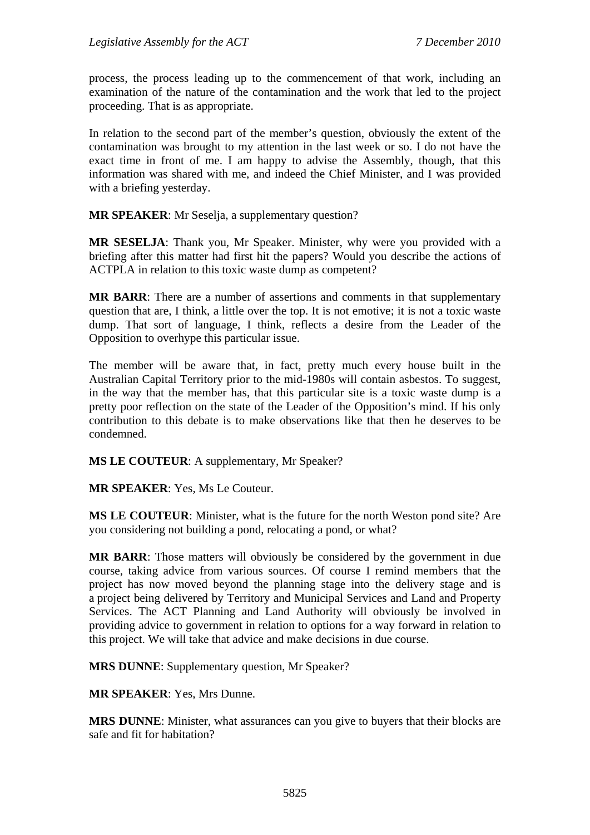process, the process leading up to the commencement of that work, including an examination of the nature of the contamination and the work that led to the project proceeding. That is as appropriate.

In relation to the second part of the member's question, obviously the extent of the contamination was brought to my attention in the last week or so. I do not have the exact time in front of me. I am happy to advise the Assembly, though, that this information was shared with me, and indeed the Chief Minister, and I was provided with a briefing yesterday.

**MR SPEAKER**: Mr Seselja, a supplementary question?

**MR SESELJA**: Thank you, Mr Speaker. Minister, why were you provided with a briefing after this matter had first hit the papers? Would you describe the actions of ACTPLA in relation to this toxic waste dump as competent?

**MR BARR**: There are a number of assertions and comments in that supplementary question that are, I think, a little over the top. It is not emotive; it is not a toxic waste dump. That sort of language, I think, reflects a desire from the Leader of the Opposition to overhype this particular issue.

The member will be aware that, in fact, pretty much every house built in the Australian Capital Territory prior to the mid-1980s will contain asbestos. To suggest, in the way that the member has, that this particular site is a toxic waste dump is a pretty poor reflection on the state of the Leader of the Opposition's mind. If his only contribution to this debate is to make observations like that then he deserves to be condemned.

**MS LE COUTEUR**: A supplementary, Mr Speaker?

**MR SPEAKER**: Yes, Ms Le Couteur.

**MS LE COUTEUR**: Minister, what is the future for the north Weston pond site? Are you considering not building a pond, relocating a pond, or what?

**MR BARR**: Those matters will obviously be considered by the government in due course, taking advice from various sources. Of course I remind members that the project has now moved beyond the planning stage into the delivery stage and is a project being delivered by Territory and Municipal Services and Land and Property Services. The ACT Planning and Land Authority will obviously be involved in providing advice to government in relation to options for a way forward in relation to this project. We will take that advice and make decisions in due course.

**MRS DUNNE**: Supplementary question, Mr Speaker?

**MR SPEAKER**: Yes, Mrs Dunne.

**MRS DUNNE**: Minister, what assurances can you give to buyers that their blocks are safe and fit for habitation?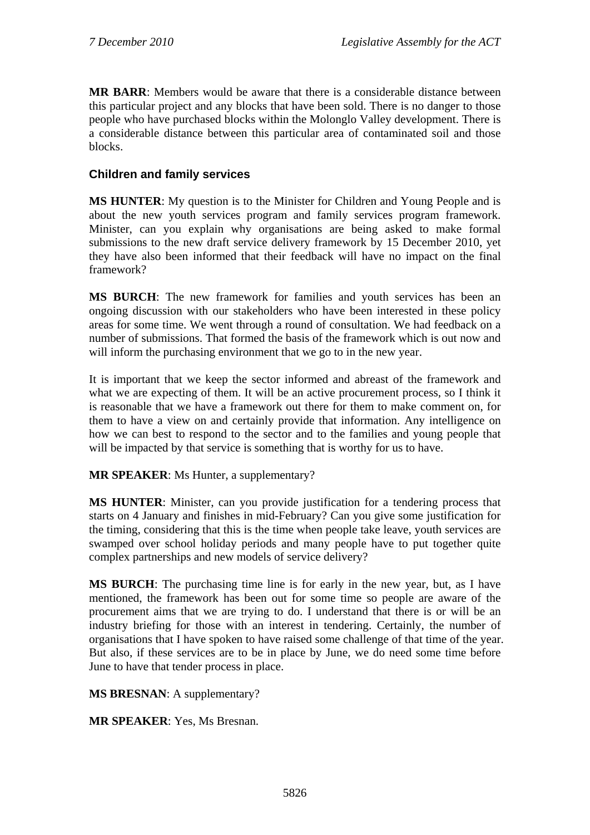**MR BARR**: Members would be aware that there is a considerable distance between this particular project and any blocks that have been sold. There is no danger to those people who have purchased blocks within the Molonglo Valley development. There is a considerable distance between this particular area of contaminated soil and those blocks.

### **Children and family services**

**MS HUNTER**: My question is to the Minister for Children and Young People and is about the new youth services program and family services program framework. Minister, can you explain why organisations are being asked to make formal submissions to the new draft service delivery framework by 15 December 2010, yet they have also been informed that their feedback will have no impact on the final framework?

**MS BURCH**: The new framework for families and youth services has been an ongoing discussion with our stakeholders who have been interested in these policy areas for some time. We went through a round of consultation. We had feedback on a number of submissions. That formed the basis of the framework which is out now and will inform the purchasing environment that we go to in the new year.

It is important that we keep the sector informed and abreast of the framework and what we are expecting of them. It will be an active procurement process, so I think it is reasonable that we have a framework out there for them to make comment on, for them to have a view on and certainly provide that information. Any intelligence on how we can best to respond to the sector and to the families and young people that will be impacted by that service is something that is worthy for us to have.

**MR SPEAKER**: Ms Hunter, a supplementary?

**MS HUNTER**: Minister, can you provide justification for a tendering process that starts on 4 January and finishes in mid-February? Can you give some justification for the timing, considering that this is the time when people take leave, youth services are swamped over school holiday periods and many people have to put together quite complex partnerships and new models of service delivery?

**MS BURCH**: The purchasing time line is for early in the new year, but, as I have mentioned, the framework has been out for some time so people are aware of the procurement aims that we are trying to do. I understand that there is or will be an industry briefing for those with an interest in tendering. Certainly, the number of organisations that I have spoken to have raised some challenge of that time of the year. But also, if these services are to be in place by June, we do need some time before June to have that tender process in place.

**MS BRESNAN**: A supplementary?

**MR SPEAKER**: Yes, Ms Bresnan.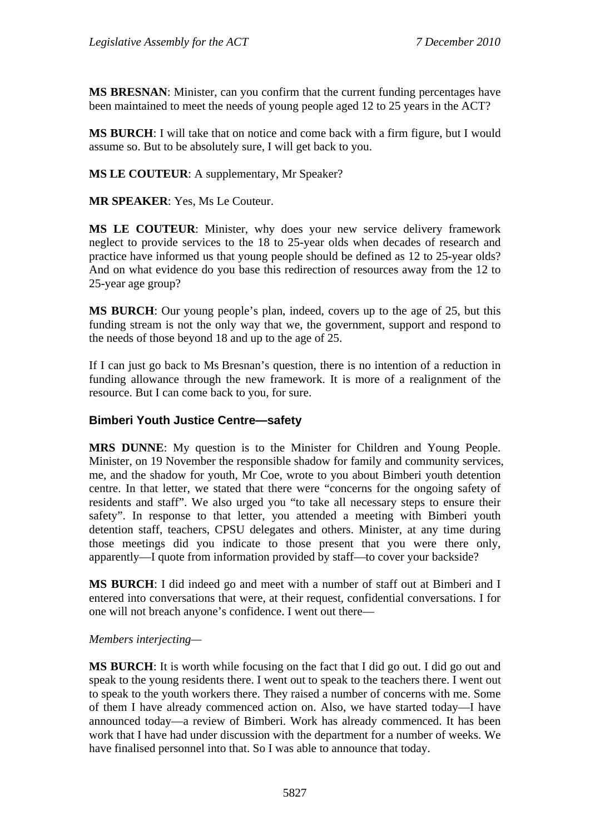**MS BRESNAN**: Minister, can you confirm that the current funding percentages have been maintained to meet the needs of young people aged 12 to 25 years in the ACT?

**MS BURCH**: I will take that on notice and come back with a firm figure, but I would assume so. But to be absolutely sure, I will get back to you.

**MS LE COUTEUR**: A supplementary, Mr Speaker?

**MR SPEAKER**: Yes, Ms Le Couteur.

**MS LE COUTEUR**: Minister, why does your new service delivery framework neglect to provide services to the 18 to 25-year olds when decades of research and practice have informed us that young people should be defined as 12 to 25-year olds? And on what evidence do you base this redirection of resources away from the 12 to 25-year age group?

**MS BURCH**: Our young people's plan, indeed, covers up to the age of 25, but this funding stream is not the only way that we, the government, support and respond to the needs of those beyond 18 and up to the age of 25.

If I can just go back to Ms Bresnan's question, there is no intention of a reduction in funding allowance through the new framework. It is more of a realignment of the resource. But I can come back to you, for sure.

#### **Bimberi Youth Justice Centre—safety**

**MRS DUNNE**: My question is to the Minister for Children and Young People. Minister, on 19 November the responsible shadow for family and community services, me, and the shadow for youth, Mr Coe, wrote to you about Bimberi youth detention centre. In that letter, we stated that there were "concerns for the ongoing safety of residents and staff". We also urged you "to take all necessary steps to ensure their safety". In response to that letter, you attended a meeting with Bimberi youth detention staff, teachers, CPSU delegates and others. Minister, at any time during those meetings did you indicate to those present that you were there only, apparently—I quote from information provided by staff—to cover your backside?

**MS BURCH**: I did indeed go and meet with a number of staff out at Bimberi and I entered into conversations that were, at their request, confidential conversations. I for one will not breach anyone's confidence. I went out there—

#### *Members interjecting—*

**MS BURCH**: It is worth while focusing on the fact that I did go out. I did go out and speak to the young residents there. I went out to speak to the teachers there. I went out to speak to the youth workers there. They raised a number of concerns with me. Some of them I have already commenced action on. Also, we have started today—I have announced today—a review of Bimberi. Work has already commenced. It has been work that I have had under discussion with the department for a number of weeks. We have finalised personnel into that. So I was able to announce that today.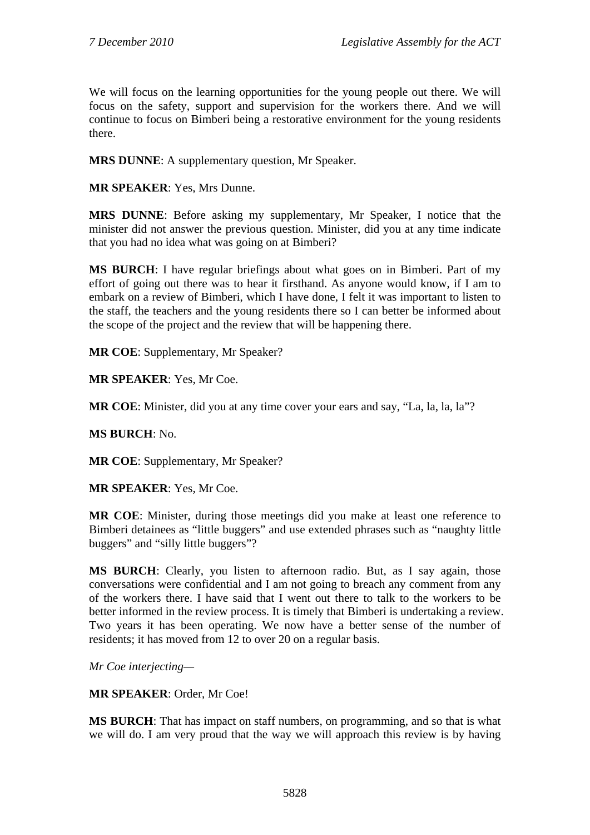We will focus on the learning opportunities for the young people out there. We will focus on the safety, support and supervision for the workers there. And we will continue to focus on Bimberi being a restorative environment for the young residents there.

**MRS DUNNE**: A supplementary question, Mr Speaker.

**MR SPEAKER**: Yes, Mrs Dunne.

**MRS DUNNE**: Before asking my supplementary, Mr Speaker, I notice that the minister did not answer the previous question. Minister, did you at any time indicate that you had no idea what was going on at Bimberi?

**MS BURCH**: I have regular briefings about what goes on in Bimberi. Part of my effort of going out there was to hear it firsthand. As anyone would know, if I am to embark on a review of Bimberi, which I have done, I felt it was important to listen to the staff, the teachers and the young residents there so I can better be informed about the scope of the project and the review that will be happening there.

**MR COE**: Supplementary, Mr Speaker?

**MR SPEAKER**: Yes, Mr Coe.

**MR COE**: Minister, did you at any time cover your ears and say, "La, la, la, la"?

**MS BURCH**: No.

**MR COE**: Supplementary, Mr Speaker?

**MR SPEAKER**: Yes, Mr Coe.

**MR COE**: Minister, during those meetings did you make at least one reference to Bimberi detainees as "little buggers" and use extended phrases such as "naughty little buggers" and "silly little buggers"?

**MS BURCH**: Clearly, you listen to afternoon radio. But, as I say again, those conversations were confidential and I am not going to breach any comment from any of the workers there. I have said that I went out there to talk to the workers to be better informed in the review process. It is timely that Bimberi is undertaking a review. Two years it has been operating. We now have a better sense of the number of residents; it has moved from 12 to over 20 on a regular basis.

*Mr Coe interjecting—* 

**MR SPEAKER**: Order, Mr Coe!

**MS BURCH**: That has impact on staff numbers, on programming, and so that is what we will do. I am very proud that the way we will approach this review is by having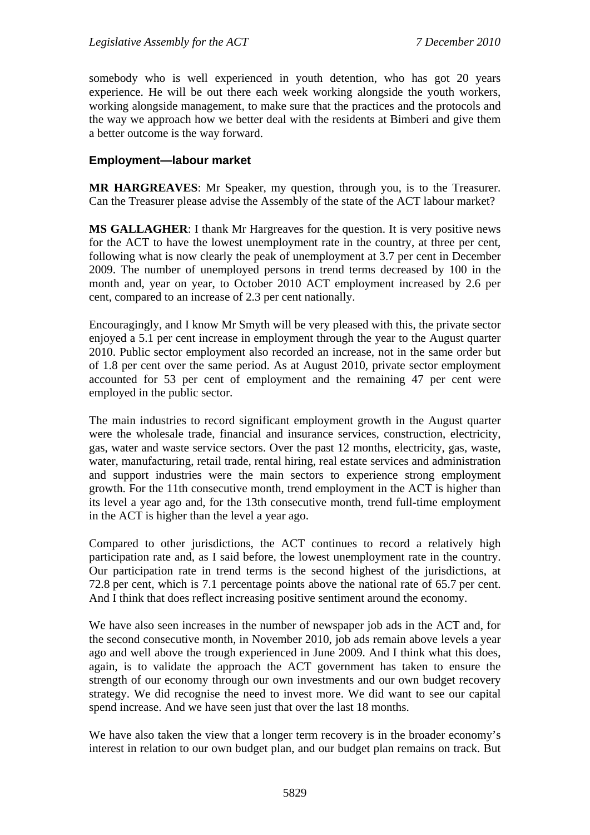somebody who is well experienced in youth detention, who has got 20 years experience. He will be out there each week working alongside the youth workers, working alongside management, to make sure that the practices and the protocols and the way we approach how we better deal with the residents at Bimberi and give them a better outcome is the way forward.

### **Employment—labour market**

**MR HARGREAVES**: Mr Speaker, my question, through you, is to the Treasurer. Can the Treasurer please advise the Assembly of the state of the ACT labour market?

**MS GALLAGHER**: I thank Mr Hargreaves for the question. It is very positive news for the ACT to have the lowest unemployment rate in the country, at three per cent, following what is now clearly the peak of unemployment at 3.7 per cent in December 2009. The number of unemployed persons in trend terms decreased by 100 in the month and, year on year, to October 2010 ACT employment increased by 2.6 per cent, compared to an increase of 2.3 per cent nationally.

Encouragingly, and I know Mr Smyth will be very pleased with this, the private sector enjoyed a 5.1 per cent increase in employment through the year to the August quarter 2010. Public sector employment also recorded an increase, not in the same order but of 1.8 per cent over the same period. As at August 2010, private sector employment accounted for 53 per cent of employment and the remaining 47 per cent were employed in the public sector.

The main industries to record significant employment growth in the August quarter were the wholesale trade, financial and insurance services, construction, electricity, gas, water and waste service sectors. Over the past 12 months, electricity, gas, waste, water, manufacturing, retail trade, rental hiring, real estate services and administration and support industries were the main sectors to experience strong employment growth. For the 11th consecutive month, trend employment in the ACT is higher than its level a year ago and, for the 13th consecutive month, trend full-time employment in the ACT is higher than the level a year ago.

Compared to other jurisdictions, the ACT continues to record a relatively high participation rate and, as I said before, the lowest unemployment rate in the country. Our participation rate in trend terms is the second highest of the jurisdictions, at 72.8 per cent, which is 7.1 percentage points above the national rate of 65.7 per cent. And I think that does reflect increasing positive sentiment around the economy.

We have also seen increases in the number of newspaper job ads in the ACT and, for the second consecutive month, in November 2010, job ads remain above levels a year ago and well above the trough experienced in June 2009. And I think what this does, again, is to validate the approach the ACT government has taken to ensure the strength of our economy through our own investments and our own budget recovery strategy. We did recognise the need to invest more. We did want to see our capital spend increase. And we have seen just that over the last 18 months.

We have also taken the view that a longer term recovery is in the broader economy's interest in relation to our own budget plan, and our budget plan remains on track. But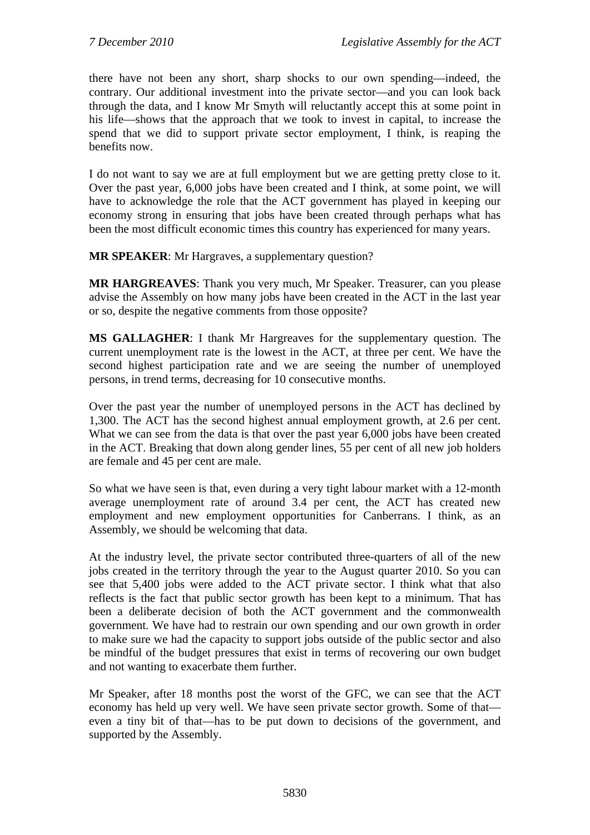there have not been any short, sharp shocks to our own spending—indeed, the contrary. Our additional investment into the private sector—and you can look back through the data, and I know Mr Smyth will reluctantly accept this at some point in his life—shows that the approach that we took to invest in capital, to increase the spend that we did to support private sector employment, I think, is reaping the benefits now.

I do not want to say we are at full employment but we are getting pretty close to it. Over the past year, 6,000 jobs have been created and I think, at some point, we will have to acknowledge the role that the ACT government has played in keeping our economy strong in ensuring that jobs have been created through perhaps what has been the most difficult economic times this country has experienced for many years.

**MR SPEAKER**: Mr Hargraves, a supplementary question?

**MR HARGREAVES**: Thank you very much, Mr Speaker. Treasurer, can you please advise the Assembly on how many jobs have been created in the ACT in the last year or so, despite the negative comments from those opposite?

**MS GALLAGHER**: I thank Mr Hargreaves for the supplementary question. The current unemployment rate is the lowest in the ACT, at three per cent. We have the second highest participation rate and we are seeing the number of unemployed persons, in trend terms, decreasing for 10 consecutive months.

Over the past year the number of unemployed persons in the ACT has declined by 1,300. The ACT has the second highest annual employment growth, at 2.6 per cent. What we can see from the data is that over the past year 6,000 jobs have been created in the ACT. Breaking that down along gender lines, 55 per cent of all new job holders are female and 45 per cent are male.

So what we have seen is that, even during a very tight labour market with a 12-month average unemployment rate of around 3.4 per cent, the ACT has created new employment and new employment opportunities for Canberrans. I think, as an Assembly, we should be welcoming that data.

At the industry level, the private sector contributed three-quarters of all of the new jobs created in the territory through the year to the August quarter 2010. So you can see that 5,400 jobs were added to the ACT private sector. I think what that also reflects is the fact that public sector growth has been kept to a minimum. That has been a deliberate decision of both the ACT government and the commonwealth government. We have had to restrain our own spending and our own growth in order to make sure we had the capacity to support jobs outside of the public sector and also be mindful of the budget pressures that exist in terms of recovering our own budget and not wanting to exacerbate them further.

Mr Speaker, after 18 months post the worst of the GFC, we can see that the ACT economy has held up very well. We have seen private sector growth. Some of that even a tiny bit of that—has to be put down to decisions of the government, and supported by the Assembly.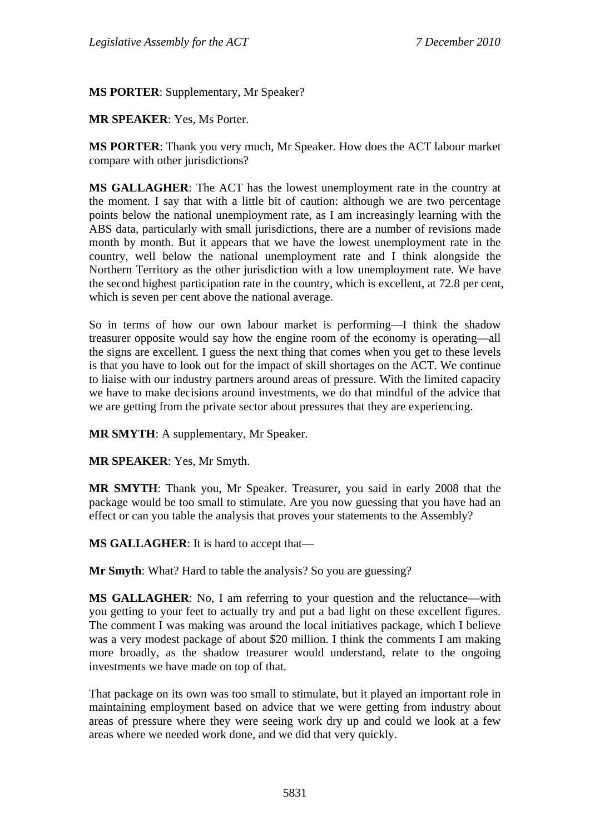**MS PORTER**: Supplementary, Mr Speaker?

**MR SPEAKER**: Yes, Ms Porter.

**MS PORTER**: Thank you very much, Mr Speaker. How does the ACT labour market compare with other jurisdictions?

**MS GALLAGHER**: The ACT has the lowest unemployment rate in the country at the moment. I say that with a little bit of caution: although we are two percentage points below the national unemployment rate, as I am increasingly learning with the ABS data, particularly with small jurisdictions, there are a number of revisions made month by month. But it appears that we have the lowest unemployment rate in the country, well below the national unemployment rate and I think alongside the Northern Territory as the other jurisdiction with a low unemployment rate. We have the second highest participation rate in the country, which is excellent, at 72.8 per cent, which is seven per cent above the national average.

So in terms of how our own labour market is performing—I think the shadow treasurer opposite would say how the engine room of the economy is operating—all the signs are excellent. I guess the next thing that comes when you get to these levels is that you have to look out for the impact of skill shortages on the ACT. We continue to liaise with our industry partners around areas of pressure. With the limited capacity we have to make decisions around investments, we do that mindful of the advice that we are getting from the private sector about pressures that they are experiencing.

**MR SMYTH**: A supplementary, Mr Speaker.

**MR SPEAKER**: Yes, Mr Smyth.

**MR SMYTH**: Thank you, Mr Speaker. Treasurer, you said in early 2008 that the package would be too small to stimulate. Are you now guessing that you have had an effect or can you table the analysis that proves your statements to the Assembly?

**MS GALLAGHER**: It is hard to accept that—

**Mr Smyth**: What? Hard to table the analysis? So you are guessing?

**MS GALLAGHER**: No, I am referring to your question and the reluctance—with you getting to your feet to actually try and put a bad light on these excellent figures. The comment I was making was around the local initiatives package, which I believe was a very modest package of about \$20 million. I think the comments I am making more broadly, as the shadow treasurer would understand, relate to the ongoing investments we have made on top of that.

That package on its own was too small to stimulate, but it played an important role in maintaining employment based on advice that we were getting from industry about areas of pressure where they were seeing work dry up and could we look at a few areas where we needed work done, and we did that very quickly.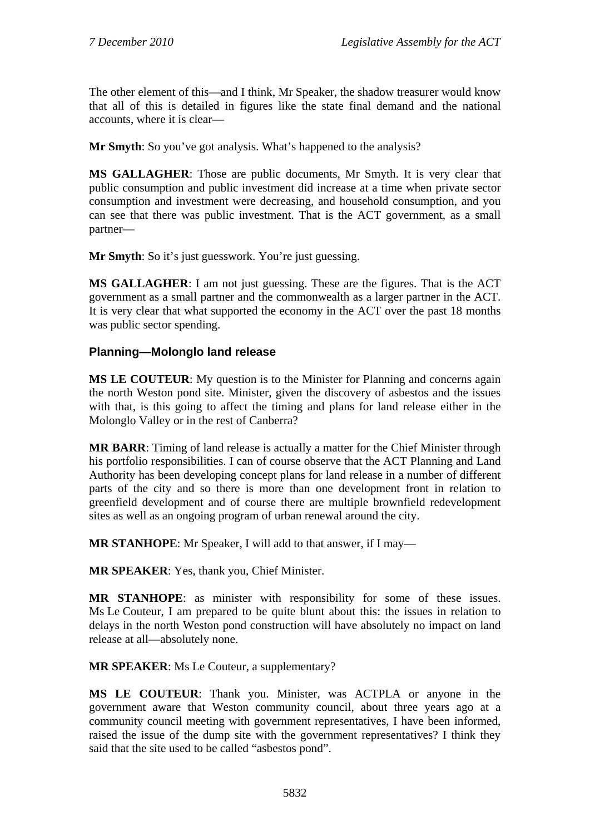The other element of this—and I think, Mr Speaker, the shadow treasurer would know that all of this is detailed in figures like the state final demand and the national accounts, where it is clear—

**Mr Smyth**: So you've got analysis. What's happened to the analysis?

**MS GALLAGHER**: Those are public documents, Mr Smyth. It is very clear that public consumption and public investment did increase at a time when private sector consumption and investment were decreasing, and household consumption, and you can see that there was public investment. That is the ACT government, as a small partner—

**Mr Smyth**: So it's just guesswork. You're just guessing.

**MS GALLAGHER**: I am not just guessing. These are the figures. That is the ACT government as a small partner and the commonwealth as a larger partner in the ACT. It is very clear that what supported the economy in the ACT over the past 18 months was public sector spending.

## **Planning—Molonglo land release**

**MS LE COUTEUR**: My question is to the Minister for Planning and concerns again the north Weston pond site. Minister, given the discovery of asbestos and the issues with that, is this going to affect the timing and plans for land release either in the Molonglo Valley or in the rest of Canberra?

**MR BARR**: Timing of land release is actually a matter for the Chief Minister through his portfolio responsibilities. I can of course observe that the ACT Planning and Land Authority has been developing concept plans for land release in a number of different parts of the city and so there is more than one development front in relation to greenfield development and of course there are multiple brownfield redevelopment sites as well as an ongoing program of urban renewal around the city.

**MR STANHOPE**: Mr Speaker, I will add to that answer, if I may—

**MR SPEAKER**: Yes, thank you, Chief Minister.

**MR STANHOPE**: as minister with responsibility for some of these issues. Ms Le Couteur, I am prepared to be quite blunt about this: the issues in relation to delays in the north Weston pond construction will have absolutely no impact on land release at all—absolutely none.

**MR SPEAKER**: Ms Le Couteur, a supplementary?

**MS LE COUTEUR**: Thank you. Minister, was ACTPLA or anyone in the government aware that Weston community council, about three years ago at a community council meeting with government representatives, I have been informed, raised the issue of the dump site with the government representatives? I think they said that the site used to be called "asbestos pond".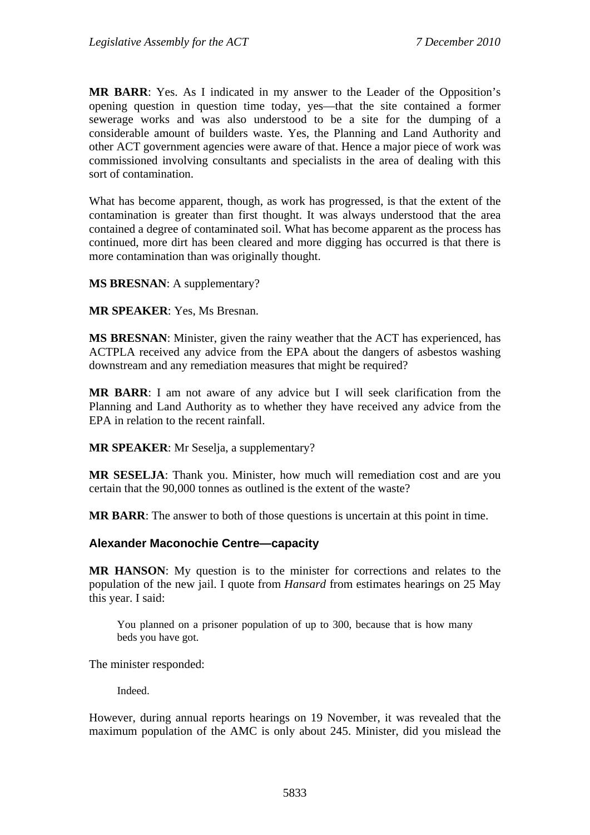**MR BARR**: Yes. As I indicated in my answer to the Leader of the Opposition's opening question in question time today, yes—that the site contained a former sewerage works and was also understood to be a site for the dumping of a considerable amount of builders waste. Yes, the Planning and Land Authority and other ACT government agencies were aware of that. Hence a major piece of work was commissioned involving consultants and specialists in the area of dealing with this sort of contamination.

What has become apparent, though, as work has progressed, is that the extent of the contamination is greater than first thought. It was always understood that the area contained a degree of contaminated soil. What has become apparent as the process has continued, more dirt has been cleared and more digging has occurred is that there is more contamination than was originally thought.

**MS BRESNAN**: A supplementary?

**MR SPEAKER**: Yes, Ms Bresnan.

**MS BRESNAN**: Minister, given the rainy weather that the ACT has experienced, has ACTPLA received any advice from the EPA about the dangers of asbestos washing downstream and any remediation measures that might be required?

**MR BARR**: I am not aware of any advice but I will seek clarification from the Planning and Land Authority as to whether they have received any advice from the EPA in relation to the recent rainfall.

**MR SPEAKER**: Mr Seselja, a supplementary?

**MR SESELJA**: Thank you. Minister, how much will remediation cost and are you certain that the 90,000 tonnes as outlined is the extent of the waste?

**MR BARR**: The answer to both of those questions is uncertain at this point in time.

#### **Alexander Maconochie Centre—capacity**

**MR HANSON**: My question is to the minister for corrections and relates to the population of the new jail. I quote from *Hansard* from estimates hearings on 25 May this year. I said:

You planned on a prisoner population of up to 300, because that is how many beds you have got.

The minister responded:

**Indeed** 

However, during annual reports hearings on 19 November, it was revealed that the maximum population of the AMC is only about 245. Minister, did you mislead the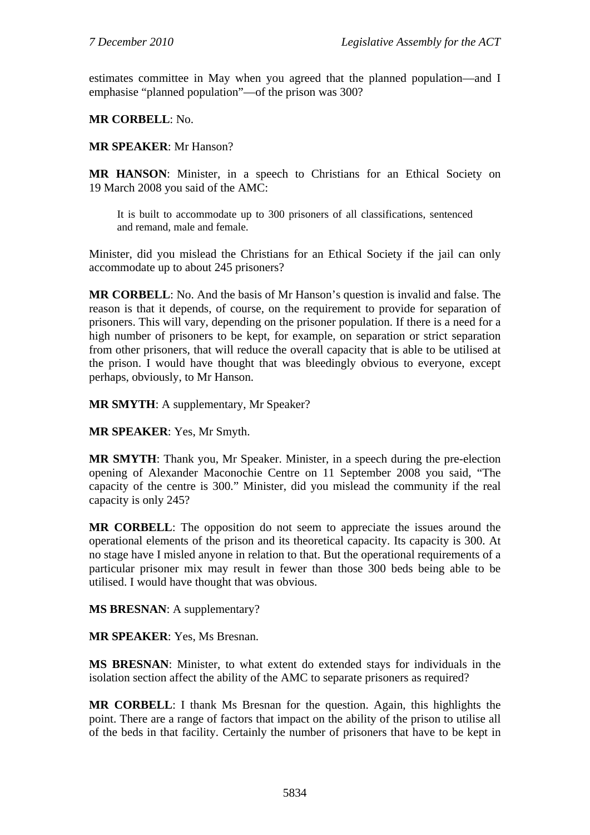estimates committee in May when you agreed that the planned population—and I emphasise "planned population"—of the prison was 300?

**MR CORBELL**: No.

### **MR SPEAKER**: Mr Hanson?

**MR HANSON**: Minister, in a speech to Christians for an Ethical Society on 19 March 2008 you said of the AMC:

It is built to accommodate up to 300 prisoners of all classifications, sentenced and remand, male and female.

Minister, did you mislead the Christians for an Ethical Society if the jail can only accommodate up to about 245 prisoners?

**MR CORBELL**: No. And the basis of Mr Hanson's question is invalid and false. The reason is that it depends, of course, on the requirement to provide for separation of prisoners. This will vary, depending on the prisoner population. If there is a need for a high number of prisoners to be kept, for example, on separation or strict separation from other prisoners, that will reduce the overall capacity that is able to be utilised at the prison. I would have thought that was bleedingly obvious to everyone, except perhaps, obviously, to Mr Hanson.

**MR SMYTH**: A supplementary, Mr Speaker?

**MR SPEAKER**: Yes, Mr Smyth.

**MR SMYTH**: Thank you, Mr Speaker. Minister, in a speech during the pre-election opening of Alexander Maconochie Centre on 11 September 2008 you said, "The capacity of the centre is 300." Minister, did you mislead the community if the real capacity is only 245?

**MR CORBELL**: The opposition do not seem to appreciate the issues around the operational elements of the prison and its theoretical capacity. Its capacity is 300. At no stage have I misled anyone in relation to that. But the operational requirements of a particular prisoner mix may result in fewer than those 300 beds being able to be utilised. I would have thought that was obvious.

**MS BRESNAN**: A supplementary?

**MR SPEAKER**: Yes, Ms Bresnan.

**MS BRESNAN**: Minister, to what extent do extended stays for individuals in the isolation section affect the ability of the AMC to separate prisoners as required?

**MR CORBELL**: I thank Ms Bresnan for the question. Again, this highlights the point. There are a range of factors that impact on the ability of the prison to utilise all of the beds in that facility. Certainly the number of prisoners that have to be kept in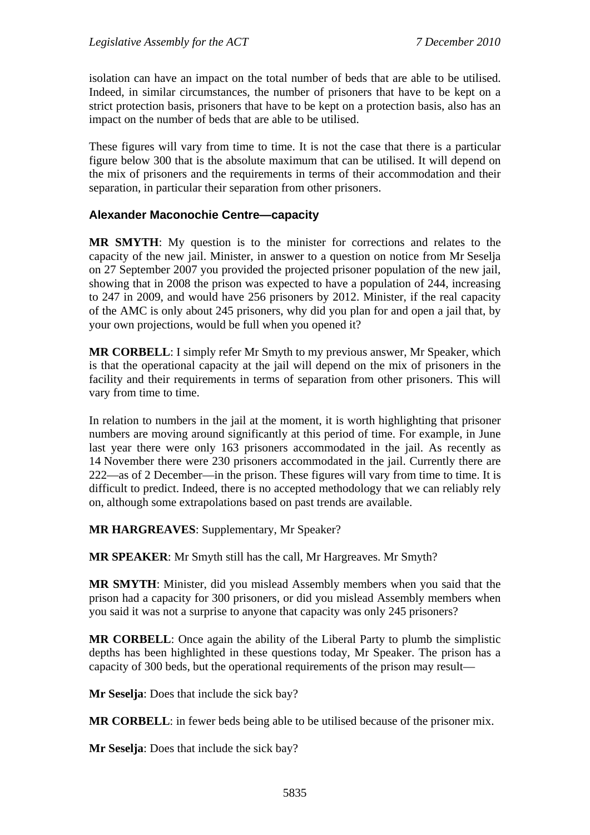isolation can have an impact on the total number of beds that are able to be utilised. Indeed, in similar circumstances, the number of prisoners that have to be kept on a strict protection basis, prisoners that have to be kept on a protection basis, also has an impact on the number of beds that are able to be utilised.

These figures will vary from time to time. It is not the case that there is a particular figure below 300 that is the absolute maximum that can be utilised. It will depend on the mix of prisoners and the requirements in terms of their accommodation and their separation, in particular their separation from other prisoners.

### **Alexander Maconochie Centre—capacity**

**MR SMYTH**: My question is to the minister for corrections and relates to the capacity of the new jail. Minister, in answer to a question on notice from Mr Seselja on 27 September 2007 you provided the projected prisoner population of the new jail, showing that in 2008 the prison was expected to have a population of 244, increasing to 247 in 2009, and would have 256 prisoners by 2012. Minister, if the real capacity of the AMC is only about 245 prisoners, why did you plan for and open a jail that, by your own projections, would be full when you opened it?

**MR CORBELL**: I simply refer Mr Smyth to my previous answer, Mr Speaker, which is that the operational capacity at the jail will depend on the mix of prisoners in the facility and their requirements in terms of separation from other prisoners. This will vary from time to time.

In relation to numbers in the jail at the moment, it is worth highlighting that prisoner numbers are moving around significantly at this period of time. For example, in June last year there were only 163 prisoners accommodated in the jail. As recently as 14 November there were 230 prisoners accommodated in the jail. Currently there are 222—as of 2 December—in the prison. These figures will vary from time to time. It is difficult to predict. Indeed, there is no accepted methodology that we can reliably rely on, although some extrapolations based on past trends are available.

**MR HARGREAVES**: Supplementary, Mr Speaker?

**MR SPEAKER**: Mr Smyth still has the call, Mr Hargreaves. Mr Smyth?

**MR SMYTH**: Minister, did you mislead Assembly members when you said that the prison had a capacity for 300 prisoners, or did you mislead Assembly members when you said it was not a surprise to anyone that capacity was only 245 prisoners?

**MR CORBELL**: Once again the ability of the Liberal Party to plumb the simplistic depths has been highlighted in these questions today, Mr Speaker. The prison has a capacity of 300 beds, but the operational requirements of the prison may result—

**Mr Seselja**: Does that include the sick bay?

**MR CORBELL**: in fewer beds being able to be utilised because of the prisoner mix.

**Mr Seselja**: Does that include the sick bay?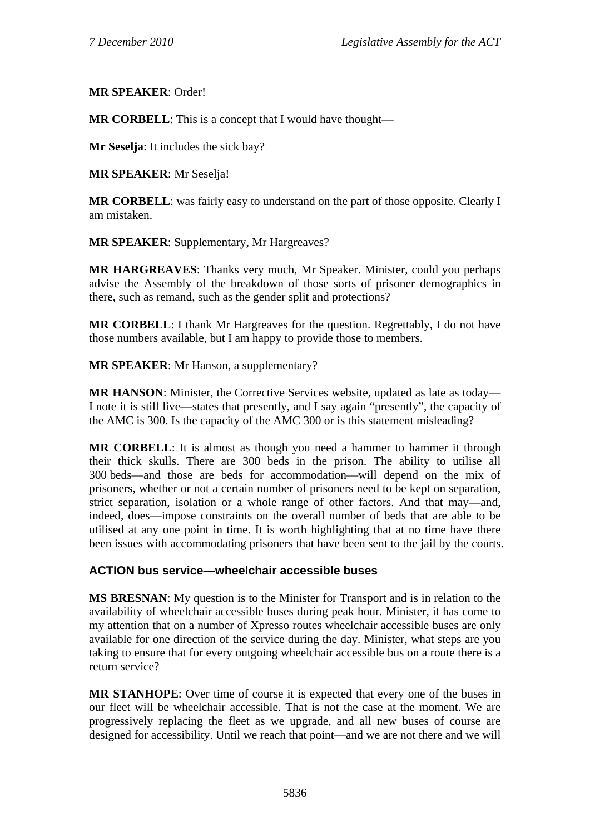### **MR SPEAKER**: Order!

**MR CORBELL**: This is a concept that I would have thought—

**Mr Seselja**: It includes the sick bay?

**MR SPEAKER**: Mr Seselja!

**MR CORBELL:** was fairly easy to understand on the part of those opposite. Clearly I am mistaken.

**MR SPEAKER**: Supplementary, Mr Hargreaves?

**MR HARGREAVES**: Thanks very much, Mr Speaker. Minister, could you perhaps advise the Assembly of the breakdown of those sorts of prisoner demographics in there, such as remand, such as the gender split and protections?

**MR CORBELL**: I thank Mr Hargreaves for the question. Regrettably, I do not have those numbers available, but I am happy to provide those to members.

**MR SPEAKER**: Mr Hanson, a supplementary?

**MR HANSON**: Minister, the Corrective Services website, updated as late as today— I note it is still live—states that presently, and I say again "presently", the capacity of the AMC is 300. Is the capacity of the AMC 300 or is this statement misleading?

**MR CORBELL**: It is almost as though you need a hammer to hammer it through their thick skulls. There are 300 beds in the prison. The ability to utilise all 300 beds—and those are beds for accommodation—will depend on the mix of prisoners, whether or not a certain number of prisoners need to be kept on separation, strict separation, isolation or a whole range of other factors. And that may—and, indeed, does—impose constraints on the overall number of beds that are able to be utilised at any one point in time. It is worth highlighting that at no time have there been issues with accommodating prisoners that have been sent to the jail by the courts.

## **ACTION bus service—wheelchair accessible buses**

**MS BRESNAN**: My question is to the Minister for Transport and is in relation to the availability of wheelchair accessible buses during peak hour. Minister, it has come to my attention that on a number of Xpresso routes wheelchair accessible buses are only available for one direction of the service during the day. Minister, what steps are you taking to ensure that for every outgoing wheelchair accessible bus on a route there is a return service?

**MR STANHOPE**: Over time of course it is expected that every one of the buses in our fleet will be wheelchair accessible. That is not the case at the moment. We are progressively replacing the fleet as we upgrade, and all new buses of course are designed for accessibility. Until we reach that point—and we are not there and we will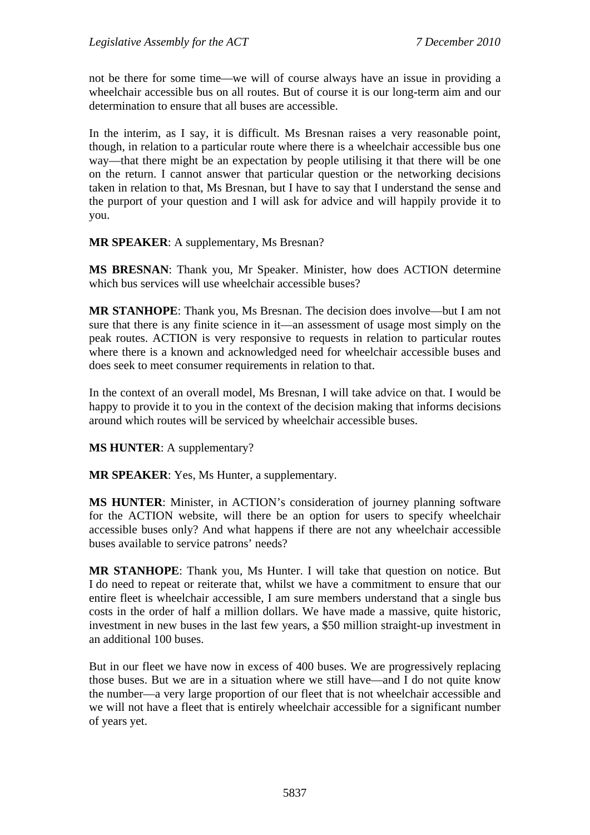not be there for some time—we will of course always have an issue in providing a wheelchair accessible bus on all routes. But of course it is our long-term aim and our determination to ensure that all buses are accessible.

In the interim, as I say, it is difficult. Ms Bresnan raises a very reasonable point, though, in relation to a particular route where there is a wheelchair accessible bus one way—that there might be an expectation by people utilising it that there will be one on the return. I cannot answer that particular question or the networking decisions taken in relation to that, Ms Bresnan, but I have to say that I understand the sense and the purport of your question and I will ask for advice and will happily provide it to you.

**MR SPEAKER**: A supplementary, Ms Bresnan?

**MS BRESNAN**: Thank you, Mr Speaker. Minister, how does ACTION determine which bus services will use wheelchair accessible buses?

**MR STANHOPE**: Thank you, Ms Bresnan. The decision does involve—but I am not sure that there is any finite science in it—an assessment of usage most simply on the peak routes. ACTION is very responsive to requests in relation to particular routes where there is a known and acknowledged need for wheelchair accessible buses and does seek to meet consumer requirements in relation to that.

In the context of an overall model, Ms Bresnan, I will take advice on that. I would be happy to provide it to you in the context of the decision making that informs decisions around which routes will be serviced by wheelchair accessible buses.

**MS HUNTER**: A supplementary?

**MR SPEAKER**: Yes, Ms Hunter, a supplementary.

**MS HUNTER**: Minister, in ACTION's consideration of journey planning software for the ACTION website, will there be an option for users to specify wheelchair accessible buses only? And what happens if there are not any wheelchair accessible buses available to service patrons' needs?

**MR STANHOPE**: Thank you, Ms Hunter. I will take that question on notice. But I do need to repeat or reiterate that, whilst we have a commitment to ensure that our entire fleet is wheelchair accessible, I am sure members understand that a single bus costs in the order of half a million dollars. We have made a massive, quite historic, investment in new buses in the last few years, a \$50 million straight-up investment in an additional 100 buses.

But in our fleet we have now in excess of 400 buses. We are progressively replacing those buses. But we are in a situation where we still have—and I do not quite know the number—a very large proportion of our fleet that is not wheelchair accessible and we will not have a fleet that is entirely wheelchair accessible for a significant number of years yet.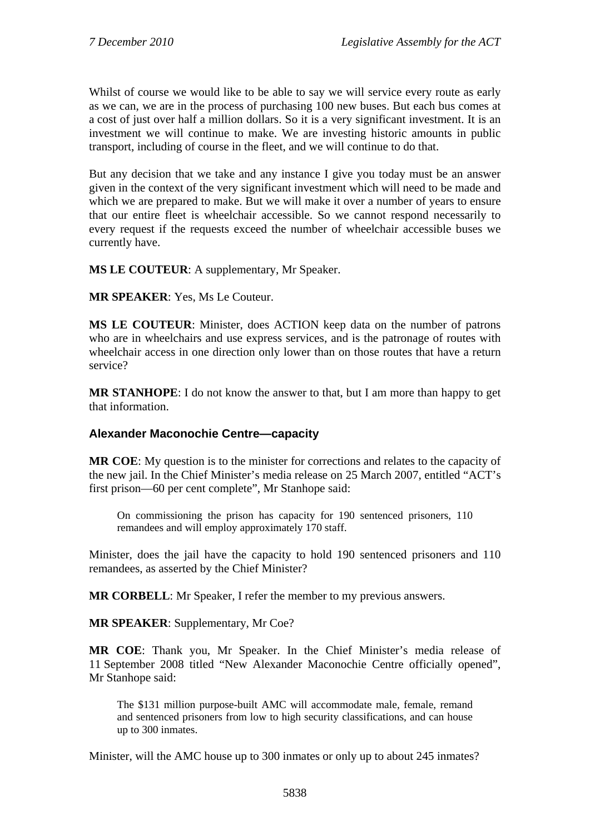Whilst of course we would like to be able to say we will service every route as early as we can, we are in the process of purchasing 100 new buses. But each bus comes at a cost of just over half a million dollars. So it is a very significant investment. It is an investment we will continue to make. We are investing historic amounts in public transport, including of course in the fleet, and we will continue to do that.

But any decision that we take and any instance I give you today must be an answer given in the context of the very significant investment which will need to be made and which we are prepared to make. But we will make it over a number of years to ensure that our entire fleet is wheelchair accessible. So we cannot respond necessarily to every request if the requests exceed the number of wheelchair accessible buses we currently have.

**MS LE COUTEUR**: A supplementary, Mr Speaker.

**MR SPEAKER**: Yes, Ms Le Couteur.

**MS LE COUTEUR**: Minister, does ACTION keep data on the number of patrons who are in wheelchairs and use express services, and is the patronage of routes with wheelchair access in one direction only lower than on those routes that have a return service?

**MR STANHOPE**: I do not know the answer to that, but I am more than happy to get that information.

### **Alexander Maconochie Centre—capacity**

**MR COE**: My question is to the minister for corrections and relates to the capacity of the new jail. In the Chief Minister's media release on 25 March 2007, entitled "ACT's first prison—60 per cent complete", Mr Stanhope said:

On commissioning the prison has capacity for 190 sentenced prisoners, 110 remandees and will employ approximately 170 staff.

Minister, does the jail have the capacity to hold 190 sentenced prisoners and 110 remandees, as asserted by the Chief Minister?

**MR CORBELL**: Mr Speaker, I refer the member to my previous answers.

**MR SPEAKER**: Supplementary, Mr Coe?

**MR COE**: Thank you, Mr Speaker. In the Chief Minister's media release of 11 September 2008 titled "New Alexander Maconochie Centre officially opened", Mr Stanhope said:

The \$131 million purpose-built AMC will accommodate male, female, remand and sentenced prisoners from low to high security classifications, and can house up to 300 inmates.

Minister, will the AMC house up to 300 inmates or only up to about 245 inmates?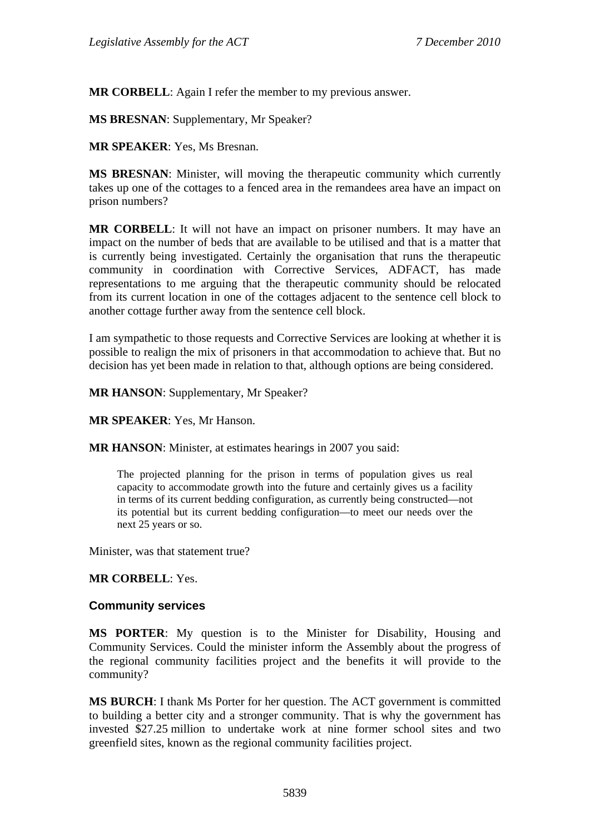**MR CORBELL**: Again I refer the member to my previous answer.

**MS BRESNAN**: Supplementary, Mr Speaker?

**MR SPEAKER**: Yes, Ms Bresnan.

**MS BRESNAN**: Minister, will moving the therapeutic community which currently takes up one of the cottages to a fenced area in the remandees area have an impact on prison numbers?

**MR CORBELL**: It will not have an impact on prisoner numbers. It may have an impact on the number of beds that are available to be utilised and that is a matter that is currently being investigated. Certainly the organisation that runs the therapeutic community in coordination with Corrective Services, ADFACT, has made representations to me arguing that the therapeutic community should be relocated from its current location in one of the cottages adjacent to the sentence cell block to another cottage further away from the sentence cell block.

I am sympathetic to those requests and Corrective Services are looking at whether it is possible to realign the mix of prisoners in that accommodation to achieve that. But no decision has yet been made in relation to that, although options are being considered.

**MR HANSON**: Supplementary, Mr Speaker?

**MR SPEAKER**: Yes, Mr Hanson.

**MR HANSON**: Minister, at estimates hearings in 2007 you said:

The projected planning for the prison in terms of population gives us real capacity to accommodate growth into the future and certainly gives us a facility in terms of its current bedding configuration, as currently being constructed—not its potential but its current bedding configuration—to meet our needs over the next 25 years or so.

Minister, was that statement true?

**MR CORBELL**: Yes.

#### **Community services**

**MS PORTER**: My question is to the Minister for Disability, Housing and Community Services. Could the minister inform the Assembly about the progress of the regional community facilities project and the benefits it will provide to the community?

**MS BURCH**: I thank Ms Porter for her question. The ACT government is committed to building a better city and a stronger community. That is why the government has invested \$27.25 million to undertake work at nine former school sites and two greenfield sites, known as the regional community facilities project.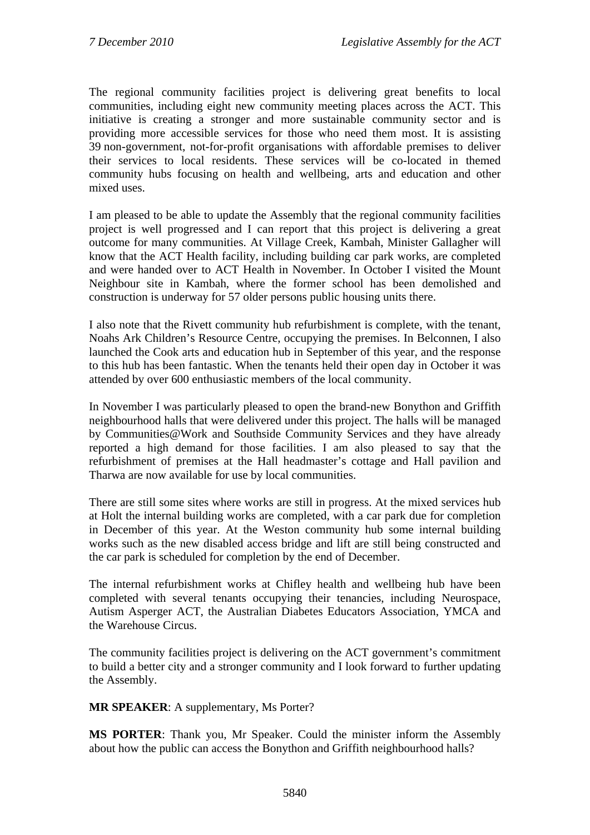The regional community facilities project is delivering great benefits to local communities, including eight new community meeting places across the ACT. This initiative is creating a stronger and more sustainable community sector and is providing more accessible services for those who need them most. It is assisting 39 non-government, not-for-profit organisations with affordable premises to deliver their services to local residents. These services will be co-located in themed community hubs focusing on health and wellbeing, arts and education and other mixed uses.

I am pleased to be able to update the Assembly that the regional community facilities project is well progressed and I can report that this project is delivering a great outcome for many communities. At Village Creek, Kambah, Minister Gallagher will know that the ACT Health facility, including building car park works, are completed and were handed over to ACT Health in November. In October I visited the Mount Neighbour site in Kambah, where the former school has been demolished and construction is underway for 57 older persons public housing units there.

I also note that the Rivett community hub refurbishment is complete, with the tenant, Noahs Ark Children's Resource Centre, occupying the premises. In Belconnen, I also launched the Cook arts and education hub in September of this year, and the response to this hub has been fantastic. When the tenants held their open day in October it was attended by over 600 enthusiastic members of the local community.

In November I was particularly pleased to open the brand-new Bonython and Griffith neighbourhood halls that were delivered under this project. The halls will be managed by Communities@Work and Southside Community Services and they have already reported a high demand for those facilities. I am also pleased to say that the refurbishment of premises at the Hall headmaster's cottage and Hall pavilion and Tharwa are now available for use by local communities.

There are still some sites where works are still in progress. At the mixed services hub at Holt the internal building works are completed, with a car park due for completion in December of this year. At the Weston community hub some internal building works such as the new disabled access bridge and lift are still being constructed and the car park is scheduled for completion by the end of December.

The internal refurbishment works at Chifley health and wellbeing hub have been completed with several tenants occupying their tenancies, including Neurospace, Autism Asperger ACT, the Australian Diabetes Educators Association, YMCA and the Warehouse Circus.

The community facilities project is delivering on the ACT government's commitment to build a better city and a stronger community and I look forward to further updating the Assembly.

**MR SPEAKER**: A supplementary, Ms Porter?

**MS PORTER**: Thank you, Mr Speaker. Could the minister inform the Assembly about how the public can access the Bonython and Griffith neighbourhood halls?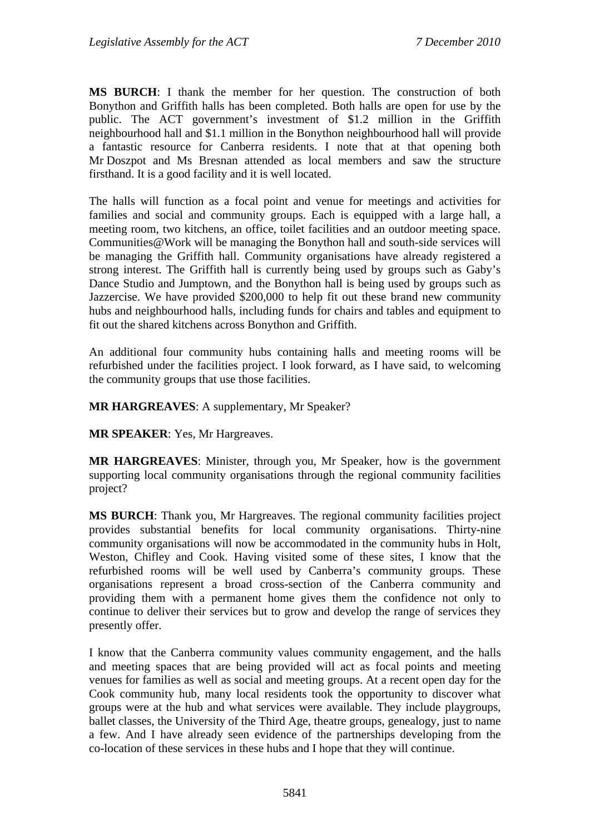**MS BURCH**: I thank the member for her question. The construction of both Bonython and Griffith halls has been completed. Both halls are open for use by the public. The ACT government's investment of \$1.2 million in the Griffith neighbourhood hall and \$1.1 million in the Bonython neighbourhood hall will provide a fantastic resource for Canberra residents. I note that at that opening both Mr Doszpot and Ms Bresnan attended as local members and saw the structure firsthand. It is a good facility and it is well located.

The halls will function as a focal point and venue for meetings and activities for families and social and community groups. Each is equipped with a large hall, a meeting room, two kitchens, an office, toilet facilities and an outdoor meeting space. Communities@Work will be managing the Bonython hall and south-side services will be managing the Griffith hall. Community organisations have already registered a strong interest. The Griffith hall is currently being used by groups such as Gaby's Dance Studio and Jumptown, and the Bonython hall is being used by groups such as Jazzercise. We have provided \$200,000 to help fit out these brand new community hubs and neighbourhood halls, including funds for chairs and tables and equipment to fit out the shared kitchens across Bonython and Griffith.

An additional four community hubs containing halls and meeting rooms will be refurbished under the facilities project. I look forward, as I have said, to welcoming the community groups that use those facilities.

**MR HARGREAVES**: A supplementary, Mr Speaker?

**MR SPEAKER**: Yes, Mr Hargreaves.

**MR HARGREAVES**: Minister, through you, Mr Speaker, how is the government supporting local community organisations through the regional community facilities project?

**MS BURCH**: Thank you, Mr Hargreaves. The regional community facilities project provides substantial benefits for local community organisations. Thirty-nine community organisations will now be accommodated in the community hubs in Holt, Weston, Chifley and Cook. Having visited some of these sites, I know that the refurbished rooms will be well used by Canberra's community groups. These organisations represent a broad cross-section of the Canberra community and providing them with a permanent home gives them the confidence not only to continue to deliver their services but to grow and develop the range of services they presently offer.

I know that the Canberra community values community engagement, and the halls and meeting spaces that are being provided will act as focal points and meeting venues for families as well as social and meeting groups. At a recent open day for the Cook community hub, many local residents took the opportunity to discover what groups were at the hub and what services were available. They include playgroups, ballet classes, the University of the Third Age, theatre groups, genealogy, just to name a few. And I have already seen evidence of the partnerships developing from the co-location of these services in these hubs and I hope that they will continue.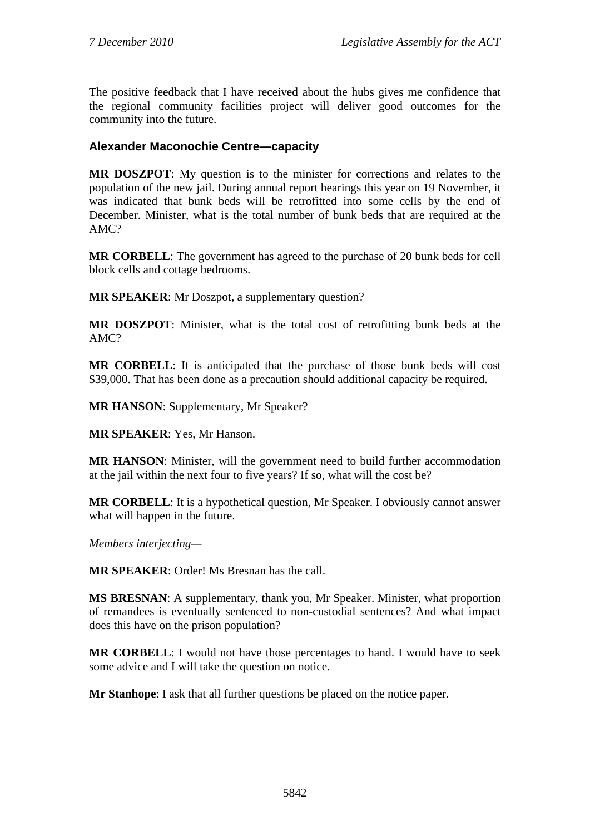The positive feedback that I have received about the hubs gives me confidence that the regional community facilities project will deliver good outcomes for the community into the future.

### **Alexander Maconochie Centre—capacity**

**MR DOSZPOT**: My question is to the minister for corrections and relates to the population of the new jail. During annual report hearings this year on 19 November, it was indicated that bunk beds will be retrofitted into some cells by the end of December. Minister, what is the total number of bunk beds that are required at the AMC?

**MR CORBELL**: The government has agreed to the purchase of 20 bunk beds for cell block cells and cottage bedrooms.

**MR SPEAKER**: Mr Doszpot, a supplementary question?

**MR DOSZPOT**: Minister, what is the total cost of retrofitting bunk beds at the AMC?

**MR CORBELL**: It is anticipated that the purchase of those bunk beds will cost \$39,000. That has been done as a precaution should additional capacity be required.

**MR HANSON**: Supplementary, Mr Speaker?

**MR SPEAKER**: Yes, Mr Hanson.

**MR HANSON**: Minister, will the government need to build further accommodation at the jail within the next four to five years? If so, what will the cost be?

**MR CORBELL**: It is a hypothetical question, Mr Speaker. I obviously cannot answer what will happen in the future.

*Members interjecting—* 

**MR SPEAKER**: Order! Ms Bresnan has the call.

**MS BRESNAN**: A supplementary, thank you, Mr Speaker. Minister, what proportion of remandees is eventually sentenced to non-custodial sentences? And what impact does this have on the prison population?

**MR CORBELL**: I would not have those percentages to hand. I would have to seek some advice and I will take the question on notice.

**Mr Stanhope**: I ask that all further questions be placed on the notice paper.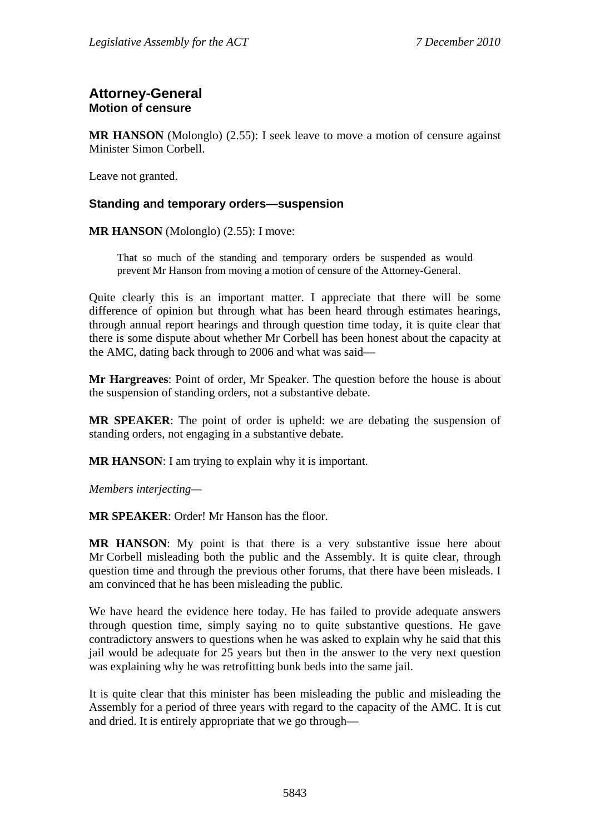# **Attorney-General Motion of censure**

**MR HANSON** (Molonglo) (2.55): I seek leave to move a motion of censure against Minister Simon Corbell.

Leave not granted.

### **Standing and temporary orders—suspension**

**MR HANSON** (Molonglo) (2.55): I move:

That so much of the standing and temporary orders be suspended as would prevent Mr Hanson from moving a motion of censure of the Attorney-General.

Quite clearly this is an important matter. I appreciate that there will be some difference of opinion but through what has been heard through estimates hearings, through annual report hearings and through question time today, it is quite clear that there is some dispute about whether Mr Corbell has been honest about the capacity at the AMC, dating back through to 2006 and what was said—

**Mr Hargreaves**: Point of order, Mr Speaker. The question before the house is about the suspension of standing orders, not a substantive debate.

**MR SPEAKER**: The point of order is upheld: we are debating the suspension of standing orders, not engaging in a substantive debate.

**MR HANSON:** I am trying to explain why it is important.

*Members interjecting—* 

**MR SPEAKER**: Order! Mr Hanson has the floor.

**MR HANSON**: My point is that there is a very substantive issue here about Mr Corbell misleading both the public and the Assembly. It is quite clear, through question time and through the previous other forums, that there have been misleads. I am convinced that he has been misleading the public.

We have heard the evidence here today. He has failed to provide adequate answers through question time, simply saying no to quite substantive questions. He gave contradictory answers to questions when he was asked to explain why he said that this jail would be adequate for 25 years but then in the answer to the very next question was explaining why he was retrofitting bunk beds into the same jail.

It is quite clear that this minister has been misleading the public and misleading the Assembly for a period of three years with regard to the capacity of the AMC. It is cut and dried. It is entirely appropriate that we go through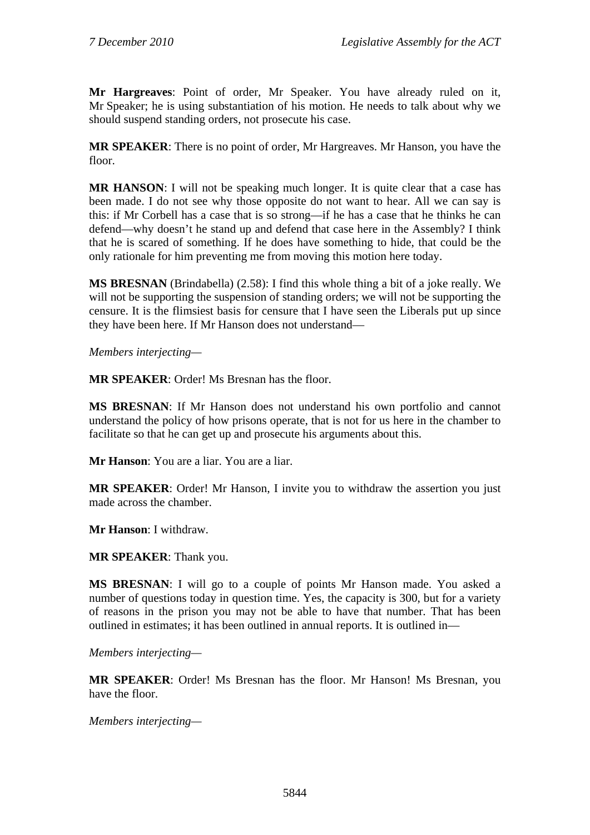**Mr Hargreaves**: Point of order, Mr Speaker. You have already ruled on it, Mr Speaker; he is using substantiation of his motion. He needs to talk about why we should suspend standing orders, not prosecute his case.

**MR SPEAKER**: There is no point of order, Mr Hargreaves. Mr Hanson, you have the floor.

**MR HANSON**: I will not be speaking much longer. It is quite clear that a case has been made. I do not see why those opposite do not want to hear. All we can say is this: if Mr Corbell has a case that is so strong—if he has a case that he thinks he can defend—why doesn't he stand up and defend that case here in the Assembly? I think that he is scared of something. If he does have something to hide, that could be the only rationale for him preventing me from moving this motion here today.

**MS BRESNAN** (Brindabella) (2.58): I find this whole thing a bit of a joke really. We will not be supporting the suspension of standing orders; we will not be supporting the censure. It is the flimsiest basis for censure that I have seen the Liberals put up since they have been here. If Mr Hanson does not understand—

*Members interjecting—* 

**MR SPEAKER**: Order! Ms Bresnan has the floor.

**MS BRESNAN**: If Mr Hanson does not understand his own portfolio and cannot understand the policy of how prisons operate, that is not for us here in the chamber to facilitate so that he can get up and prosecute his arguments about this.

**Mr Hanson**: You are a liar. You are a liar.

**MR SPEAKER**: Order! Mr Hanson, I invite you to withdraw the assertion you just made across the chamber.

**Mr Hanson**: I withdraw.

**MR SPEAKER**: Thank you.

**MS BRESNAN**: I will go to a couple of points Mr Hanson made. You asked a number of questions today in question time. Yes, the capacity is 300, but for a variety of reasons in the prison you may not be able to have that number. That has been outlined in estimates; it has been outlined in annual reports. It is outlined in—

*Members interjecting—* 

**MR SPEAKER**: Order! Ms Bresnan has the floor. Mr Hanson! Ms Bresnan, you have the floor.

*Members interjecting—*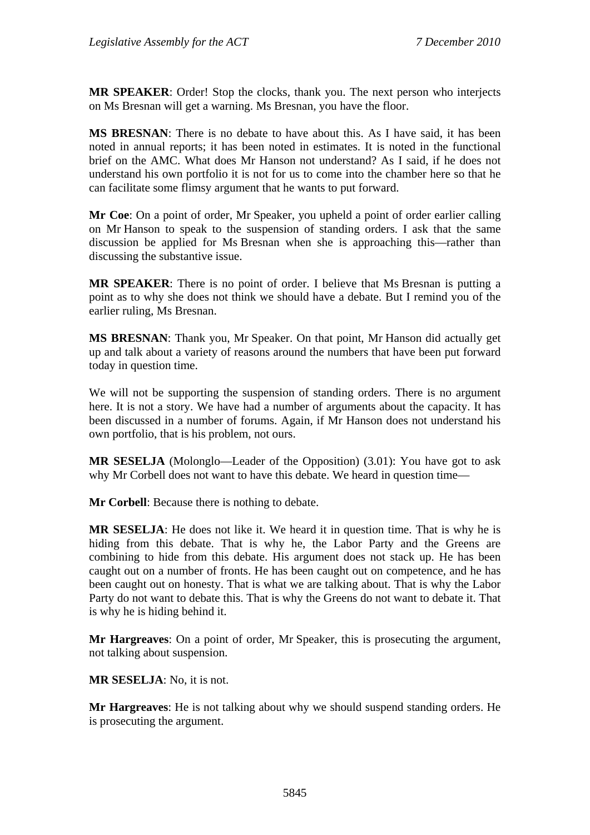**MR SPEAKER**: Order! Stop the clocks, thank you. The next person who interjects on Ms Bresnan will get a warning. Ms Bresnan, you have the floor.

**MS BRESNAN**: There is no debate to have about this. As I have said, it has been noted in annual reports; it has been noted in estimates. It is noted in the functional brief on the AMC. What does Mr Hanson not understand? As I said, if he does not understand his own portfolio it is not for us to come into the chamber here so that he can facilitate some flimsy argument that he wants to put forward.

**Mr Coe**: On a point of order, Mr Speaker, you upheld a point of order earlier calling on Mr Hanson to speak to the suspension of standing orders. I ask that the same discussion be applied for Ms Bresnan when she is approaching this—rather than discussing the substantive issue.

**MR SPEAKER**: There is no point of order. I believe that Ms Bresnan is putting a point as to why she does not think we should have a debate. But I remind you of the earlier ruling, Ms Bresnan.

**MS BRESNAN**: Thank you, Mr Speaker. On that point, Mr Hanson did actually get up and talk about a variety of reasons around the numbers that have been put forward today in question time.

We will not be supporting the suspension of standing orders. There is no argument here. It is not a story. We have had a number of arguments about the capacity. It has been discussed in a number of forums. Again, if Mr Hanson does not understand his own portfolio, that is his problem, not ours.

**MR SESELJA** (Molonglo—Leader of the Opposition) (3.01): You have got to ask why Mr Corbell does not want to have this debate. We heard in question time—

**Mr Corbell**: Because there is nothing to debate.

**MR SESELJA**: He does not like it. We heard it in question time. That is why he is hiding from this debate. That is why he, the Labor Party and the Greens are combining to hide from this debate. His argument does not stack up. He has been caught out on a number of fronts. He has been caught out on competence, and he has been caught out on honesty. That is what we are talking about. That is why the Labor Party do not want to debate this. That is why the Greens do not want to debate it. That is why he is hiding behind it.

**Mr Hargreaves**: On a point of order, Mr Speaker, this is prosecuting the argument, not talking about suspension.

**MR SESELJA**: No, it is not.

**Mr Hargreaves**: He is not talking about why we should suspend standing orders. He is prosecuting the argument.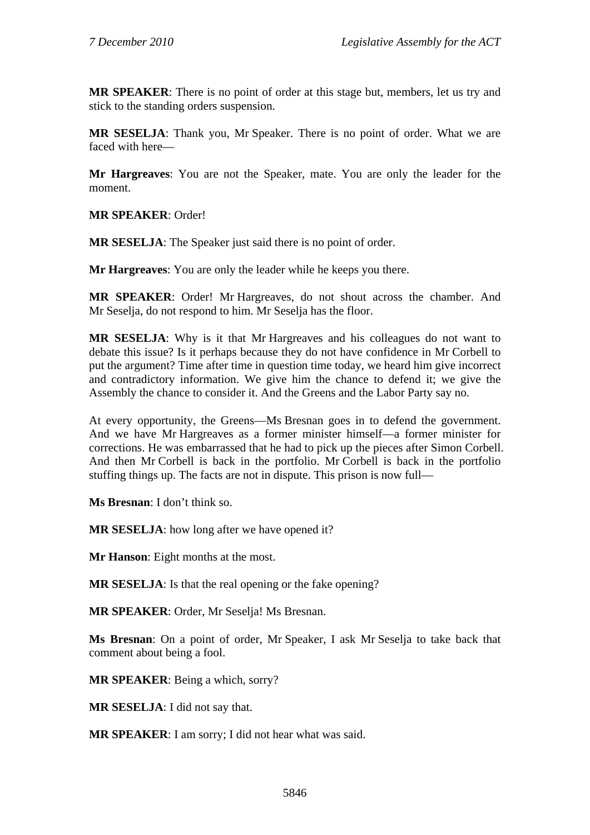**MR SPEAKER**: There is no point of order at this stage but, members, let us try and stick to the standing orders suspension.

**MR SESELJA**: Thank you, Mr Speaker. There is no point of order. What we are faced with here—

**Mr Hargreaves**: You are not the Speaker, mate. You are only the leader for the moment.

**MR SPEAKER**: Order!

**MR SESELJA**: The Speaker just said there is no point of order.

**Mr Hargreaves**: You are only the leader while he keeps you there.

**MR SPEAKER**: Order! Mr Hargreaves, do not shout across the chamber. And Mr Seselja, do not respond to him. Mr Seselja has the floor.

**MR SESELJA**: Why is it that Mr Hargreaves and his colleagues do not want to debate this issue? Is it perhaps because they do not have confidence in Mr Corbell to put the argument? Time after time in question time today, we heard him give incorrect and contradictory information. We give him the chance to defend it; we give the Assembly the chance to consider it. And the Greens and the Labor Party say no.

At every opportunity, the Greens—Ms Bresnan goes in to defend the government. And we have Mr Hargreaves as a former minister himself—a former minister for corrections. He was embarrassed that he had to pick up the pieces after Simon Corbell. And then Mr Corbell is back in the portfolio. Mr Corbell is back in the portfolio stuffing things up. The facts are not in dispute. This prison is now full—

**Ms Bresnan**: I don't think so.

**MR SESELJA**: how long after we have opened it?

**Mr Hanson**: Eight months at the most.

**MR SESELJA**: Is that the real opening or the fake opening?

**MR SPEAKER**: Order, Mr Seselja! Ms Bresnan.

**Ms Bresnan**: On a point of order, Mr Speaker, I ask Mr Seselja to take back that comment about being a fool.

**MR SPEAKER**: Being a which, sorry?

**MR SESELJA**: I did not say that.

**MR SPEAKER**: I am sorry; I did not hear what was said.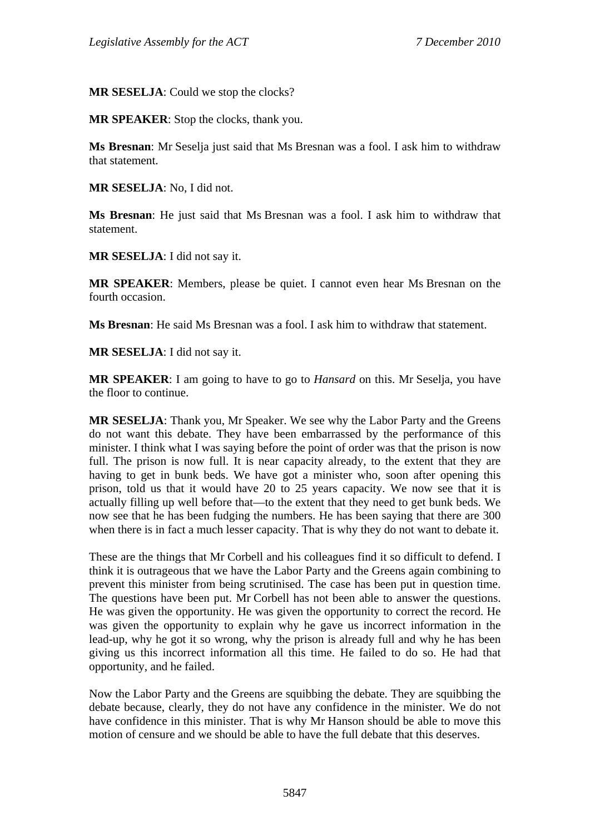**MR SESELJA**: Could we stop the clocks?

**MR SPEAKER**: Stop the clocks, thank you.

**Ms Bresnan**: Mr Seselja just said that Ms Bresnan was a fool. I ask him to withdraw that statement.

**MR SESELJA**: No, I did not.

**Ms Bresnan**: He just said that Ms Bresnan was a fool. I ask him to withdraw that statement.

**MR SESELJA**: I did not say it.

**MR SPEAKER**: Members, please be quiet. I cannot even hear Ms Bresnan on the fourth occasion.

**Ms Bresnan**: He said Ms Bresnan was a fool. I ask him to withdraw that statement.

**MR SESELJA**: I did not say it.

**MR SPEAKER**: I am going to have to go to *Hansard* on this. Mr Seselja, you have the floor to continue.

**MR SESELJA**: Thank you, Mr Speaker. We see why the Labor Party and the Greens do not want this debate. They have been embarrassed by the performance of this minister. I think what I was saying before the point of order was that the prison is now full. The prison is now full. It is near capacity already, to the extent that they are having to get in bunk beds. We have got a minister who, soon after opening this prison, told us that it would have 20 to 25 years capacity. We now see that it is actually filling up well before that—to the extent that they need to get bunk beds. We now see that he has been fudging the numbers. He has been saying that there are 300 when there is in fact a much lesser capacity. That is why they do not want to debate it.

These are the things that Mr Corbell and his colleagues find it so difficult to defend. I think it is outrageous that we have the Labor Party and the Greens again combining to prevent this minister from being scrutinised. The case has been put in question time. The questions have been put. Mr Corbell has not been able to answer the questions. He was given the opportunity. He was given the opportunity to correct the record. He was given the opportunity to explain why he gave us incorrect information in the lead-up, why he got it so wrong, why the prison is already full and why he has been giving us this incorrect information all this time. He failed to do so. He had that opportunity, and he failed.

Now the Labor Party and the Greens are squibbing the debate. They are squibbing the debate because, clearly, they do not have any confidence in the minister. We do not have confidence in this minister. That is why Mr Hanson should be able to move this motion of censure and we should be able to have the full debate that this deserves.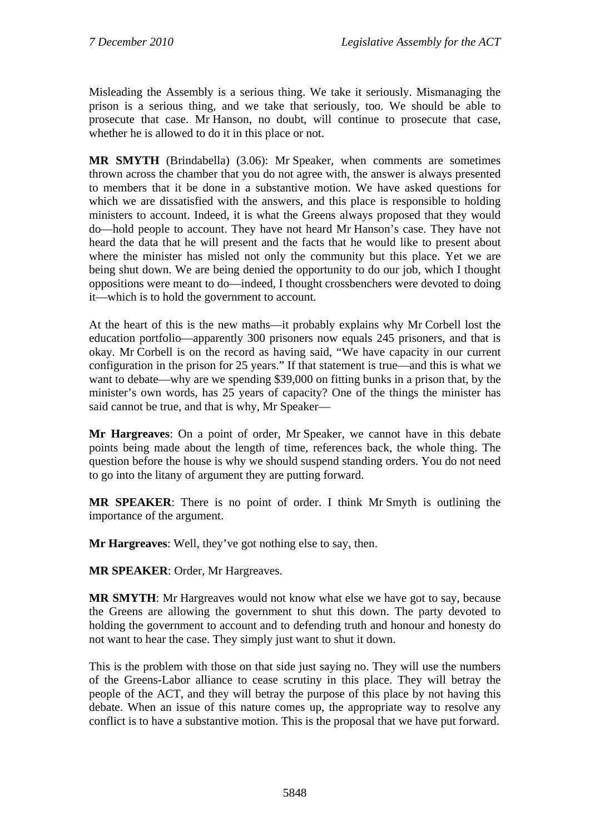Misleading the Assembly is a serious thing. We take it seriously. Mismanaging the prison is a serious thing, and we take that seriously, too. We should be able to prosecute that case. Mr Hanson, no doubt, will continue to prosecute that case, whether he is allowed to do it in this place or not.

**MR SMYTH** (Brindabella) (3.06): Mr Speaker, when comments are sometimes thrown across the chamber that you do not agree with, the answer is always presented to members that it be done in a substantive motion. We have asked questions for which we are dissatisfied with the answers, and this place is responsible to holding ministers to account. Indeed, it is what the Greens always proposed that they would do—hold people to account. They have not heard Mr Hanson's case. They have not heard the data that he will present and the facts that he would like to present about where the minister has misled not only the community but this place. Yet we are being shut down. We are being denied the opportunity to do our job, which I thought oppositions were meant to do—indeed, I thought crossbenchers were devoted to doing it—which is to hold the government to account.

At the heart of this is the new maths—it probably explains why Mr Corbell lost the education portfolio—apparently 300 prisoners now equals 245 prisoners, and that is okay. Mr Corbell is on the record as having said, "We have capacity in our current configuration in the prison for 25 years." If that statement is true—and this is what we want to debate—why are we spending \$39,000 on fitting bunks in a prison that, by the minister's own words, has 25 years of capacity? One of the things the minister has said cannot be true, and that is why, Mr Speaker—

**Mr Hargreaves**: On a point of order, Mr Speaker, we cannot have in this debate points being made about the length of time, references back, the whole thing. The question before the house is why we should suspend standing orders. You do not need to go into the litany of argument they are putting forward.

**MR SPEAKER**: There is no point of order. I think Mr Smyth is outlining the importance of the argument.

**Mr Hargreaves**: Well, they've got nothing else to say, then.

**MR SPEAKER**: Order, Mr Hargreaves.

**MR SMYTH**: Mr Hargreaves would not know what else we have got to say, because the Greens are allowing the government to shut this down. The party devoted to holding the government to account and to defending truth and honour and honesty do not want to hear the case. They simply just want to shut it down.

This is the problem with those on that side just saying no. They will use the numbers of the Greens-Labor alliance to cease scrutiny in this place. They will betray the people of the ACT, and they will betray the purpose of this place by not having this debate. When an issue of this nature comes up, the appropriate way to resolve any conflict is to have a substantive motion. This is the proposal that we have put forward.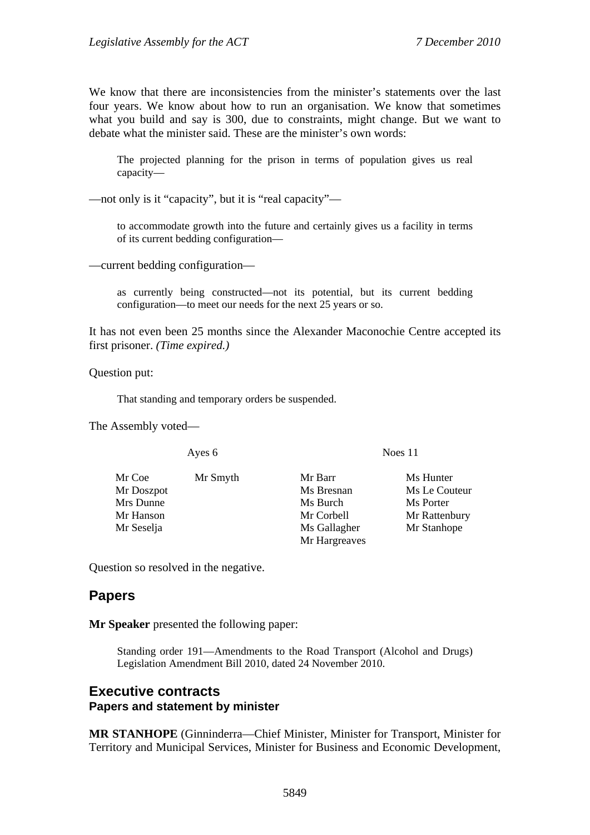We know that there are inconsistencies from the minister's statements over the last four years. We know about how to run an organisation. We know that sometimes what you build and say is 300, due to constraints, might change. But we want to debate what the minister said. These are the minister's own words:

The projected planning for the prison in terms of population gives us real capacity—

—not only is it "capacity", but it is "real capacity"—

to accommodate growth into the future and certainly gives us a facility in terms of its current bedding configuration—

—current bedding configuration—

as currently being constructed—not its potential, but its current bedding configuration—to meet our needs for the next 25 years or so.

It has not even been 25 months since the Alexander Maconochie Centre accepted its first prisoner. *(Time expired.)*

Question put:

That standing and temporary orders be suspended.

The Assembly voted—

Ayes 6 Noes 11

Mr Coe Mr Smyth Mr Barr Ms Hunter Mr Doszpot Ms Bresnan Ms Le Couteur Mrs Dunne Ms Burch Ms Burch Ms Porter Mr Hanson Mr Corbell Mr Rattenbury Mr Seselja Ms Gallagher Mr Stanhope

Question so resolved in the negative.

## **Papers**

**Mr Speaker** presented the following paper:

Standing order 191—Amendments to the Road Transport (Alcohol and Drugs) Legislation Amendment Bill 2010, dated 24 November 2010.

Mr Hargreaves

### **Executive contracts Papers and statement by minister**

**MR STANHOPE** (Ginninderra—Chief Minister, Minister for Transport, Minister for Territory and Municipal Services, Minister for Business and Economic Development,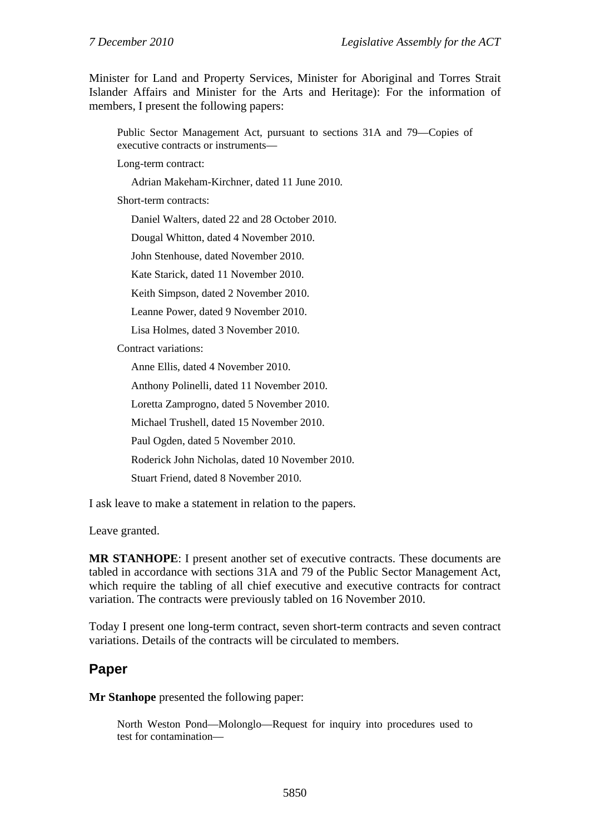Minister for Land and Property Services, Minister for Aboriginal and Torres Strait Islander Affairs and Minister for the Arts and Heritage): For the information of members, I present the following papers:

Public Sector Management Act, pursuant to sections 31A and 79—Copies of executive contracts or instruments—

Long-term contract:

Adrian Makeham-Kirchner, dated 11 June 2010.

Short-term contracts:

Daniel Walters, dated 22 and 28 October 2010.

Dougal Whitton, dated 4 November 2010.

John Stenhouse, dated November 2010.

Kate Starick, dated 11 November 2010.

Keith Simpson, dated 2 November 2010.

Leanne Power, dated 9 November 2010.

Lisa Holmes, dated 3 November 2010.

Contract variations:

Anne Ellis, dated 4 November 2010.

Anthony Polinelli, dated 11 November 2010.

Loretta Zamprogno, dated 5 November 2010.

Michael Trushell, dated 15 November 2010.

Paul Ogden, dated 5 November 2010.

Roderick John Nicholas, dated 10 November 2010.

Stuart Friend, dated 8 November 2010.

I ask leave to make a statement in relation to the papers.

Leave granted.

**MR STANHOPE**: I present another set of executive contracts. These documents are tabled in accordance with sections 31A and 79 of the Public Sector Management Act, which require the tabling of all chief executive and executive contracts for contract variation. The contracts were previously tabled on 16 November 2010.

Today I present one long-term contract, seven short-term contracts and seven contract variations. Details of the contracts will be circulated to members.

## **Paper**

**Mr Stanhope** presented the following paper:

North Weston Pond—Molonglo—Request for inquiry into procedures used to test for contamination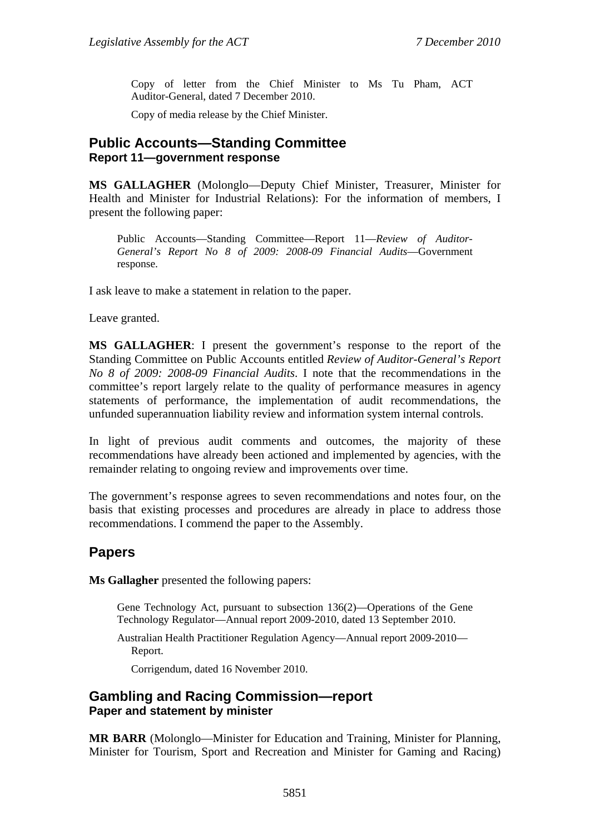Copy of letter from the Chief Minister to Ms Tu Pham, ACT Auditor-General, dated 7 December 2010.

Copy of media release by the Chief Minister.

## **Public Accounts—Standing Committee Report 11—government response**

**MS GALLAGHER** (Molonglo—Deputy Chief Minister, Treasurer, Minister for Health and Minister for Industrial Relations): For the information of members, I present the following paper:

Public Accounts—Standing Committee—Report 11—*Review of Auditor-General's Report No 8 of 2009: 2008-09 Financial Audits*—Government response.

I ask leave to make a statement in relation to the paper.

Leave granted.

**MS GALLAGHER**: I present the government's response to the report of the Standing Committee on Public Accounts entitled *Review of Auditor-General's Report No 8 of 2009: 2008-09 Financial Audits*. I note that the recommendations in the committee's report largely relate to the quality of performance measures in agency statements of performance, the implementation of audit recommendations, the unfunded superannuation liability review and information system internal controls.

In light of previous audit comments and outcomes, the majority of these recommendations have already been actioned and implemented by agencies, with the remainder relating to ongoing review and improvements over time.

The government's response agrees to seven recommendations and notes four, on the basis that existing processes and procedures are already in place to address those recommendations. I commend the paper to the Assembly.

## **Papers**

**Ms Gallagher** presented the following papers:

Gene Technology Act, pursuant to subsection 136(2)—Operations of the Gene Technology Regulator—Annual report 2009-2010, dated 13 September 2010.

Australian Health Practitioner Regulation Agency—Annual report 2009-2010— Report.

Corrigendum, dated 16 November 2010.

### **Gambling and Racing Commission—report Paper and statement by minister**

**MR BARR** (Molonglo—Minister for Education and Training, Minister for Planning, Minister for Tourism, Sport and Recreation and Minister for Gaming and Racing)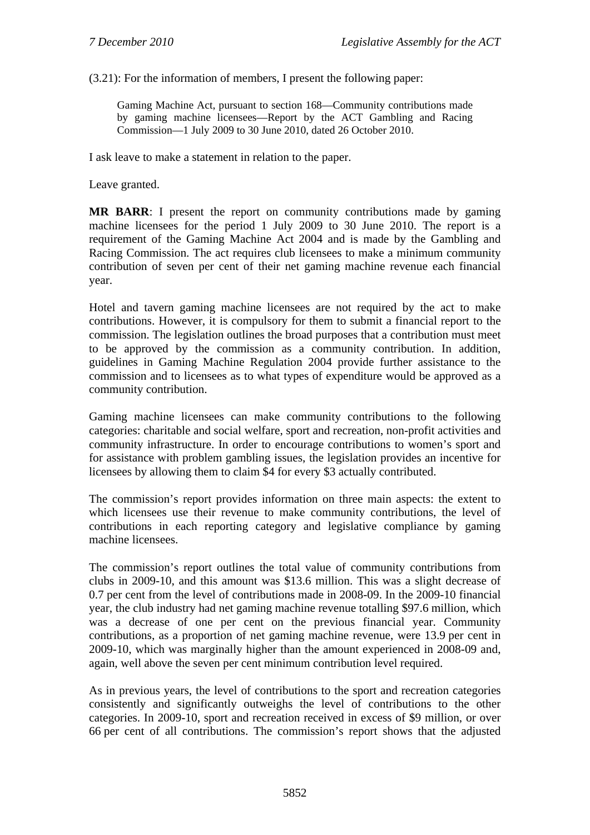(3.21): For the information of members, I present the following paper:

Gaming Machine Act, pursuant to section 168—Community contributions made by gaming machine licensees—Report by the ACT Gambling and Racing Commission—1 July 2009 to 30 June 2010, dated 26 October 2010.

I ask leave to make a statement in relation to the paper.

Leave granted.

**MR BARR**: I present the report on community contributions made by gaming machine licensees for the period 1 July 2009 to 30 June 2010. The report is a requirement of the Gaming Machine Act 2004 and is made by the Gambling and Racing Commission. The act requires club licensees to make a minimum community contribution of seven per cent of their net gaming machine revenue each financial year.

Hotel and tavern gaming machine licensees are not required by the act to make contributions. However, it is compulsory for them to submit a financial report to the commission. The legislation outlines the broad purposes that a contribution must meet to be approved by the commission as a community contribution. In addition, guidelines in Gaming Machine Regulation 2004 provide further assistance to the commission and to licensees as to what types of expenditure would be approved as a community contribution.

Gaming machine licensees can make community contributions to the following categories: charitable and social welfare, sport and recreation, non-profit activities and community infrastructure. In order to encourage contributions to women's sport and for assistance with problem gambling issues, the legislation provides an incentive for licensees by allowing them to claim \$4 for every \$3 actually contributed.

The commission's report provides information on three main aspects: the extent to which licensees use their revenue to make community contributions, the level of contributions in each reporting category and legislative compliance by gaming machine licensees.

The commission's report outlines the total value of community contributions from clubs in 2009-10, and this amount was \$13.6 million. This was a slight decrease of 0.7 per cent from the level of contributions made in 2008-09. In the 2009-10 financial year, the club industry had net gaming machine revenue totalling \$97.6 million, which was a decrease of one per cent on the previous financial year. Community contributions, as a proportion of net gaming machine revenue, were 13.9 per cent in 2009-10, which was marginally higher than the amount experienced in 2008-09 and, again, well above the seven per cent minimum contribution level required.

As in previous years, the level of contributions to the sport and recreation categories consistently and significantly outweighs the level of contributions to the other categories. In 2009-10, sport and recreation received in excess of \$9 million, or over 66 per cent of all contributions. The commission's report shows that the adjusted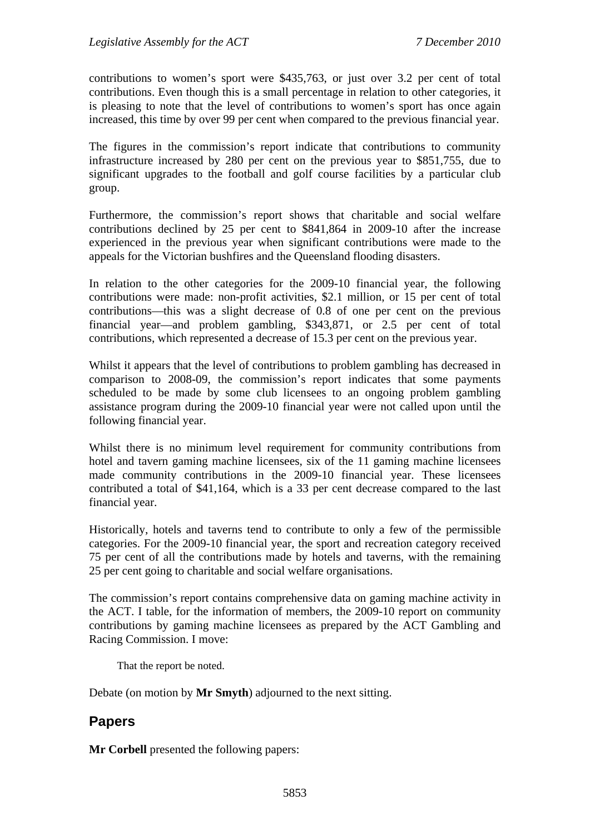contributions to women's sport were \$435,763, or just over 3.2 per cent of total contributions. Even though this is a small percentage in relation to other categories, it is pleasing to note that the level of contributions to women's sport has once again increased, this time by over 99 per cent when compared to the previous financial year.

The figures in the commission's report indicate that contributions to community infrastructure increased by 280 per cent on the previous year to \$851,755, due to significant upgrades to the football and golf course facilities by a particular club group.

Furthermore, the commission's report shows that charitable and social welfare contributions declined by 25 per cent to \$841,864 in 2009-10 after the increase experienced in the previous year when significant contributions were made to the appeals for the Victorian bushfires and the Queensland flooding disasters.

In relation to the other categories for the 2009-10 financial year, the following contributions were made: non-profit activities, \$2.1 million, or 15 per cent of total contributions—this was a slight decrease of 0.8 of one per cent on the previous financial year—and problem gambling, \$343,871, or 2.5 per cent of total contributions, which represented a decrease of 15.3 per cent on the previous year.

Whilst it appears that the level of contributions to problem gambling has decreased in comparison to 2008-09, the commission's report indicates that some payments scheduled to be made by some club licensees to an ongoing problem gambling assistance program during the 2009-10 financial year were not called upon until the following financial year.

Whilst there is no minimum level requirement for community contributions from hotel and tavern gaming machine licensees, six of the 11 gaming machine licensees made community contributions in the 2009-10 financial year. These licensees contributed a total of \$41,164, which is a 33 per cent decrease compared to the last financial year.

Historically, hotels and taverns tend to contribute to only a few of the permissible categories. For the 2009-10 financial year, the sport and recreation category received 75 per cent of all the contributions made by hotels and taverns, with the remaining 25 per cent going to charitable and social welfare organisations.

The commission's report contains comprehensive data on gaming machine activity in the ACT. I table, for the information of members, the 2009-10 report on community contributions by gaming machine licensees as prepared by the ACT Gambling and Racing Commission. I move:

That the report be noted.

Debate (on motion by **Mr Smyth**) adjourned to the next sitting.

## **Papers**

**Mr Corbell** presented the following papers: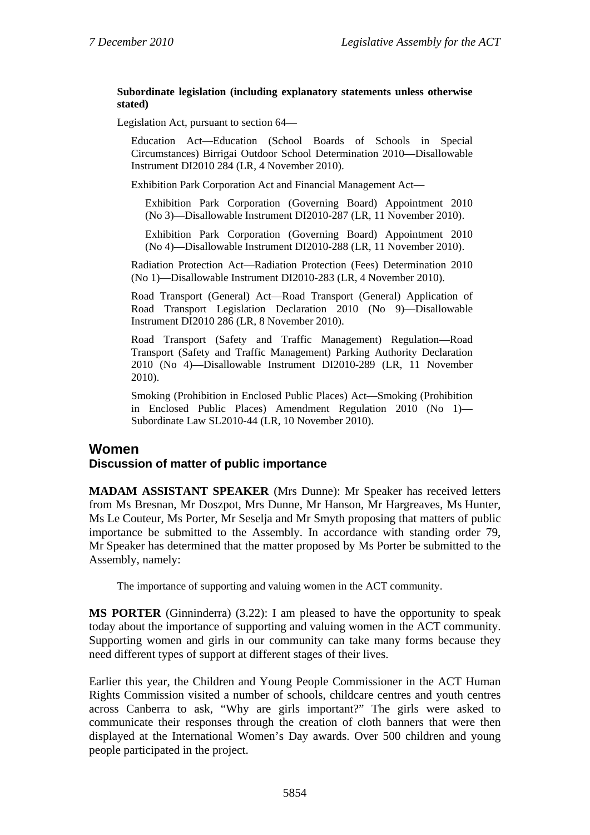#### **Subordinate legislation (including explanatory statements unless otherwise stated)**

Legislation Act, pursuant to section 64—

Education Act—Education (School Boards of Schools in Special Circumstances) Birrigai Outdoor School Determination 2010—Disallowable Instrument DI2010 284 (LR, 4 November 2010).

Exhibition Park Corporation Act and Financial Management Act—

Exhibition Park Corporation (Governing Board) Appointment 2010 (No 3)—Disallowable Instrument DI2010-287 (LR, 11 November 2010).

Exhibition Park Corporation (Governing Board) Appointment 2010 (No 4)—Disallowable Instrument DI2010-288 (LR, 11 November 2010).

Radiation Protection Act—Radiation Protection (Fees) Determination 2010 (No 1)—Disallowable Instrument DI2010-283 (LR, 4 November 2010).

Road Transport (General) Act—Road Transport (General) Application of Road Transport Legislation Declaration 2010 (No 9)—Disallowable Instrument DI2010 286 (LR, 8 November 2010).

Road Transport (Safety and Traffic Management) Regulation—Road Transport (Safety and Traffic Management) Parking Authority Declaration 2010 (No 4)—Disallowable Instrument DI2010-289 (LR, 11 November 2010).

Smoking (Prohibition in Enclosed Public Places) Act—Smoking (Prohibition in Enclosed Public Places) Amendment Regulation 2010 (No 1)— Subordinate Law SL2010-44 (LR, 10 November 2010).

### **Women**

#### **Discussion of matter of public importance**

**MADAM ASSISTANT SPEAKER** (Mrs Dunne): Mr Speaker has received letters from Ms Bresnan, Mr Doszpot, Mrs Dunne, Mr Hanson, Mr Hargreaves, Ms Hunter, Ms Le Couteur, Ms Porter, Mr Seselja and Mr Smyth proposing that matters of public importance be submitted to the Assembly. In accordance with standing order 79, Mr Speaker has determined that the matter proposed by Ms Porter be submitted to the Assembly, namely:

The importance of supporting and valuing women in the ACT community.

**MS PORTER** (Ginninderra) (3.22): I am pleased to have the opportunity to speak today about the importance of supporting and valuing women in the ACT community. Supporting women and girls in our community can take many forms because they need different types of support at different stages of their lives.

Earlier this year, the Children and Young People Commissioner in the ACT Human Rights Commission visited a number of schools, childcare centres and youth centres across Canberra to ask, "Why are girls important?" The girls were asked to communicate their responses through the creation of cloth banners that were then displayed at the International Women's Day awards. Over 500 children and young people participated in the project.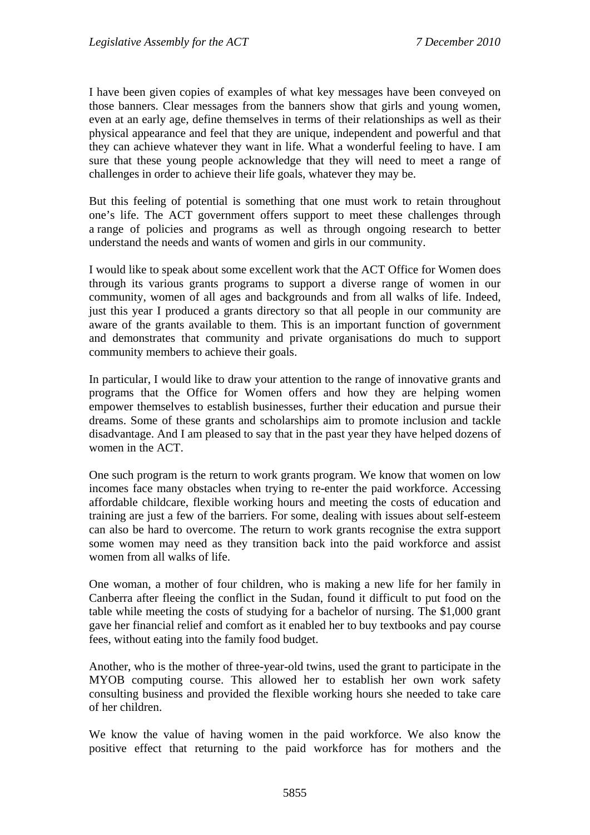I have been given copies of examples of what key messages have been conveyed on those banners. Clear messages from the banners show that girls and young women, even at an early age, define themselves in terms of their relationships as well as their physical appearance and feel that they are unique, independent and powerful and that they can achieve whatever they want in life. What a wonderful feeling to have. I am sure that these young people acknowledge that they will need to meet a range of challenges in order to achieve their life goals, whatever they may be.

But this feeling of potential is something that one must work to retain throughout one's life. The ACT government offers support to meet these challenges through a range of policies and programs as well as through ongoing research to better understand the needs and wants of women and girls in our community.

I would like to speak about some excellent work that the ACT Office for Women does through its various grants programs to support a diverse range of women in our community, women of all ages and backgrounds and from all walks of life. Indeed, just this year I produced a grants directory so that all people in our community are aware of the grants available to them. This is an important function of government and demonstrates that community and private organisations do much to support community members to achieve their goals.

In particular, I would like to draw your attention to the range of innovative grants and programs that the Office for Women offers and how they are helping women empower themselves to establish businesses, further their education and pursue their dreams. Some of these grants and scholarships aim to promote inclusion and tackle disadvantage. And I am pleased to say that in the past year they have helped dozens of women in the ACT.

One such program is the return to work grants program. We know that women on low incomes face many obstacles when trying to re-enter the paid workforce. Accessing affordable childcare, flexible working hours and meeting the costs of education and training are just a few of the barriers. For some, dealing with issues about self-esteem can also be hard to overcome. The return to work grants recognise the extra support some women may need as they transition back into the paid workforce and assist women from all walks of life.

One woman, a mother of four children, who is making a new life for her family in Canberra after fleeing the conflict in the Sudan, found it difficult to put food on the table while meeting the costs of studying for a bachelor of nursing. The \$1,000 grant gave her financial relief and comfort as it enabled her to buy textbooks and pay course fees, without eating into the family food budget.

Another, who is the mother of three-year-old twins, used the grant to participate in the MYOB computing course. This allowed her to establish her own work safety consulting business and provided the flexible working hours she needed to take care of her children.

We know the value of having women in the paid workforce. We also know the positive effect that returning to the paid workforce has for mothers and the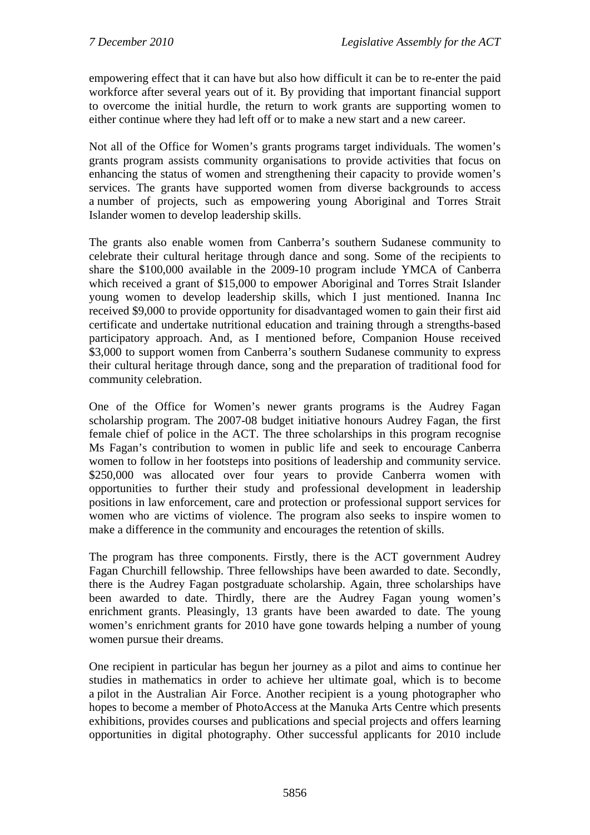empowering effect that it can have but also how difficult it can be to re-enter the paid workforce after several years out of it. By providing that important financial support to overcome the initial hurdle, the return to work grants are supporting women to either continue where they had left off or to make a new start and a new career.

Not all of the Office for Women's grants programs target individuals. The women's grants program assists community organisations to provide activities that focus on enhancing the status of women and strengthening their capacity to provide women's services. The grants have supported women from diverse backgrounds to access a number of projects, such as empowering young Aboriginal and Torres Strait Islander women to develop leadership skills.

The grants also enable women from Canberra's southern Sudanese community to celebrate their cultural heritage through dance and song. Some of the recipients to share the \$100,000 available in the 2009-10 program include YMCA of Canberra which received a grant of \$15,000 to empower Aboriginal and Torres Strait Islander young women to develop leadership skills, which I just mentioned. Inanna Inc received \$9,000 to provide opportunity for disadvantaged women to gain their first aid certificate and undertake nutritional education and training through a strengths-based participatory approach. And, as I mentioned before, Companion House received \$3,000 to support women from Canberra's southern Sudanese community to express their cultural heritage through dance, song and the preparation of traditional food for community celebration.

One of the Office for Women's newer grants programs is the Audrey Fagan scholarship program. The 2007-08 budget initiative honours Audrey Fagan, the first female chief of police in the ACT. The three scholarships in this program recognise Ms Fagan's contribution to women in public life and seek to encourage Canberra women to follow in her footsteps into positions of leadership and community service. \$250,000 was allocated over four years to provide Canberra women with opportunities to further their study and professional development in leadership positions in law enforcement, care and protection or professional support services for women who are victims of violence. The program also seeks to inspire women to make a difference in the community and encourages the retention of skills.

The program has three components. Firstly, there is the ACT government Audrey Fagan Churchill fellowship. Three fellowships have been awarded to date. Secondly, there is the Audrey Fagan postgraduate scholarship. Again, three scholarships have been awarded to date. Thirdly, there are the Audrey Fagan young women's enrichment grants. Pleasingly, 13 grants have been awarded to date. The young women's enrichment grants for 2010 have gone towards helping a number of young women pursue their dreams.

One recipient in particular has begun her journey as a pilot and aims to continue her studies in mathematics in order to achieve her ultimate goal, which is to become a pilot in the Australian Air Force. Another recipient is a young photographer who hopes to become a member of PhotoAccess at the Manuka Arts Centre which presents exhibitions, provides courses and publications and special projects and offers learning opportunities in digital photography. Other successful applicants for 2010 include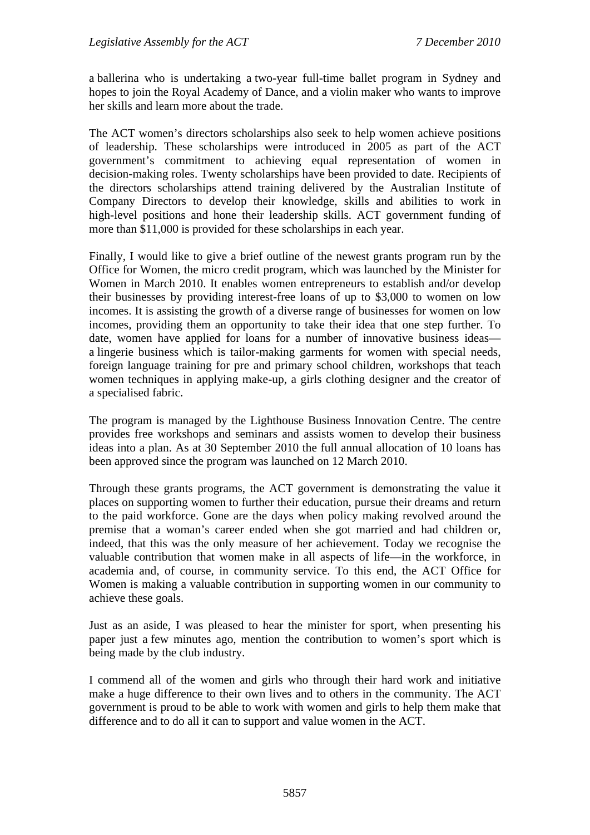a ballerina who is undertaking a two-year full-time ballet program in Sydney and hopes to join the Royal Academy of Dance, and a violin maker who wants to improve her skills and learn more about the trade.

The ACT women's directors scholarships also seek to help women achieve positions of leadership. These scholarships were introduced in 2005 as part of the ACT government's commitment to achieving equal representation of women in decision-making roles. Twenty scholarships have been provided to date. Recipients of the directors scholarships attend training delivered by the Australian Institute of Company Directors to develop their knowledge, skills and abilities to work in high-level positions and hone their leadership skills. ACT government funding of more than \$11,000 is provided for these scholarships in each year.

Finally, I would like to give a brief outline of the newest grants program run by the Office for Women, the micro credit program, which was launched by the Minister for Women in March 2010. It enables women entrepreneurs to establish and/or develop their businesses by providing interest-free loans of up to \$3,000 to women on low incomes. It is assisting the growth of a diverse range of businesses for women on low incomes, providing them an opportunity to take their idea that one step further. To date, women have applied for loans for a number of innovative business ideas a lingerie business which is tailor-making garments for women with special needs, foreign language training for pre and primary school children, workshops that teach women techniques in applying make-up, a girls clothing designer and the creator of a specialised fabric.

The program is managed by the Lighthouse Business Innovation Centre. The centre provides free workshops and seminars and assists women to develop their business ideas into a plan. As at 30 September 2010 the full annual allocation of 10 loans has been approved since the program was launched on 12 March 2010.

Through these grants programs, the ACT government is demonstrating the value it places on supporting women to further their education, pursue their dreams and return to the paid workforce. Gone are the days when policy making revolved around the premise that a woman's career ended when she got married and had children or, indeed, that this was the only measure of her achievement. Today we recognise the valuable contribution that women make in all aspects of life—in the workforce, in academia and, of course, in community service. To this end, the ACT Office for Women is making a valuable contribution in supporting women in our community to achieve these goals.

Just as an aside, I was pleased to hear the minister for sport, when presenting his paper just a few minutes ago, mention the contribution to women's sport which is being made by the club industry.

I commend all of the women and girls who through their hard work and initiative make a huge difference to their own lives and to others in the community. The ACT government is proud to be able to work with women and girls to help them make that difference and to do all it can to support and value women in the ACT.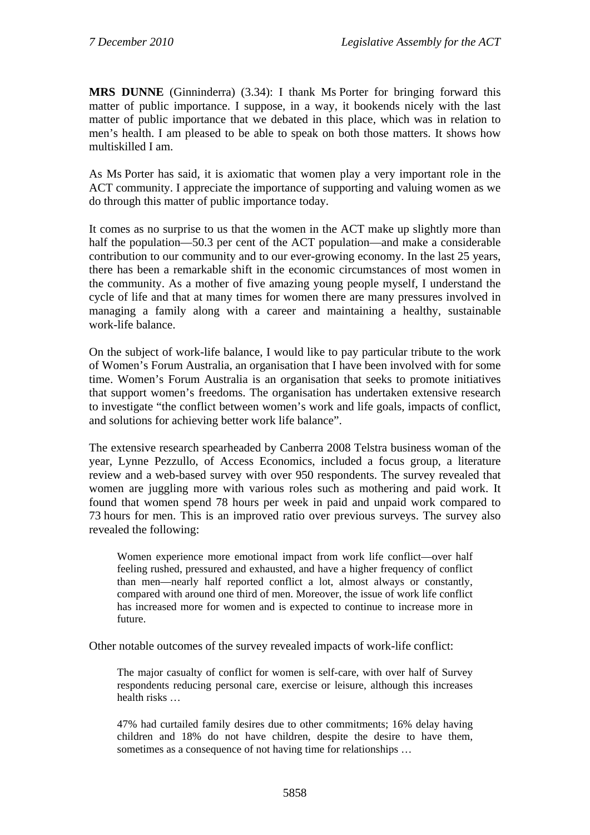**MRS DUNNE** (Ginninderra) (3.34): I thank Ms Porter for bringing forward this matter of public importance. I suppose, in a way, it bookends nicely with the last matter of public importance that we debated in this place, which was in relation to men's health. I am pleased to be able to speak on both those matters. It shows how multiskilled I am.

As Ms Porter has said, it is axiomatic that women play a very important role in the ACT community. I appreciate the importance of supporting and valuing women as we do through this matter of public importance today.

It comes as no surprise to us that the women in the ACT make up slightly more than half the population—50.3 per cent of the ACT population—and make a considerable contribution to our community and to our ever-growing economy. In the last 25 years, there has been a remarkable shift in the economic circumstances of most women in the community. As a mother of five amazing young people myself, I understand the cycle of life and that at many times for women there are many pressures involved in managing a family along with a career and maintaining a healthy, sustainable work-life balance.

On the subject of work-life balance, I would like to pay particular tribute to the work of Women's Forum Australia, an organisation that I have been involved with for some time. Women's Forum Australia is an organisation that seeks to promote initiatives that support women's freedoms. The organisation has undertaken extensive research to investigate "the conflict between women's work and life goals, impacts of conflict, and solutions for achieving better work life balance".

The extensive research spearheaded by Canberra 2008 Telstra business woman of the year, Lynne Pezzullo, of Access Economics, included a focus group, a literature review and a web-based survey with over 950 respondents. The survey revealed that women are juggling more with various roles such as mothering and paid work. It found that women spend 78 hours per week in paid and unpaid work compared to 73 hours for men. This is an improved ratio over previous surveys. The survey also revealed the following:

Women experience more emotional impact from work life conflict—over half feeling rushed, pressured and exhausted, and have a higher frequency of conflict than men—nearly half reported conflict a lot, almost always or constantly, compared with around one third of men. Moreover, the issue of work life conflict has increased more for women and is expected to continue to increase more in future.

Other notable outcomes of the survey revealed impacts of work-life conflict:

The major casualty of conflict for women is self-care, with over half of Survey respondents reducing personal care, exercise or leisure, although this increases health risks …

47% had curtailed family desires due to other commitments; 16% delay having children and 18% do not have children, despite the desire to have them, sometimes as a consequence of not having time for relationships …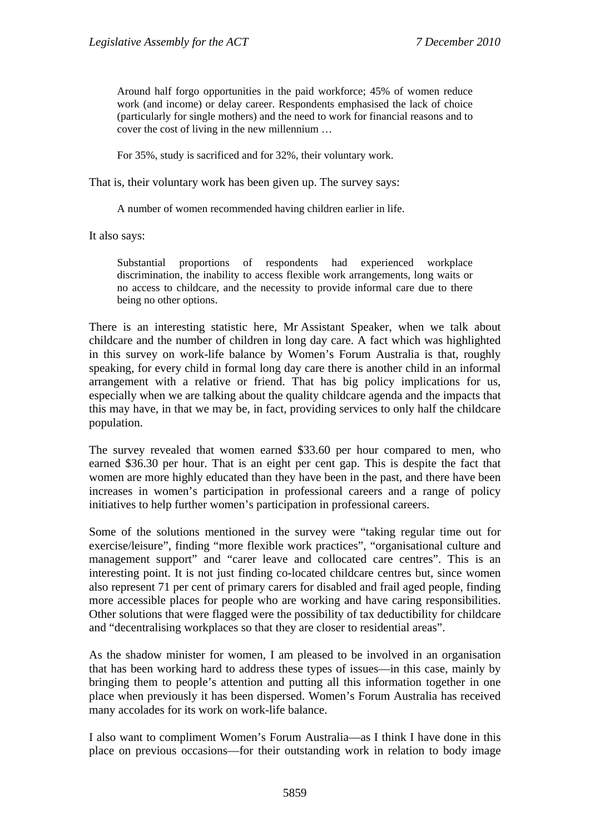Around half forgo opportunities in the paid workforce; 45% of women reduce work (and income) or delay career. Respondents emphasised the lack of choice (particularly for single mothers) and the need to work for financial reasons and to cover the cost of living in the new millennium …

For 35%, study is sacrificed and for 32%, their voluntary work.

That is, their voluntary work has been given up. The survey says:

A number of women recommended having children earlier in life.

It also says:

Substantial proportions of respondents had experienced workplace discrimination, the inability to access flexible work arrangements, long waits or no access to childcare, and the necessity to provide informal care due to there being no other options.

There is an interesting statistic here, Mr Assistant Speaker, when we talk about childcare and the number of children in long day care. A fact which was highlighted in this survey on work-life balance by Women's Forum Australia is that, roughly speaking, for every child in formal long day care there is another child in an informal arrangement with a relative or friend. That has big policy implications for us, especially when we are talking about the quality childcare agenda and the impacts that this may have, in that we may be, in fact, providing services to only half the childcare population.

The survey revealed that women earned \$33.60 per hour compared to men, who earned \$36.30 per hour. That is an eight per cent gap. This is despite the fact that women are more highly educated than they have been in the past, and there have been increases in women's participation in professional careers and a range of policy initiatives to help further women's participation in professional careers.

Some of the solutions mentioned in the survey were "taking regular time out for exercise/leisure", finding "more flexible work practices", "organisational culture and management support" and "carer leave and collocated care centres". This is an interesting point. It is not just finding co-located childcare centres but, since women also represent 71 per cent of primary carers for disabled and frail aged people, finding more accessible places for people who are working and have caring responsibilities. Other solutions that were flagged were the possibility of tax deductibility for childcare and "decentralising workplaces so that they are closer to residential areas".

As the shadow minister for women, I am pleased to be involved in an organisation that has been working hard to address these types of issues—in this case, mainly by bringing them to people's attention and putting all this information together in one place when previously it has been dispersed. Women's Forum Australia has received many accolades for its work on work-life balance.

I also want to compliment Women's Forum Australia—as I think I have done in this place on previous occasions—for their outstanding work in relation to body image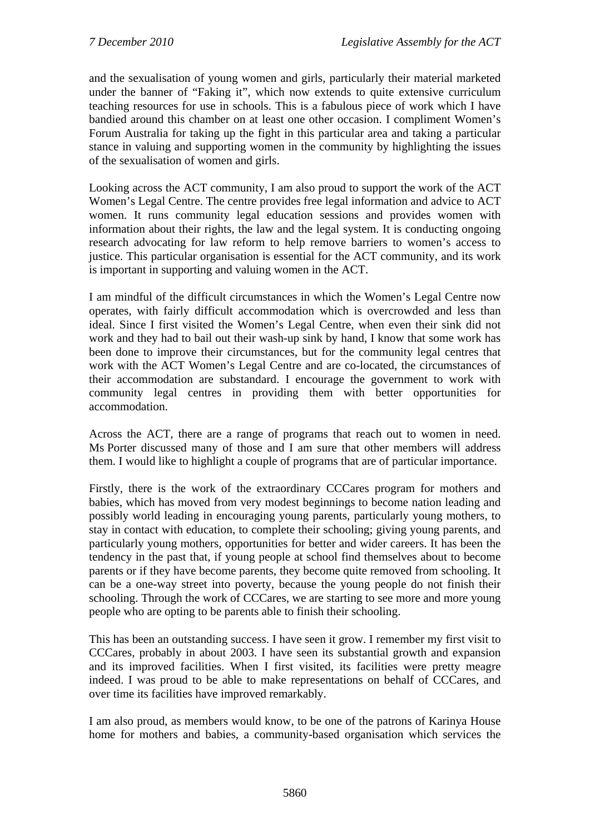and the sexualisation of young women and girls, particularly their material marketed under the banner of "Faking it", which now extends to quite extensive curriculum teaching resources for use in schools. This is a fabulous piece of work which I have bandied around this chamber on at least one other occasion. I compliment Women's Forum Australia for taking up the fight in this particular area and taking a particular stance in valuing and supporting women in the community by highlighting the issues of the sexualisation of women and girls.

Looking across the ACT community, I am also proud to support the work of the ACT Women's Legal Centre. The centre provides free legal information and advice to ACT women. It runs community legal education sessions and provides women with information about their rights, the law and the legal system. It is conducting ongoing research advocating for law reform to help remove barriers to women's access to justice. This particular organisation is essential for the ACT community, and its work is important in supporting and valuing women in the ACT.

I am mindful of the difficult circumstances in which the Women's Legal Centre now operates, with fairly difficult accommodation which is overcrowded and less than ideal. Since I first visited the Women's Legal Centre, when even their sink did not work and they had to bail out their wash-up sink by hand, I know that some work has been done to improve their circumstances, but for the community legal centres that work with the ACT Women's Legal Centre and are co-located, the circumstances of their accommodation are substandard. I encourage the government to work with community legal centres in providing them with better opportunities for accommodation.

Across the ACT, there are a range of programs that reach out to women in need. Ms Porter discussed many of those and I am sure that other members will address them. I would like to highlight a couple of programs that are of particular importance.

Firstly, there is the work of the extraordinary CCCares program for mothers and babies, which has moved from very modest beginnings to become nation leading and possibly world leading in encouraging young parents, particularly young mothers, to stay in contact with education, to complete their schooling; giving young parents, and particularly young mothers, opportunities for better and wider careers. It has been the tendency in the past that, if young people at school find themselves about to become parents or if they have become parents, they become quite removed from schooling. It can be a one-way street into poverty, because the young people do not finish their schooling. Through the work of CCCares, we are starting to see more and more young people who are opting to be parents able to finish their schooling.

This has been an outstanding success. I have seen it grow. I remember my first visit to CCCares, probably in about 2003. I have seen its substantial growth and expansion and its improved facilities. When I first visited, its facilities were pretty meagre indeed. I was proud to be able to make representations on behalf of CCCares, and over time its facilities have improved remarkably.

I am also proud, as members would know, to be one of the patrons of Karinya House home for mothers and babies, a community-based organisation which services the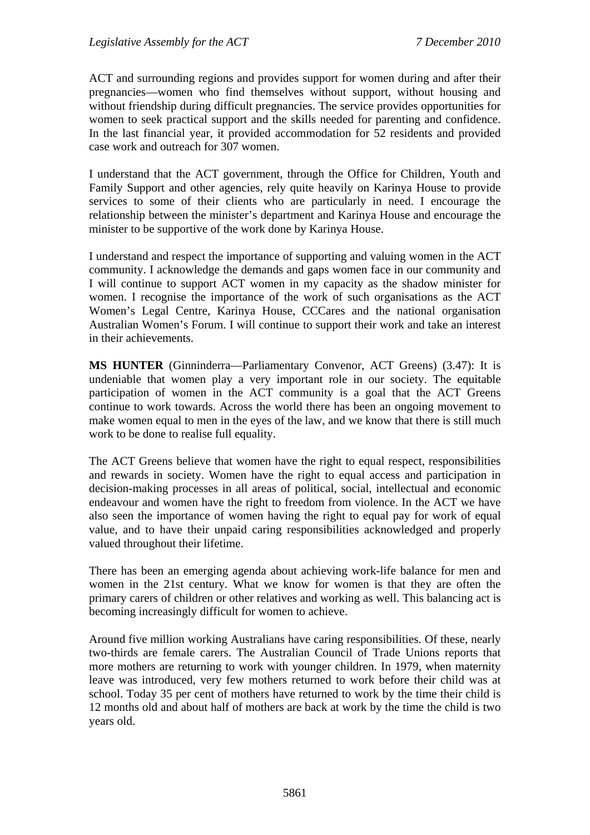ACT and surrounding regions and provides support for women during and after their pregnancies—women who find themselves without support, without housing and without friendship during difficult pregnancies. The service provides opportunities for women to seek practical support and the skills needed for parenting and confidence. In the last financial year, it provided accommodation for 52 residents and provided case work and outreach for 307 women.

I understand that the ACT government, through the Office for Children, Youth and Family Support and other agencies, rely quite heavily on Karinya House to provide services to some of their clients who are particularly in need. I encourage the relationship between the minister's department and Karinya House and encourage the minister to be supportive of the work done by Karinya House.

I understand and respect the importance of supporting and valuing women in the ACT community. I acknowledge the demands and gaps women face in our community and I will continue to support ACT women in my capacity as the shadow minister for women. I recognise the importance of the work of such organisations as the ACT Women's Legal Centre, Karinya House, CCCares and the national organisation Australian Women's Forum. I will continue to support their work and take an interest in their achievements.

**MS HUNTER** (Ginninderra—Parliamentary Convenor, ACT Greens) (3.47): It is undeniable that women play a very important role in our society. The equitable participation of women in the ACT community is a goal that the ACT Greens continue to work towards. Across the world there has been an ongoing movement to make women equal to men in the eyes of the law, and we know that there is still much work to be done to realise full equality.

The ACT Greens believe that women have the right to equal respect, responsibilities and rewards in society. Women have the right to equal access and participation in decision-making processes in all areas of political, social, intellectual and economic endeavour and women have the right to freedom from violence. In the ACT we have also seen the importance of women having the right to equal pay for work of equal value, and to have their unpaid caring responsibilities acknowledged and properly valued throughout their lifetime.

There has been an emerging agenda about achieving work-life balance for men and women in the 21st century. What we know for women is that they are often the primary carers of children or other relatives and working as well. This balancing act is becoming increasingly difficult for women to achieve.

Around five million working Australians have caring responsibilities. Of these, nearly two-thirds are female carers. The Australian Council of Trade Unions reports that more mothers are returning to work with younger children. In 1979, when maternity leave was introduced, very few mothers returned to work before their child was at school. Today 35 per cent of mothers have returned to work by the time their child is 12 months old and about half of mothers are back at work by the time the child is two years old.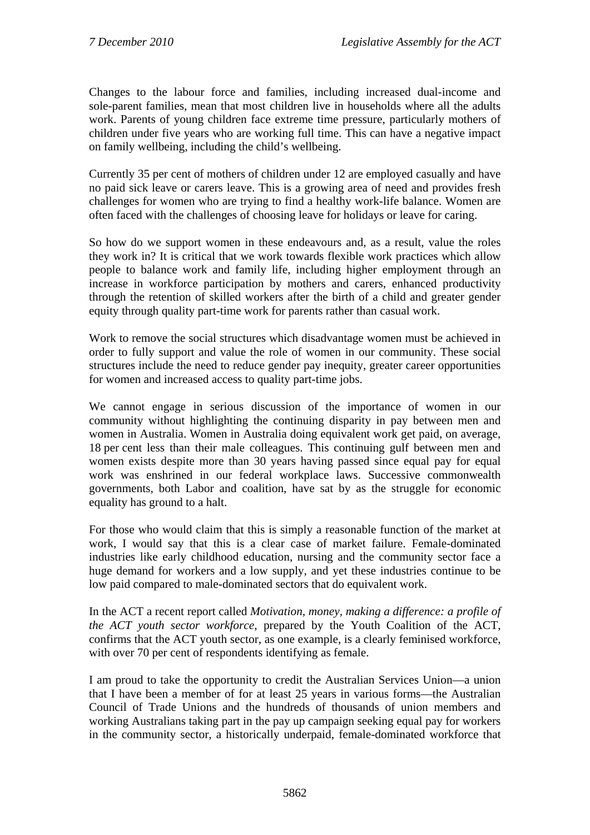Changes to the labour force and families, including increased dual-income and sole-parent families, mean that most children live in households where all the adults work. Parents of young children face extreme time pressure, particularly mothers of children under five years who are working full time. This can have a negative impact on family wellbeing, including the child's wellbeing.

Currently 35 per cent of mothers of children under 12 are employed casually and have no paid sick leave or carers leave. This is a growing area of need and provides fresh challenges for women who are trying to find a healthy work-life balance. Women are often faced with the challenges of choosing leave for holidays or leave for caring.

So how do we support women in these endeavours and, as a result, value the roles they work in? It is critical that we work towards flexible work practices which allow people to balance work and family life, including higher employment through an increase in workforce participation by mothers and carers, enhanced productivity through the retention of skilled workers after the birth of a child and greater gender equity through quality part-time work for parents rather than casual work.

Work to remove the social structures which disadvantage women must be achieved in order to fully support and value the role of women in our community. These social structures include the need to reduce gender pay inequity, greater career opportunities for women and increased access to quality part-time jobs.

We cannot engage in serious discussion of the importance of women in our community without highlighting the continuing disparity in pay between men and women in Australia. Women in Australia doing equivalent work get paid, on average, 18 per cent less than their male colleagues. This continuing gulf between men and women exists despite more than 30 years having passed since equal pay for equal work was enshrined in our federal workplace laws. Successive commonwealth governments, both Labor and coalition, have sat by as the struggle for economic equality has ground to a halt.

For those who would claim that this is simply a reasonable function of the market at work, I would say that this is a clear case of market failure. Female-dominated industries like early childhood education, nursing and the community sector face a huge demand for workers and a low supply, and yet these industries continue to be low paid compared to male-dominated sectors that do equivalent work.

In the ACT a recent report called *Motivation, money, making a difference: a profile of the ACT youth sector workforce*, prepared by the Youth Coalition of the ACT, confirms that the ACT youth sector, as one example, is a clearly feminised workforce, with over 70 per cent of respondents identifying as female.

I am proud to take the opportunity to credit the Australian Services Union—a union that I have been a member of for at least 25 years in various forms—the Australian Council of Trade Unions and the hundreds of thousands of union members and working Australians taking part in the pay up campaign seeking equal pay for workers in the community sector, a historically underpaid, female-dominated workforce that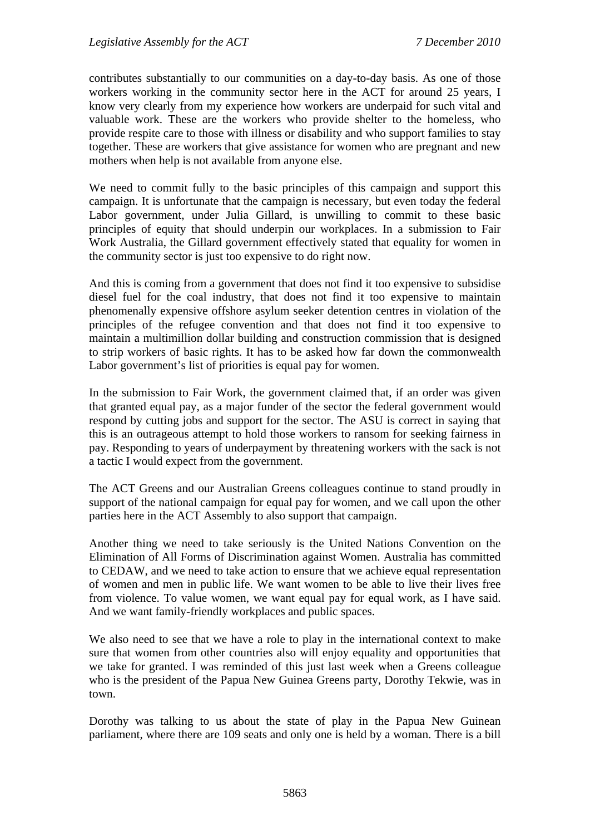contributes substantially to our communities on a day-to-day basis. As one of those workers working in the community sector here in the ACT for around 25 years, I know very clearly from my experience how workers are underpaid for such vital and valuable work. These are the workers who provide shelter to the homeless, who provide respite care to those with illness or disability and who support families to stay together. These are workers that give assistance for women who are pregnant and new mothers when help is not available from anyone else.

We need to commit fully to the basic principles of this campaign and support this campaign. It is unfortunate that the campaign is necessary, but even today the federal Labor government, under Julia Gillard, is unwilling to commit to these basic principles of equity that should underpin our workplaces. In a submission to Fair Work Australia, the Gillard government effectively stated that equality for women in the community sector is just too expensive to do right now.

And this is coming from a government that does not find it too expensive to subsidise diesel fuel for the coal industry, that does not find it too expensive to maintain phenomenally expensive offshore asylum seeker detention centres in violation of the principles of the refugee convention and that does not find it too expensive to maintain a multimillion dollar building and construction commission that is designed to strip workers of basic rights. It has to be asked how far down the commonwealth Labor government's list of priorities is equal pay for women.

In the submission to Fair Work, the government claimed that, if an order was given that granted equal pay, as a major funder of the sector the federal government would respond by cutting jobs and support for the sector. The ASU is correct in saying that this is an outrageous attempt to hold those workers to ransom for seeking fairness in pay. Responding to years of underpayment by threatening workers with the sack is not a tactic I would expect from the government.

The ACT Greens and our Australian Greens colleagues continue to stand proudly in support of the national campaign for equal pay for women, and we call upon the other parties here in the ACT Assembly to also support that campaign.

Another thing we need to take seriously is the United Nations Convention on the Elimination of All Forms of Discrimination against Women. Australia has committed to CEDAW, and we need to take action to ensure that we achieve equal representation of women and men in public life. We want women to be able to live their lives free from violence. To value women, we want equal pay for equal work, as I have said. And we want family-friendly workplaces and public spaces.

We also need to see that we have a role to play in the international context to make sure that women from other countries also will enjoy equality and opportunities that we take for granted. I was reminded of this just last week when a Greens colleague who is the president of the Papua New Guinea Greens party, Dorothy Tekwie, was in town.

Dorothy was talking to us about the state of play in the Papua New Guinean parliament, where there are 109 seats and only one is held by a woman. There is a bill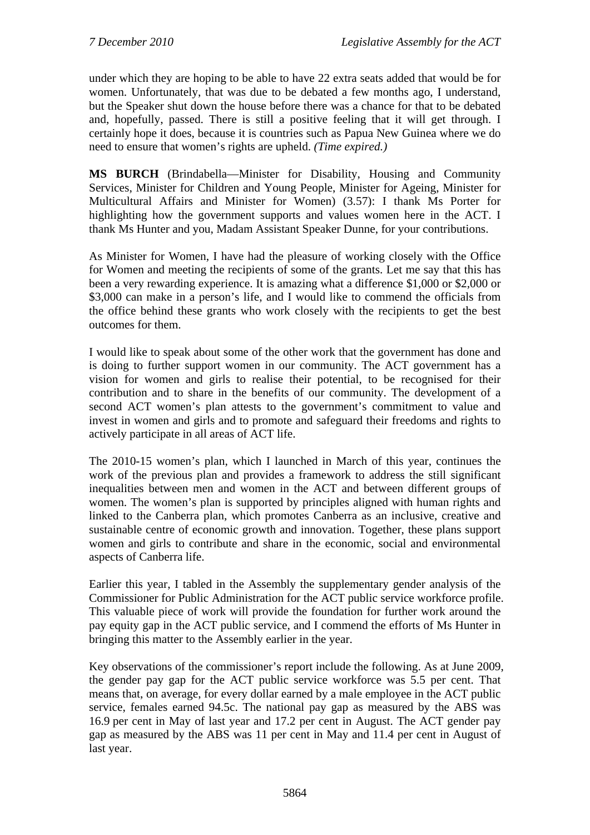under which they are hoping to be able to have 22 extra seats added that would be for women. Unfortunately, that was due to be debated a few months ago, I understand, but the Speaker shut down the house before there was a chance for that to be debated and, hopefully, passed. There is still a positive feeling that it will get through. I certainly hope it does, because it is countries such as Papua New Guinea where we do need to ensure that women's rights are upheld. *(Time expired.)*

**MS BURCH** (Brindabella—Minister for Disability, Housing and Community Services, Minister for Children and Young People, Minister for Ageing, Minister for Multicultural Affairs and Minister for Women) (3.57): I thank Ms Porter for highlighting how the government supports and values women here in the ACT. I thank Ms Hunter and you, Madam Assistant Speaker Dunne, for your contributions.

As Minister for Women, I have had the pleasure of working closely with the Office for Women and meeting the recipients of some of the grants. Let me say that this has been a very rewarding experience. It is amazing what a difference \$1,000 or \$2,000 or \$3,000 can make in a person's life, and I would like to commend the officials from the office behind these grants who work closely with the recipients to get the best outcomes for them.

I would like to speak about some of the other work that the government has done and is doing to further support women in our community. The ACT government has a vision for women and girls to realise their potential, to be recognised for their contribution and to share in the benefits of our community. The development of a second ACT women's plan attests to the government's commitment to value and invest in women and girls and to promote and safeguard their freedoms and rights to actively participate in all areas of ACT life.

The 2010-15 women's plan, which I launched in March of this year, continues the work of the previous plan and provides a framework to address the still significant inequalities between men and women in the ACT and between different groups of women. The women's plan is supported by principles aligned with human rights and linked to the Canberra plan, which promotes Canberra as an inclusive, creative and sustainable centre of economic growth and innovation. Together, these plans support women and girls to contribute and share in the economic, social and environmental aspects of Canberra life.

Earlier this year, I tabled in the Assembly the supplementary gender analysis of the Commissioner for Public Administration for the ACT public service workforce profile. This valuable piece of work will provide the foundation for further work around the pay equity gap in the ACT public service, and I commend the efforts of Ms Hunter in bringing this matter to the Assembly earlier in the year.

Key observations of the commissioner's report include the following. As at June 2009, the gender pay gap for the ACT public service workforce was 5.5 per cent. That means that, on average, for every dollar earned by a male employee in the ACT public service, females earned 94.5c. The national pay gap as measured by the ABS was 16.9 per cent in May of last year and 17.2 per cent in August. The ACT gender pay gap as measured by the ABS was 11 per cent in May and 11.4 per cent in August of last year.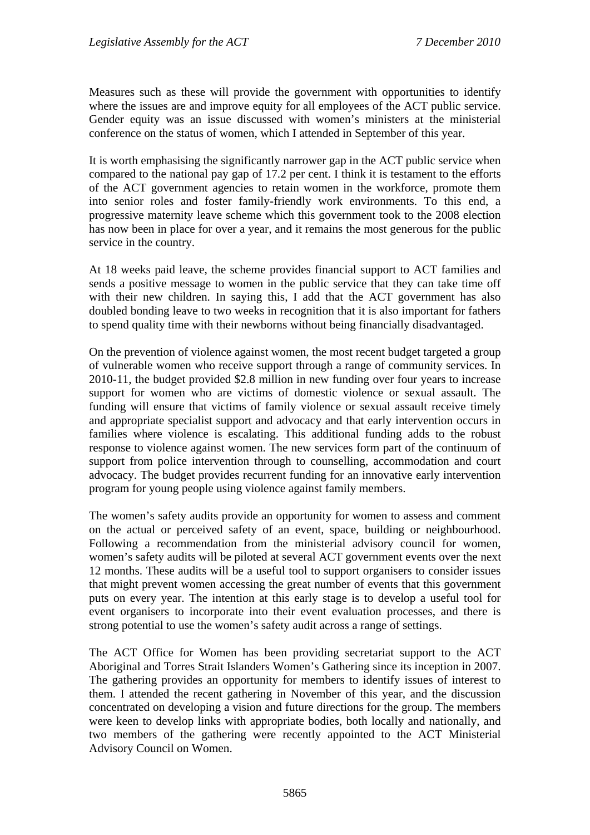Measures such as these will provide the government with opportunities to identify where the issues are and improve equity for all employees of the ACT public service. Gender equity was an issue discussed with women's ministers at the ministerial conference on the status of women, which I attended in September of this year.

It is worth emphasising the significantly narrower gap in the ACT public service when compared to the national pay gap of 17.2 per cent. I think it is testament to the efforts of the ACT government agencies to retain women in the workforce, promote them into senior roles and foster family-friendly work environments. To this end, a progressive maternity leave scheme which this government took to the 2008 election has now been in place for over a year, and it remains the most generous for the public service in the country.

At 18 weeks paid leave, the scheme provides financial support to ACT families and sends a positive message to women in the public service that they can take time off with their new children. In saying this, I add that the ACT government has also doubled bonding leave to two weeks in recognition that it is also important for fathers to spend quality time with their newborns without being financially disadvantaged.

On the prevention of violence against women, the most recent budget targeted a group of vulnerable women who receive support through a range of community services. In 2010-11, the budget provided \$2.8 million in new funding over four years to increase support for women who are victims of domestic violence or sexual assault. The funding will ensure that victims of family violence or sexual assault receive timely and appropriate specialist support and advocacy and that early intervention occurs in families where violence is escalating. This additional funding adds to the robust response to violence against women. The new services form part of the continuum of support from police intervention through to counselling, accommodation and court advocacy. The budget provides recurrent funding for an innovative early intervention program for young people using violence against family members.

The women's safety audits provide an opportunity for women to assess and comment on the actual or perceived safety of an event, space, building or neighbourhood. Following a recommendation from the ministerial advisory council for women, women's safety audits will be piloted at several ACT government events over the next 12 months. These audits will be a useful tool to support organisers to consider issues that might prevent women accessing the great number of events that this government puts on every year. The intention at this early stage is to develop a useful tool for event organisers to incorporate into their event evaluation processes, and there is strong potential to use the women's safety audit across a range of settings.

The ACT Office for Women has been providing secretariat support to the ACT Aboriginal and Torres Strait Islanders Women's Gathering since its inception in 2007. The gathering provides an opportunity for members to identify issues of interest to them. I attended the recent gathering in November of this year, and the discussion concentrated on developing a vision and future directions for the group. The members were keen to develop links with appropriate bodies, both locally and nationally, and two members of the gathering were recently appointed to the ACT Ministerial Advisory Council on Women.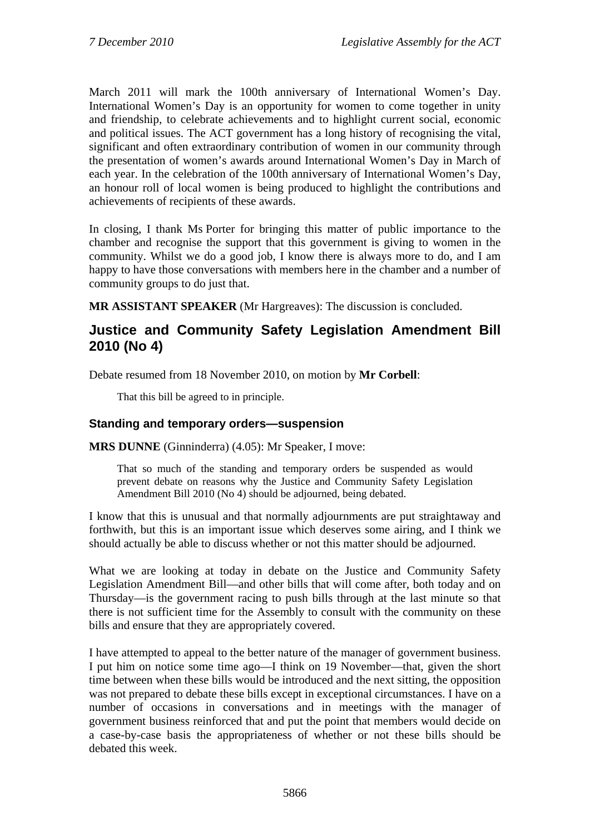March 2011 will mark the 100th anniversary of International Women's Day. International Women's Day is an opportunity for women to come together in unity and friendship, to celebrate achievements and to highlight current social, economic and political issues. The ACT government has a long history of recognising the vital, significant and often extraordinary contribution of women in our community through the presentation of women's awards around International Women's Day in March of each year. In the celebration of the 100th anniversary of International Women's Day, an honour roll of local women is being produced to highlight the contributions and achievements of recipients of these awards.

In closing, I thank Ms Porter for bringing this matter of public importance to the chamber and recognise the support that this government is giving to women in the community. Whilst we do a good job, I know there is always more to do, and I am happy to have those conversations with members here in the chamber and a number of community groups to do just that.

**MR ASSISTANT SPEAKER** (Mr Hargreaves): The discussion is concluded.

## **Justice and Community Safety Legislation Amendment Bill 2010 (No 4)**

Debate resumed from 18 November 2010, on motion by **Mr Corbell**:

That this bill be agreed to in principle.

#### **Standing and temporary orders—suspension**

**MRS DUNNE** (Ginninderra) (4.05): Mr Speaker, I move:

That so much of the standing and temporary orders be suspended as would prevent debate on reasons why the Justice and Community Safety Legislation Amendment Bill 2010 (No 4) should be adjourned, being debated.

I know that this is unusual and that normally adjournments are put straightaway and forthwith, but this is an important issue which deserves some airing, and I think we should actually be able to discuss whether or not this matter should be adjourned.

What we are looking at today in debate on the Justice and Community Safety Legislation Amendment Bill—and other bills that will come after, both today and on Thursday—is the government racing to push bills through at the last minute so that there is not sufficient time for the Assembly to consult with the community on these bills and ensure that they are appropriately covered.

I have attempted to appeal to the better nature of the manager of government business. I put him on notice some time ago—I think on 19 November—that, given the short time between when these bills would be introduced and the next sitting, the opposition was not prepared to debate these bills except in exceptional circumstances. I have on a number of occasions in conversations and in meetings with the manager of government business reinforced that and put the point that members would decide on a case-by-case basis the appropriateness of whether or not these bills should be debated this week.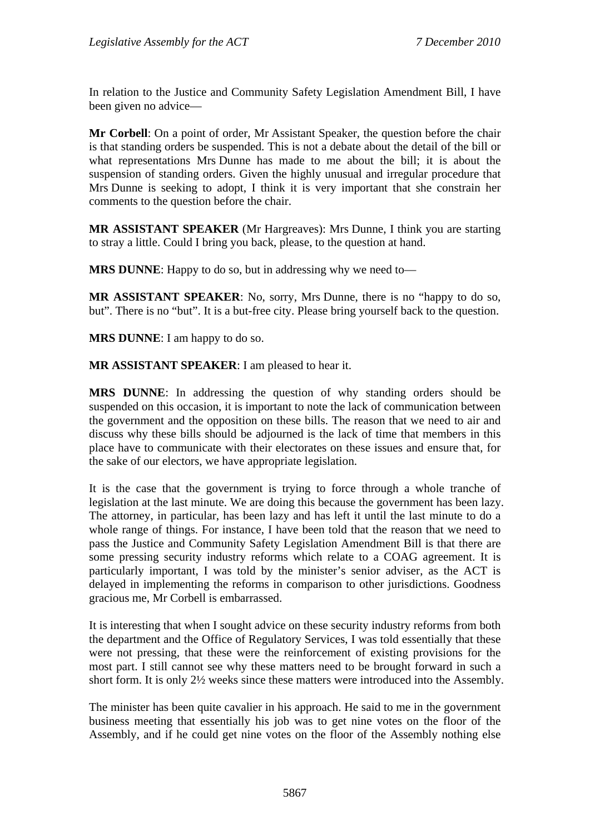In relation to the Justice and Community Safety Legislation Amendment Bill, I have been given no advice—

**Mr Corbell**: On a point of order, Mr Assistant Speaker, the question before the chair is that standing orders be suspended. This is not a debate about the detail of the bill or what representations Mrs Dunne has made to me about the bill; it is about the suspension of standing orders. Given the highly unusual and irregular procedure that Mrs Dunne is seeking to adopt, I think it is very important that she constrain her comments to the question before the chair.

**MR ASSISTANT SPEAKER** (Mr Hargreaves): Mrs Dunne, I think you are starting to stray a little. Could I bring you back, please, to the question at hand.

**MRS DUNNE**: Happy to do so, but in addressing why we need to—

**MR ASSISTANT SPEAKER**: No, sorry, Mrs Dunne, there is no "happy to do so, but". There is no "but". It is a but-free city. Please bring yourself back to the question.

**MRS DUNNE**: I am happy to do so.

**MR ASSISTANT SPEAKER**: I am pleased to hear it.

**MRS DUNNE**: In addressing the question of why standing orders should be suspended on this occasion, it is important to note the lack of communication between the government and the opposition on these bills. The reason that we need to air and discuss why these bills should be adjourned is the lack of time that members in this place have to communicate with their electorates on these issues and ensure that, for the sake of our electors, we have appropriate legislation.

It is the case that the government is trying to force through a whole tranche of legislation at the last minute. We are doing this because the government has been lazy. The attorney, in particular, has been lazy and has left it until the last minute to do a whole range of things. For instance, I have been told that the reason that we need to pass the Justice and Community Safety Legislation Amendment Bill is that there are some pressing security industry reforms which relate to a COAG agreement. It is particularly important, I was told by the minister's senior adviser, as the ACT is delayed in implementing the reforms in comparison to other jurisdictions. Goodness gracious me, Mr Corbell is embarrassed.

It is interesting that when I sought advice on these security industry reforms from both the department and the Office of Regulatory Services, I was told essentially that these were not pressing, that these were the reinforcement of existing provisions for the most part. I still cannot see why these matters need to be brought forward in such a short form. It is only 2½ weeks since these matters were introduced into the Assembly.

The minister has been quite cavalier in his approach. He said to me in the government business meeting that essentially his job was to get nine votes on the floor of the Assembly, and if he could get nine votes on the floor of the Assembly nothing else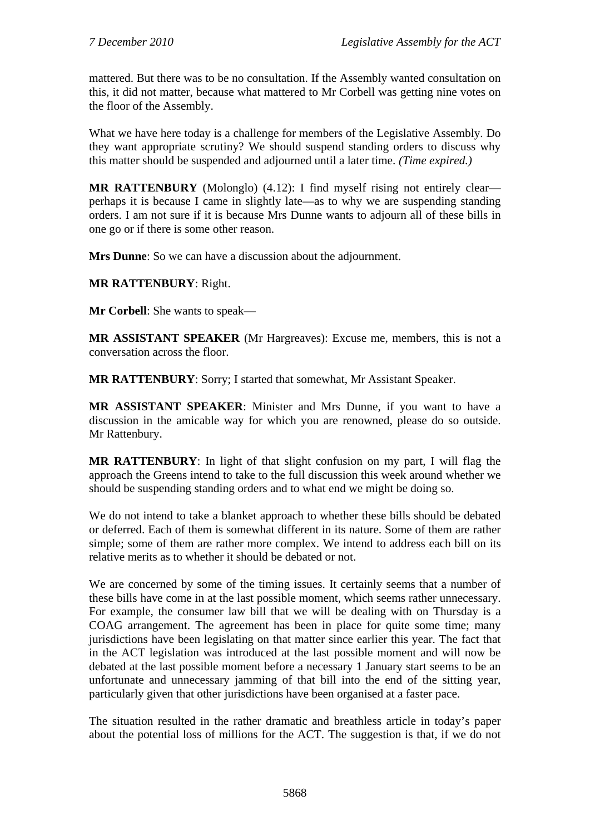mattered. But there was to be no consultation. If the Assembly wanted consultation on this, it did not matter, because what mattered to Mr Corbell was getting nine votes on the floor of the Assembly.

What we have here today is a challenge for members of the Legislative Assembly. Do they want appropriate scrutiny? We should suspend standing orders to discuss why this matter should be suspended and adjourned until a later time. *(Time expired.)*

**MR RATTENBURY** (Molonglo) (4.12): I find myself rising not entirely clear perhaps it is because I came in slightly late—as to why we are suspending standing orders. I am not sure if it is because Mrs Dunne wants to adjourn all of these bills in one go or if there is some other reason.

**Mrs Dunne**: So we can have a discussion about the adjournment.

### **MR RATTENBURY**: Right.

**Mr Corbell**: She wants to speak—

**MR ASSISTANT SPEAKER** (Mr Hargreaves): Excuse me, members, this is not a conversation across the floor.

**MR RATTENBURY**: Sorry; I started that somewhat, Mr Assistant Speaker.

**MR ASSISTANT SPEAKER**: Minister and Mrs Dunne, if you want to have a discussion in the amicable way for which you are renowned, please do so outside. Mr Rattenbury.

**MR RATTENBURY**: In light of that slight confusion on my part, I will flag the approach the Greens intend to take to the full discussion this week around whether we should be suspending standing orders and to what end we might be doing so.

We do not intend to take a blanket approach to whether these bills should be debated or deferred. Each of them is somewhat different in its nature. Some of them are rather simple; some of them are rather more complex. We intend to address each bill on its relative merits as to whether it should be debated or not.

We are concerned by some of the timing issues. It certainly seems that a number of these bills have come in at the last possible moment, which seems rather unnecessary. For example, the consumer law bill that we will be dealing with on Thursday is a COAG arrangement. The agreement has been in place for quite some time; many jurisdictions have been legislating on that matter since earlier this year. The fact that in the ACT legislation was introduced at the last possible moment and will now be debated at the last possible moment before a necessary 1 January start seems to be an unfortunate and unnecessary jamming of that bill into the end of the sitting year, particularly given that other jurisdictions have been organised at a faster pace.

The situation resulted in the rather dramatic and breathless article in today's paper about the potential loss of millions for the ACT. The suggestion is that, if we do not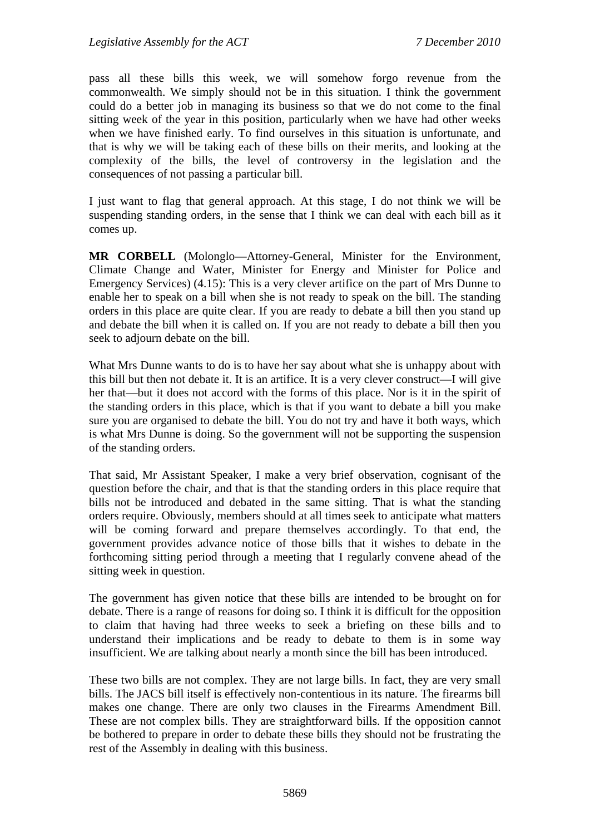pass all these bills this week, we will somehow forgo revenue from the commonwealth. We simply should not be in this situation. I think the government could do a better job in managing its business so that we do not come to the final sitting week of the year in this position, particularly when we have had other weeks when we have finished early. To find ourselves in this situation is unfortunate, and that is why we will be taking each of these bills on their merits, and looking at the complexity of the bills, the level of controversy in the legislation and the consequences of not passing a particular bill.

I just want to flag that general approach. At this stage, I do not think we will be suspending standing orders, in the sense that I think we can deal with each bill as it comes up.

**MR CORBELL** (Molonglo—Attorney-General, Minister for the Environment, Climate Change and Water, Minister for Energy and Minister for Police and Emergency Services) (4.15): This is a very clever artifice on the part of Mrs Dunne to enable her to speak on a bill when she is not ready to speak on the bill. The standing orders in this place are quite clear. If you are ready to debate a bill then you stand up and debate the bill when it is called on. If you are not ready to debate a bill then you seek to adjourn debate on the bill.

What Mrs Dunne wants to do is to have her say about what she is unhappy about with this bill but then not debate it. It is an artifice. It is a very clever construct—I will give her that—but it does not accord with the forms of this place. Nor is it in the spirit of the standing orders in this place, which is that if you want to debate a bill you make sure you are organised to debate the bill. You do not try and have it both ways, which is what Mrs Dunne is doing. So the government will not be supporting the suspension of the standing orders.

That said, Mr Assistant Speaker, I make a very brief observation, cognisant of the question before the chair, and that is that the standing orders in this place require that bills not be introduced and debated in the same sitting. That is what the standing orders require. Obviously, members should at all times seek to anticipate what matters will be coming forward and prepare themselves accordingly. To that end, the government provides advance notice of those bills that it wishes to debate in the forthcoming sitting period through a meeting that I regularly convene ahead of the sitting week in question.

The government has given notice that these bills are intended to be brought on for debate. There is a range of reasons for doing so. I think it is difficult for the opposition to claim that having had three weeks to seek a briefing on these bills and to understand their implications and be ready to debate to them is in some way insufficient. We are talking about nearly a month since the bill has been introduced.

These two bills are not complex. They are not large bills. In fact, they are very small bills. The JACS bill itself is effectively non-contentious in its nature. The firearms bill makes one change. There are only two clauses in the Firearms Amendment Bill. These are not complex bills. They are straightforward bills. If the opposition cannot be bothered to prepare in order to debate these bills they should not be frustrating the rest of the Assembly in dealing with this business.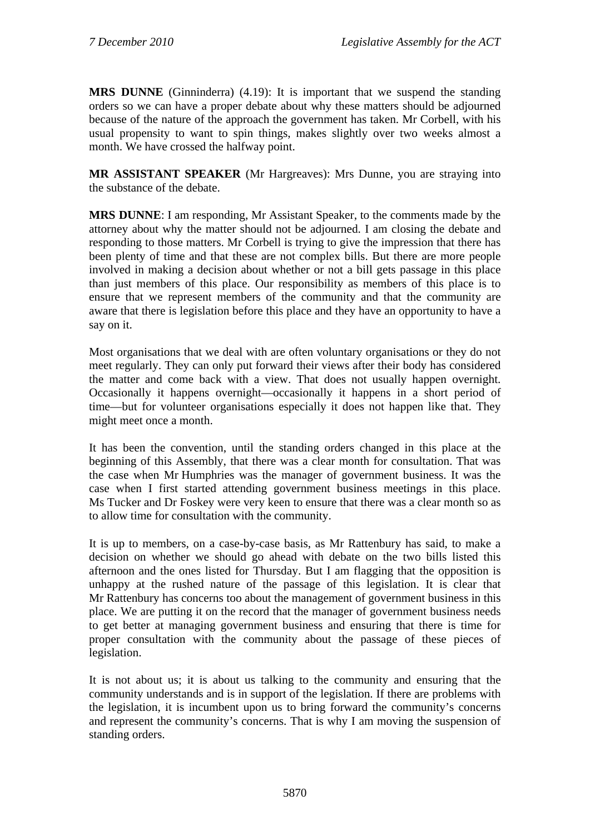**MRS DUNNE** (Ginninderra) (4.19): It is important that we suspend the standing orders so we can have a proper debate about why these matters should be adjourned because of the nature of the approach the government has taken. Mr Corbell, with his usual propensity to want to spin things, makes slightly over two weeks almost a month. We have crossed the halfway point.

**MR ASSISTANT SPEAKER** (Mr Hargreaves): Mrs Dunne, you are straying into the substance of the debate.

**MRS DUNNE**: I am responding, Mr Assistant Speaker, to the comments made by the attorney about why the matter should not be adjourned. I am closing the debate and responding to those matters. Mr Corbell is trying to give the impression that there has been plenty of time and that these are not complex bills. But there are more people involved in making a decision about whether or not a bill gets passage in this place than just members of this place. Our responsibility as members of this place is to ensure that we represent members of the community and that the community are aware that there is legislation before this place and they have an opportunity to have a say on it.

Most organisations that we deal with are often voluntary organisations or they do not meet regularly. They can only put forward their views after their body has considered the matter and come back with a view. That does not usually happen overnight. Occasionally it happens overnight—occasionally it happens in a short period of time—but for volunteer organisations especially it does not happen like that. They might meet once a month.

It has been the convention, until the standing orders changed in this place at the beginning of this Assembly, that there was a clear month for consultation. That was the case when Mr Humphries was the manager of government business. It was the case when I first started attending government business meetings in this place. Ms Tucker and Dr Foskey were very keen to ensure that there was a clear month so as to allow time for consultation with the community.

It is up to members, on a case-by-case basis, as Mr Rattenbury has said, to make a decision on whether we should go ahead with debate on the two bills listed this afternoon and the ones listed for Thursday. But I am flagging that the opposition is unhappy at the rushed nature of the passage of this legislation. It is clear that Mr Rattenbury has concerns too about the management of government business in this place. We are putting it on the record that the manager of government business needs to get better at managing government business and ensuring that there is time for proper consultation with the community about the passage of these pieces of legislation.

It is not about us; it is about us talking to the community and ensuring that the community understands and is in support of the legislation. If there are problems with the legislation, it is incumbent upon us to bring forward the community's concerns and represent the community's concerns. That is why I am moving the suspension of standing orders.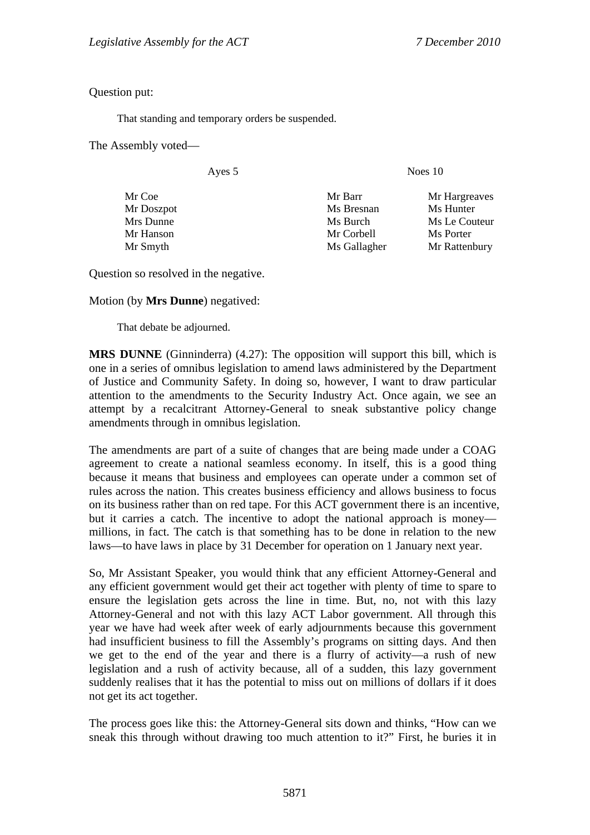Question put:

That standing and temporary orders be suspended.

The Assembly voted—

Ayes 5 Noes 10

Mr Doszpot Ms Bresnan Ms Hunter Mrs Dunne Ms Burch Ms Burch Ms Le Couteur Mr Hanson Mr Corbell Ms Porter Mr Smyth Ms Gallagher Mr Rattenbury

Mr Coe Mr Barr Mr Hargreaves

Question so resolved in the negative.

Motion (by **Mrs Dunne**) negatived:

That debate be adjourned.

**MRS DUNNE** (Ginninderra) (4.27): The opposition will support this bill, which is one in a series of omnibus legislation to amend laws administered by the Department of Justice and Community Safety. In doing so, however, I want to draw particular attention to the amendments to the Security Industry Act. Once again, we see an attempt by a recalcitrant Attorney-General to sneak substantive policy change amendments through in omnibus legislation.

The amendments are part of a suite of changes that are being made under a COAG agreement to create a national seamless economy. In itself, this is a good thing because it means that business and employees can operate under a common set of rules across the nation. This creates business efficiency and allows business to focus on its business rather than on red tape. For this ACT government there is an incentive, but it carries a catch. The incentive to adopt the national approach is money millions, in fact. The catch is that something has to be done in relation to the new laws—to have laws in place by 31 December for operation on 1 January next year.

So, Mr Assistant Speaker, you would think that any efficient Attorney-General and any efficient government would get their act together with plenty of time to spare to ensure the legislation gets across the line in time. But, no, not with this lazy Attorney-General and not with this lazy ACT Labor government. All through this year we have had week after week of early adjournments because this government had insufficient business to fill the Assembly's programs on sitting days. And then we get to the end of the year and there is a flurry of activity—a rush of new legislation and a rush of activity because, all of a sudden, this lazy government suddenly realises that it has the potential to miss out on millions of dollars if it does not get its act together.

The process goes like this: the Attorney-General sits down and thinks, "How can we sneak this through without drawing too much attention to it?" First, he buries it in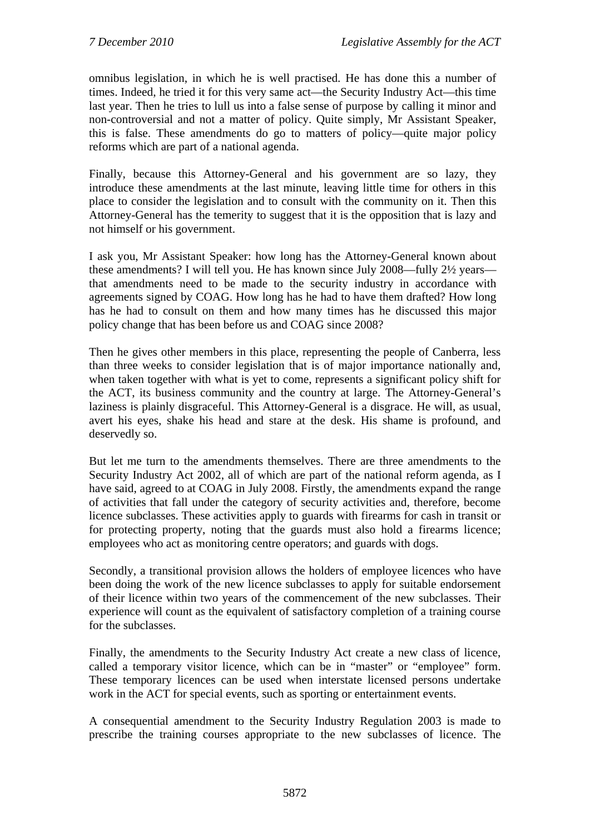omnibus legislation, in which he is well practised. He has done this a number of times. Indeed, he tried it for this very same act—the Security Industry Act—this time last year. Then he tries to lull us into a false sense of purpose by calling it minor and non-controversial and not a matter of policy. Quite simply, Mr Assistant Speaker, this is false. These amendments do go to matters of policy—quite major policy reforms which are part of a national agenda.

Finally, because this Attorney-General and his government are so lazy, they introduce these amendments at the last minute, leaving little time for others in this place to consider the legislation and to consult with the community on it. Then this Attorney-General has the temerity to suggest that it is the opposition that is lazy and not himself or his government.

I ask you, Mr Assistant Speaker: how long has the Attorney-General known about these amendments? I will tell you. He has known since July 2008—fully 2½ years that amendments need to be made to the security industry in accordance with agreements signed by COAG. How long has he had to have them drafted? How long has he had to consult on them and how many times has he discussed this major policy change that has been before us and COAG since 2008?

Then he gives other members in this place, representing the people of Canberra, less than three weeks to consider legislation that is of major importance nationally and, when taken together with what is yet to come, represents a significant policy shift for the ACT, its business community and the country at large. The Attorney-General's laziness is plainly disgraceful. This Attorney-General is a disgrace. He will, as usual, avert his eyes, shake his head and stare at the desk. His shame is profound, and deservedly so.

But let me turn to the amendments themselves. There are three amendments to the Security Industry Act 2002, all of which are part of the national reform agenda, as I have said, agreed to at COAG in July 2008. Firstly, the amendments expand the range of activities that fall under the category of security activities and, therefore, become licence subclasses. These activities apply to guards with firearms for cash in transit or for protecting property, noting that the guards must also hold a firearms licence; employees who act as monitoring centre operators; and guards with dogs.

Secondly, a transitional provision allows the holders of employee licences who have been doing the work of the new licence subclasses to apply for suitable endorsement of their licence within two years of the commencement of the new subclasses. Their experience will count as the equivalent of satisfactory completion of a training course for the subclasses.

Finally, the amendments to the Security Industry Act create a new class of licence, called a temporary visitor licence, which can be in "master" or "employee" form. These temporary licences can be used when interstate licensed persons undertake work in the ACT for special events, such as sporting or entertainment events.

A consequential amendment to the Security Industry Regulation 2003 is made to prescribe the training courses appropriate to the new subclasses of licence. The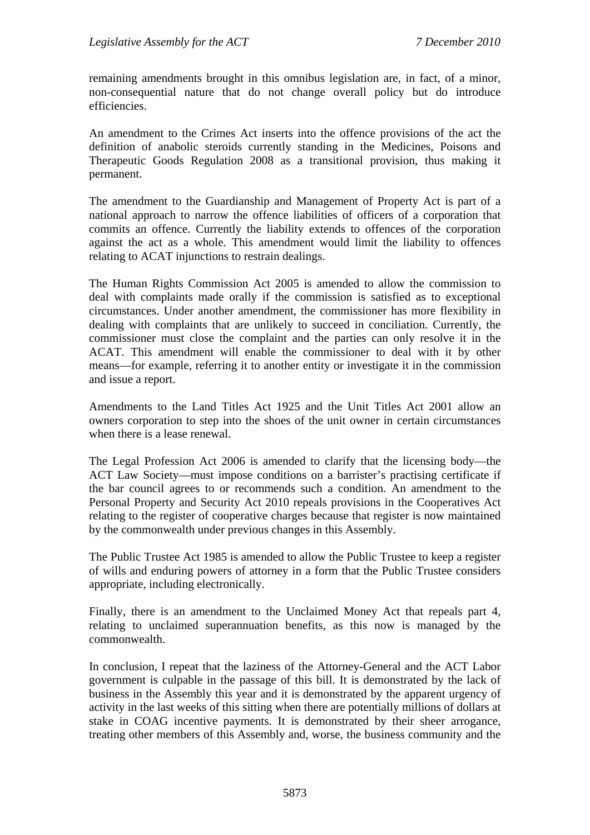remaining amendments brought in this omnibus legislation are, in fact, of a minor, non-consequential nature that do not change overall policy but do introduce efficiencies.

An amendment to the Crimes Act inserts into the offence provisions of the act the definition of anabolic steroids currently standing in the Medicines, Poisons and Therapeutic Goods Regulation 2008 as a transitional provision, thus making it permanent.

The amendment to the Guardianship and Management of Property Act is part of a national approach to narrow the offence liabilities of officers of a corporation that commits an offence. Currently the liability extends to offences of the corporation against the act as a whole. This amendment would limit the liability to offences relating to ACAT injunctions to restrain dealings.

The Human Rights Commission Act 2005 is amended to allow the commission to deal with complaints made orally if the commission is satisfied as to exceptional circumstances. Under another amendment, the commissioner has more flexibility in dealing with complaints that are unlikely to succeed in conciliation. Currently, the commissioner must close the complaint and the parties can only resolve it in the ACAT. This amendment will enable the commissioner to deal with it by other means—for example, referring it to another entity or investigate it in the commission and issue a report.

Amendments to the Land Titles Act 1925 and the Unit Titles Act 2001 allow an owners corporation to step into the shoes of the unit owner in certain circumstances when there is a lease renewal.

The Legal Profession Act 2006 is amended to clarify that the licensing body—the ACT Law Society—must impose conditions on a barrister's practising certificate if the bar council agrees to or recommends such a condition. An amendment to the Personal Property and Security Act 2010 repeals provisions in the Cooperatives Act relating to the register of cooperative charges because that register is now maintained by the commonwealth under previous changes in this Assembly.

The Public Trustee Act 1985 is amended to allow the Public Trustee to keep a register of wills and enduring powers of attorney in a form that the Public Trustee considers appropriate, including electronically.

Finally, there is an amendment to the Unclaimed Money Act that repeals part 4, relating to unclaimed superannuation benefits, as this now is managed by the commonwealth.

In conclusion, I repeat that the laziness of the Attorney-General and the ACT Labor government is culpable in the passage of this bill. It is demonstrated by the lack of business in the Assembly this year and it is demonstrated by the apparent urgency of activity in the last weeks of this sitting when there are potentially millions of dollars at stake in COAG incentive payments. It is demonstrated by their sheer arrogance, treating other members of this Assembly and, worse, the business community and the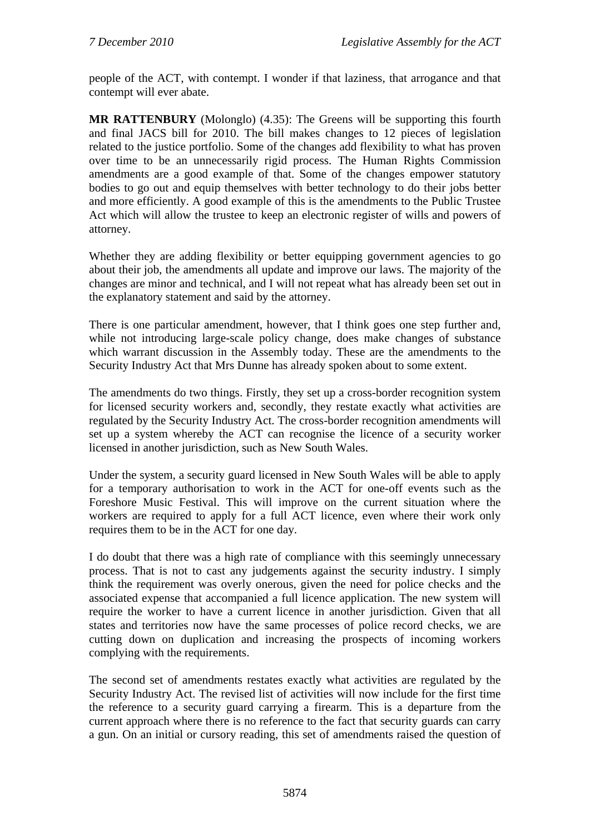people of the ACT, with contempt. I wonder if that laziness, that arrogance and that contempt will ever abate.

**MR RATTENBURY** (Molonglo) (4.35): The Greens will be supporting this fourth and final JACS bill for 2010. The bill makes changes to 12 pieces of legislation related to the justice portfolio. Some of the changes add flexibility to what has proven over time to be an unnecessarily rigid process. The Human Rights Commission amendments are a good example of that. Some of the changes empower statutory bodies to go out and equip themselves with better technology to do their jobs better and more efficiently. A good example of this is the amendments to the Public Trustee Act which will allow the trustee to keep an electronic register of wills and powers of attorney.

Whether they are adding flexibility or better equipping government agencies to go about their job, the amendments all update and improve our laws. The majority of the changes are minor and technical, and I will not repeat what has already been set out in the explanatory statement and said by the attorney.

There is one particular amendment, however, that I think goes one step further and, while not introducing large-scale policy change, does make changes of substance which warrant discussion in the Assembly today. These are the amendments to the Security Industry Act that Mrs Dunne has already spoken about to some extent.

The amendments do two things. Firstly, they set up a cross-border recognition system for licensed security workers and, secondly, they restate exactly what activities are regulated by the Security Industry Act. The cross-border recognition amendments will set up a system whereby the ACT can recognise the licence of a security worker licensed in another jurisdiction, such as New South Wales.

Under the system, a security guard licensed in New South Wales will be able to apply for a temporary authorisation to work in the ACT for one-off events such as the Foreshore Music Festival. This will improve on the current situation where the workers are required to apply for a full ACT licence, even where their work only requires them to be in the ACT for one day.

I do doubt that there was a high rate of compliance with this seemingly unnecessary process. That is not to cast any judgements against the security industry. I simply think the requirement was overly onerous, given the need for police checks and the associated expense that accompanied a full licence application. The new system will require the worker to have a current licence in another jurisdiction. Given that all states and territories now have the same processes of police record checks, we are cutting down on duplication and increasing the prospects of incoming workers complying with the requirements.

The second set of amendments restates exactly what activities are regulated by the Security Industry Act. The revised list of activities will now include for the first time the reference to a security guard carrying a firearm. This is a departure from the current approach where there is no reference to the fact that security guards can carry a gun. On an initial or cursory reading, this set of amendments raised the question of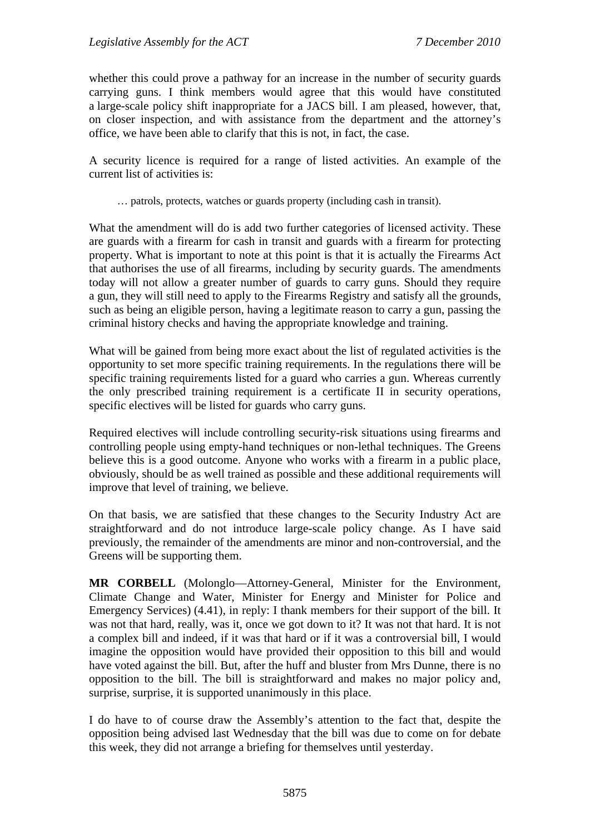whether this could prove a pathway for an increase in the number of security guards carrying guns. I think members would agree that this would have constituted a large-scale policy shift inappropriate for a JACS bill. I am pleased, however, that, on closer inspection, and with assistance from the department and the attorney's office, we have been able to clarify that this is not, in fact, the case.

A security licence is required for a range of listed activities. An example of the current list of activities is:

… patrols, protects, watches or guards property (including cash in transit).

What the amendment will do is add two further categories of licensed activity. These are guards with a firearm for cash in transit and guards with a firearm for protecting property. What is important to note at this point is that it is actually the Firearms Act that authorises the use of all firearms, including by security guards. The amendments today will not allow a greater number of guards to carry guns. Should they require a gun, they will still need to apply to the Firearms Registry and satisfy all the grounds, such as being an eligible person, having a legitimate reason to carry a gun, passing the criminal history checks and having the appropriate knowledge and training.

What will be gained from being more exact about the list of regulated activities is the opportunity to set more specific training requirements. In the regulations there will be specific training requirements listed for a guard who carries a gun. Whereas currently the only prescribed training requirement is a certificate II in security operations, specific electives will be listed for guards who carry guns.

Required electives will include controlling security-risk situations using firearms and controlling people using empty-hand techniques or non-lethal techniques. The Greens believe this is a good outcome. Anyone who works with a firearm in a public place, obviously, should be as well trained as possible and these additional requirements will improve that level of training, we believe.

On that basis, we are satisfied that these changes to the Security Industry Act are straightforward and do not introduce large-scale policy change. As I have said previously, the remainder of the amendments are minor and non-controversial, and the Greens will be supporting them.

**MR CORBELL** (Molonglo—Attorney-General, Minister for the Environment, Climate Change and Water, Minister for Energy and Minister for Police and Emergency Services) (4.41), in reply: I thank members for their support of the bill. It was not that hard, really, was it, once we got down to it? It was not that hard. It is not a complex bill and indeed, if it was that hard or if it was a controversial bill, I would imagine the opposition would have provided their opposition to this bill and would have voted against the bill. But, after the huff and bluster from Mrs Dunne, there is no opposition to the bill. The bill is straightforward and makes no major policy and, surprise, surprise, it is supported unanimously in this place.

I do have to of course draw the Assembly's attention to the fact that, despite the opposition being advised last Wednesday that the bill was due to come on for debate this week, they did not arrange a briefing for themselves until yesterday.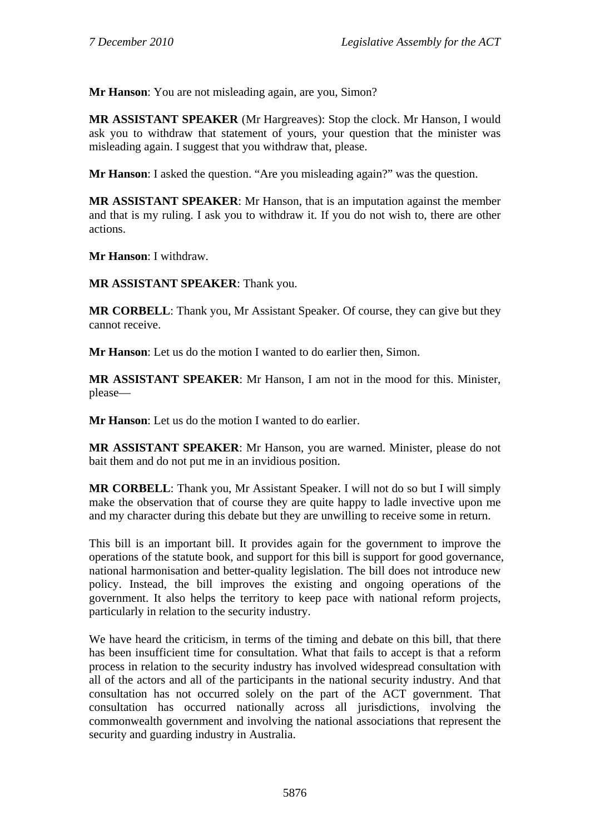**Mr Hanson**: You are not misleading again, are you, Simon?

**MR ASSISTANT SPEAKER** (Mr Hargreaves): Stop the clock. Mr Hanson, I would ask you to withdraw that statement of yours, your question that the minister was misleading again. I suggest that you withdraw that, please.

**Mr Hanson**: I asked the question. "Are you misleading again?" was the question.

**MR ASSISTANT SPEAKER**: Mr Hanson, that is an imputation against the member and that is my ruling. I ask you to withdraw it. If you do not wish to, there are other actions.

**Mr Hanson**: I withdraw.

**MR ASSISTANT SPEAKER**: Thank you.

**MR CORBELL:** Thank you, Mr Assistant Speaker. Of course, they can give but they cannot receive.

**Mr Hanson**: Let us do the motion I wanted to do earlier then, Simon.

**MR ASSISTANT SPEAKER**: Mr Hanson, I am not in the mood for this. Minister, please—

**Mr Hanson**: Let us do the motion I wanted to do earlier.

**MR ASSISTANT SPEAKER**: Mr Hanson, you are warned. Minister, please do not bait them and do not put me in an invidious position.

**MR CORBELL**: Thank you, Mr Assistant Speaker. I will not do so but I will simply make the observation that of course they are quite happy to ladle invective upon me and my character during this debate but they are unwilling to receive some in return.

This bill is an important bill. It provides again for the government to improve the operations of the statute book, and support for this bill is support for good governance, national harmonisation and better-quality legislation. The bill does not introduce new policy. Instead, the bill improves the existing and ongoing operations of the government. It also helps the territory to keep pace with national reform projects, particularly in relation to the security industry.

We have heard the criticism, in terms of the timing and debate on this bill, that there has been insufficient time for consultation. What that fails to accept is that a reform process in relation to the security industry has involved widespread consultation with all of the actors and all of the participants in the national security industry. And that consultation has not occurred solely on the part of the ACT government. That consultation has occurred nationally across all jurisdictions, involving the commonwealth government and involving the national associations that represent the security and guarding industry in Australia.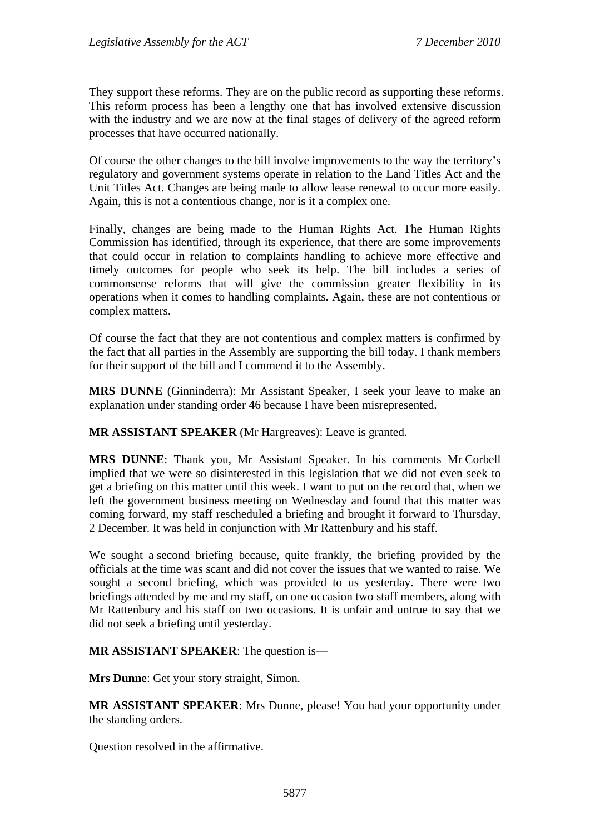They support these reforms. They are on the public record as supporting these reforms. This reform process has been a lengthy one that has involved extensive discussion with the industry and we are now at the final stages of delivery of the agreed reform processes that have occurred nationally.

Of course the other changes to the bill involve improvements to the way the territory's regulatory and government systems operate in relation to the Land Titles Act and the Unit Titles Act. Changes are being made to allow lease renewal to occur more easily. Again, this is not a contentious change, nor is it a complex one.

Finally, changes are being made to the Human Rights Act. The Human Rights Commission has identified, through its experience, that there are some improvements that could occur in relation to complaints handling to achieve more effective and timely outcomes for people who seek its help. The bill includes a series of commonsense reforms that will give the commission greater flexibility in its operations when it comes to handling complaints. Again, these are not contentious or complex matters.

Of course the fact that they are not contentious and complex matters is confirmed by the fact that all parties in the Assembly are supporting the bill today. I thank members for their support of the bill and I commend it to the Assembly.

**MRS DUNNE** (Ginninderra): Mr Assistant Speaker, I seek your leave to make an explanation under standing order 46 because I have been misrepresented.

**MR ASSISTANT SPEAKER** (Mr Hargreaves): Leave is granted.

**MRS DUNNE**: Thank you, Mr Assistant Speaker. In his comments Mr Corbell implied that we were so disinterested in this legislation that we did not even seek to get a briefing on this matter until this week. I want to put on the record that, when we left the government business meeting on Wednesday and found that this matter was coming forward, my staff rescheduled a briefing and brought it forward to Thursday, 2 December. It was held in conjunction with Mr Rattenbury and his staff.

We sought a second briefing because, quite frankly, the briefing provided by the officials at the time was scant and did not cover the issues that we wanted to raise. We sought a second briefing, which was provided to us yesterday. There were two briefings attended by me and my staff, on one occasion two staff members, along with Mr Rattenbury and his staff on two occasions. It is unfair and untrue to say that we did not seek a briefing until yesterday.

**MR ASSISTANT SPEAKER**: The question is—

**Mrs Dunne**: Get your story straight, Simon.

**MR ASSISTANT SPEAKER**: Mrs Dunne, please! You had your opportunity under the standing orders.

Question resolved in the affirmative.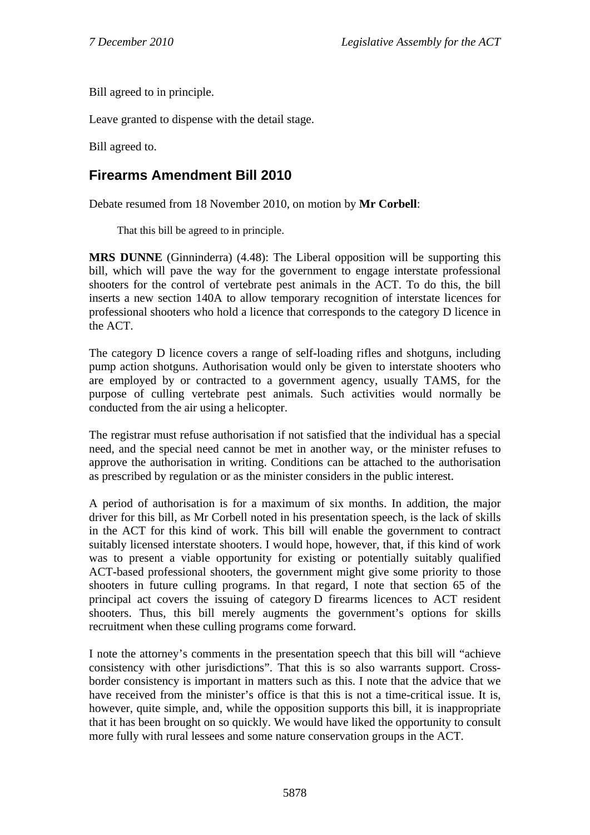Bill agreed to in principle.

Leave granted to dispense with the detail stage.

Bill agreed to.

# **Firearms Amendment Bill 2010**

Debate resumed from 18 November 2010, on motion by **Mr Corbell**:

That this bill be agreed to in principle.

**MRS DUNNE** (Ginninderra) (4.48): The Liberal opposition will be supporting this bill, which will pave the way for the government to engage interstate professional shooters for the control of vertebrate pest animals in the ACT. To do this, the bill inserts a new section 140A to allow temporary recognition of interstate licences for professional shooters who hold a licence that corresponds to the category D licence in the ACT.

The category D licence covers a range of self-loading rifles and shotguns, including pump action shotguns. Authorisation would only be given to interstate shooters who are employed by or contracted to a government agency, usually TAMS, for the purpose of culling vertebrate pest animals. Such activities would normally be conducted from the air using a helicopter.

The registrar must refuse authorisation if not satisfied that the individual has a special need, and the special need cannot be met in another way, or the minister refuses to approve the authorisation in writing. Conditions can be attached to the authorisation as prescribed by regulation or as the minister considers in the public interest.

A period of authorisation is for a maximum of six months. In addition, the major driver for this bill, as Mr Corbell noted in his presentation speech, is the lack of skills in the ACT for this kind of work. This bill will enable the government to contract suitably licensed interstate shooters. I would hope, however, that, if this kind of work was to present a viable opportunity for existing or potentially suitably qualified ACT-based professional shooters, the government might give some priority to those shooters in future culling programs. In that regard, I note that section 65 of the principal act covers the issuing of category D firearms licences to ACT resident shooters. Thus, this bill merely augments the government's options for skills recruitment when these culling programs come forward.

I note the attorney's comments in the presentation speech that this bill will "achieve consistency with other jurisdictions". That this is so also warrants support. Crossborder consistency is important in matters such as this. I note that the advice that we have received from the minister's office is that this is not a time-critical issue. It is, however, quite simple, and, while the opposition supports this bill, it is inappropriate that it has been brought on so quickly. We would have liked the opportunity to consult more fully with rural lessees and some nature conservation groups in the ACT.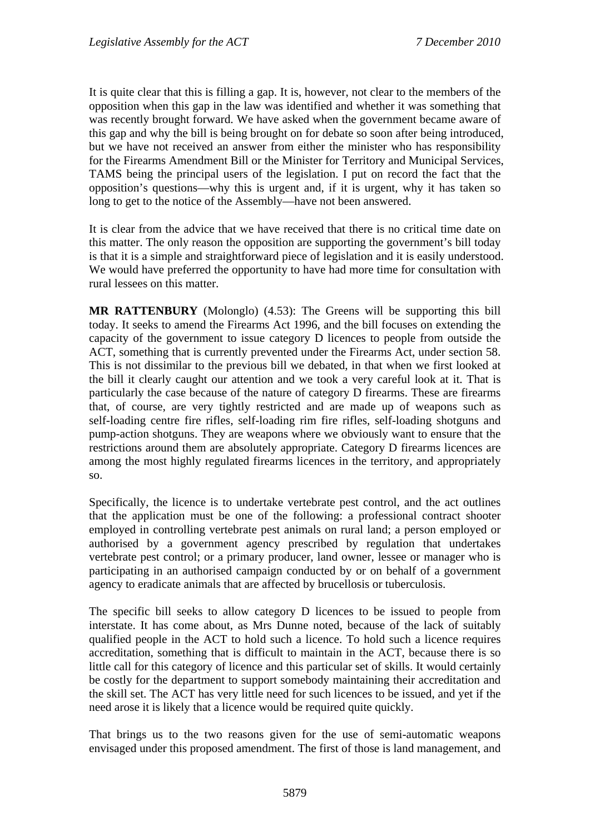It is quite clear that this is filling a gap. It is, however, not clear to the members of the opposition when this gap in the law was identified and whether it was something that was recently brought forward. We have asked when the government became aware of this gap and why the bill is being brought on for debate so soon after being introduced, but we have not received an answer from either the minister who has responsibility for the Firearms Amendment Bill or the Minister for Territory and Municipal Services, TAMS being the principal users of the legislation. I put on record the fact that the opposition's questions—why this is urgent and, if it is urgent, why it has taken so long to get to the notice of the Assembly—have not been answered.

It is clear from the advice that we have received that there is no critical time date on this matter. The only reason the opposition are supporting the government's bill today is that it is a simple and straightforward piece of legislation and it is easily understood. We would have preferred the opportunity to have had more time for consultation with rural lessees on this matter.

**MR RATTENBURY** (Molonglo) (4.53): The Greens will be supporting this bill today. It seeks to amend the Firearms Act 1996, and the bill focuses on extending the capacity of the government to issue category D licences to people from outside the ACT, something that is currently prevented under the Firearms Act, under section 58. This is not dissimilar to the previous bill we debated, in that when we first looked at the bill it clearly caught our attention and we took a very careful look at it. That is particularly the case because of the nature of category D firearms. These are firearms that, of course, are very tightly restricted and are made up of weapons such as self-loading centre fire rifles, self-loading rim fire rifles, self-loading shotguns and pump-action shotguns. They are weapons where we obviously want to ensure that the restrictions around them are absolutely appropriate. Category D firearms licences are among the most highly regulated firearms licences in the territory, and appropriately so.

Specifically, the licence is to undertake vertebrate pest control, and the act outlines that the application must be one of the following: a professional contract shooter employed in controlling vertebrate pest animals on rural land; a person employed or authorised by a government agency prescribed by regulation that undertakes vertebrate pest control; or a primary producer, land owner, lessee or manager who is participating in an authorised campaign conducted by or on behalf of a government agency to eradicate animals that are affected by brucellosis or tuberculosis.

The specific bill seeks to allow category D licences to be issued to people from interstate. It has come about, as Mrs Dunne noted, because of the lack of suitably qualified people in the ACT to hold such a licence. To hold such a licence requires accreditation, something that is difficult to maintain in the ACT, because there is so little call for this category of licence and this particular set of skills. It would certainly be costly for the department to support somebody maintaining their accreditation and the skill set. The ACT has very little need for such licences to be issued, and yet if the need arose it is likely that a licence would be required quite quickly.

That brings us to the two reasons given for the use of semi-automatic weapons envisaged under this proposed amendment. The first of those is land management, and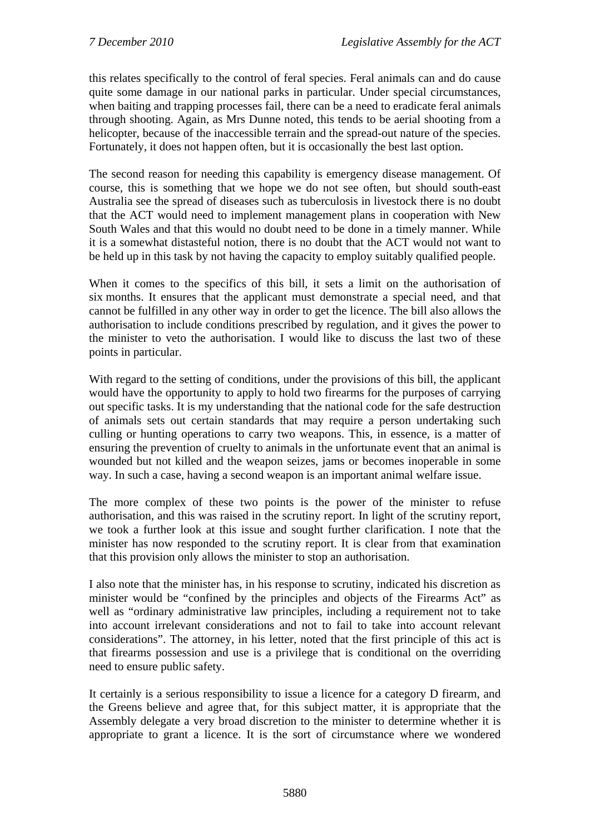this relates specifically to the control of feral species. Feral animals can and do cause quite some damage in our national parks in particular. Under special circumstances, when baiting and trapping processes fail, there can be a need to eradicate feral animals through shooting. Again, as Mrs Dunne noted, this tends to be aerial shooting from a helicopter, because of the inaccessible terrain and the spread-out nature of the species. Fortunately, it does not happen often, but it is occasionally the best last option.

The second reason for needing this capability is emergency disease management. Of course, this is something that we hope we do not see often, but should south-east Australia see the spread of diseases such as tuberculosis in livestock there is no doubt that the ACT would need to implement management plans in cooperation with New South Wales and that this would no doubt need to be done in a timely manner. While it is a somewhat distasteful notion, there is no doubt that the ACT would not want to be held up in this task by not having the capacity to employ suitably qualified people.

When it comes to the specifics of this bill, it sets a limit on the authorisation of six months. It ensures that the applicant must demonstrate a special need, and that cannot be fulfilled in any other way in order to get the licence. The bill also allows the authorisation to include conditions prescribed by regulation, and it gives the power to the minister to veto the authorisation. I would like to discuss the last two of these points in particular.

With regard to the setting of conditions, under the provisions of this bill, the applicant would have the opportunity to apply to hold two firearms for the purposes of carrying out specific tasks. It is my understanding that the national code for the safe destruction of animals sets out certain standards that may require a person undertaking such culling or hunting operations to carry two weapons. This, in essence, is a matter of ensuring the prevention of cruelty to animals in the unfortunate event that an animal is wounded but not killed and the weapon seizes, jams or becomes inoperable in some way. In such a case, having a second weapon is an important animal welfare issue.

The more complex of these two points is the power of the minister to refuse authorisation, and this was raised in the scrutiny report. In light of the scrutiny report, we took a further look at this issue and sought further clarification. I note that the minister has now responded to the scrutiny report. It is clear from that examination that this provision only allows the minister to stop an authorisation.

I also note that the minister has, in his response to scrutiny, indicated his discretion as minister would be "confined by the principles and objects of the Firearms Act" as well as "ordinary administrative law principles, including a requirement not to take into account irrelevant considerations and not to fail to take into account relevant considerations". The attorney, in his letter, noted that the first principle of this act is that firearms possession and use is a privilege that is conditional on the overriding need to ensure public safety.

It certainly is a serious responsibility to issue a licence for a category D firearm, and the Greens believe and agree that, for this subject matter, it is appropriate that the Assembly delegate a very broad discretion to the minister to determine whether it is appropriate to grant a licence. It is the sort of circumstance where we wondered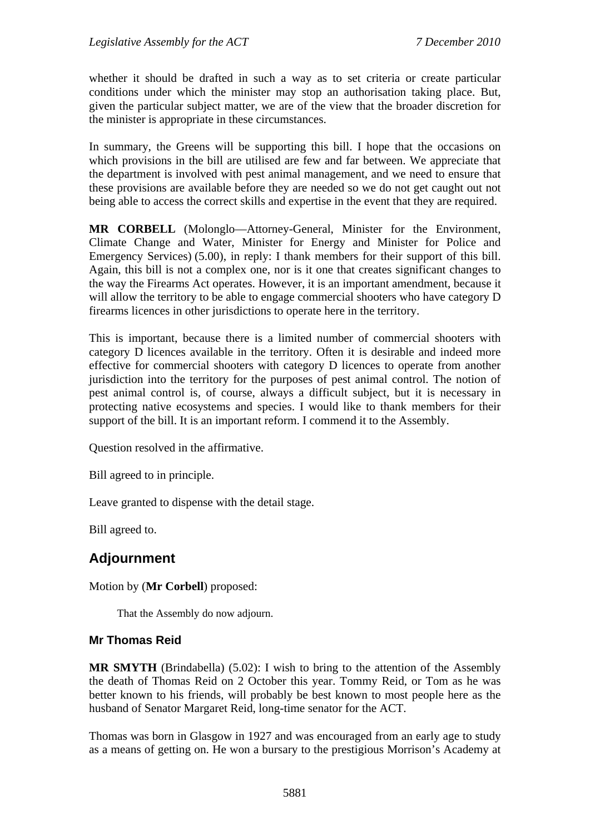whether it should be drafted in such a way as to set criteria or create particular conditions under which the minister may stop an authorisation taking place. But, given the particular subject matter, we are of the view that the broader discretion for the minister is appropriate in these circumstances.

In summary, the Greens will be supporting this bill. I hope that the occasions on which provisions in the bill are utilised are few and far between. We appreciate that the department is involved with pest animal management, and we need to ensure that these provisions are available before they are needed so we do not get caught out not being able to access the correct skills and expertise in the event that they are required.

**MR CORBELL** (Molonglo—Attorney-General, Minister for the Environment, Climate Change and Water, Minister for Energy and Minister for Police and Emergency Services) (5.00), in reply: I thank members for their support of this bill. Again, this bill is not a complex one, nor is it one that creates significant changes to the way the Firearms Act operates. However, it is an important amendment, because it will allow the territory to be able to engage commercial shooters who have category D firearms licences in other jurisdictions to operate here in the territory.

This is important, because there is a limited number of commercial shooters with category D licences available in the territory. Often it is desirable and indeed more effective for commercial shooters with category D licences to operate from another jurisdiction into the territory for the purposes of pest animal control. The notion of pest animal control is, of course, always a difficult subject, but it is necessary in protecting native ecosystems and species. I would like to thank members for their support of the bill. It is an important reform. I commend it to the Assembly.

Question resolved in the affirmative.

Bill agreed to in principle.

Leave granted to dispense with the detail stage.

Bill agreed to.

## **Adjournment**

Motion by (**Mr Corbell**) proposed:

That the Assembly do now adjourn.

#### **Mr Thomas Reid**

**MR SMYTH** (Brindabella) (5.02): I wish to bring to the attention of the Assembly the death of Thomas Reid on 2 October this year. Tommy Reid, or Tom as he was better known to his friends, will probably be best known to most people here as the husband of Senator Margaret Reid, long-time senator for the ACT.

Thomas was born in Glasgow in 1927 and was encouraged from an early age to study as a means of getting on. He won a bursary to the prestigious Morrison's Academy at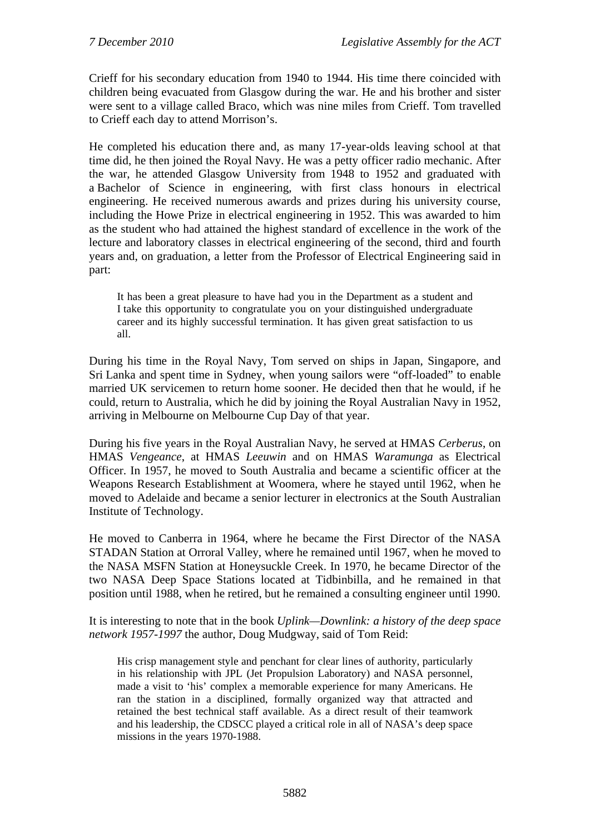Crieff for his secondary education from 1940 to 1944. His time there coincided with children being evacuated from Glasgow during the war. He and his brother and sister were sent to a village called Braco, which was nine miles from Crieff. Tom travelled to Crieff each day to attend Morrison's.

He completed his education there and, as many 17-year-olds leaving school at that time did, he then joined the Royal Navy. He was a petty officer radio mechanic. After the war, he attended Glasgow University from 1948 to 1952 and graduated with a Bachelor of Science in engineering, with first class honours in electrical engineering. He received numerous awards and prizes during his university course, including the Howe Prize in electrical engineering in 1952. This was awarded to him as the student who had attained the highest standard of excellence in the work of the lecture and laboratory classes in electrical engineering of the second, third and fourth years and, on graduation, a letter from the Professor of Electrical Engineering said in part:

It has been a great pleasure to have had you in the Department as a student and I take this opportunity to congratulate you on your distinguished undergraduate career and its highly successful termination. It has given great satisfaction to us all.

During his time in the Royal Navy, Tom served on ships in Japan, Singapore, and Sri Lanka and spent time in Sydney, when young sailors were "off-loaded" to enable married UK servicemen to return home sooner. He decided then that he would, if he could, return to Australia, which he did by joining the Royal Australian Navy in 1952, arriving in Melbourne on Melbourne Cup Day of that year.

During his five years in the Royal Australian Navy, he served at HMAS *Cerberus*, on HMAS *Vengeance*, at HMAS *Leeuwin* and on HMAS *Waramunga* as Electrical Officer. In 1957, he moved to South Australia and became a scientific officer at the Weapons Research Establishment at Woomera, where he stayed until 1962, when he moved to Adelaide and became a senior lecturer in electronics at the South Australian Institute of Technology.

He moved to Canberra in 1964, where he became the First Director of the NASA STADAN Station at Orroral Valley, where he remained until 1967, when he moved to the NASA MSFN Station at Honeysuckle Creek. In 1970, he became Director of the two NASA Deep Space Stations located at Tidbinbilla, and he remained in that position until 1988, when he retired, but he remained a consulting engineer until 1990.

It is interesting to note that in the book *Uplink—Downlink: a history of the deep space network 1957-1997* the author, Doug Mudgway, said of Tom Reid:

His crisp management style and penchant for clear lines of authority, particularly in his relationship with JPL (Jet Propulsion Laboratory) and NASA personnel, made a visit to 'his' complex a memorable experience for many Americans. He ran the station in a disciplined, formally organized way that attracted and retained the best technical staff available. As a direct result of their teamwork and his leadership, the CDSCC played a critical role in all of NASA's deep space missions in the years 1970-1988.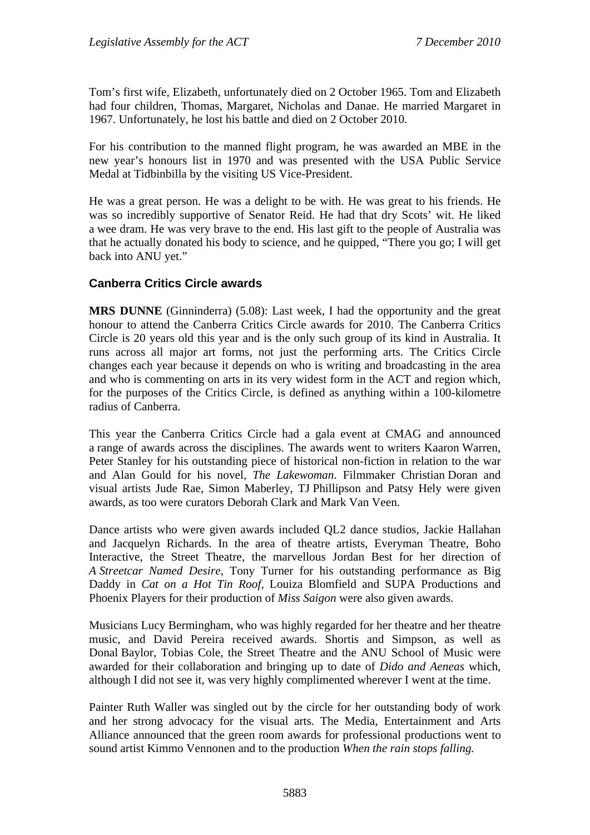Tom's first wife, Elizabeth, unfortunately died on 2 October 1965. Tom and Elizabeth had four children, Thomas, Margaret, Nicholas and Danae. He married Margaret in 1967. Unfortunately, he lost his battle and died on 2 October 2010.

For his contribution to the manned flight program, he was awarded an MBE in the new year's honours list in 1970 and was presented with the USA Public Service Medal at Tidbinbilla by the visiting US Vice-President.

He was a great person. He was a delight to be with. He was great to his friends. He was so incredibly supportive of Senator Reid. He had that dry Scots' wit. He liked a wee dram. He was very brave to the end. His last gift to the people of Australia was that he actually donated his body to science, and he quipped, "There you go; I will get back into ANU yet."

### **Canberra Critics Circle awards**

**MRS DUNNE** (Ginninderra) (5.08): Last week, I had the opportunity and the great honour to attend the Canberra Critics Circle awards for 2010. The Canberra Critics Circle is 20 years old this year and is the only such group of its kind in Australia. It runs across all major art forms, not just the performing arts. The Critics Circle changes each year because it depends on who is writing and broadcasting in the area and who is commenting on arts in its very widest form in the ACT and region which, for the purposes of the Critics Circle, is defined as anything within a 100-kilometre radius of Canberra.

This year the Canberra Critics Circle had a gala event at CMAG and announced a range of awards across the disciplines. The awards went to writers Kaaron Warren, Peter Stanley for his outstanding piece of historical non-fiction in relation to the war and Alan Gould for his novel, *The Lakewoman*. Filmmaker Christian Doran and visual artists Jude Rae, Simon Maberley, TJ Phillipson and Patsy Hely were given awards, as too were curators Deborah Clark and Mark Van Veen.

Dance artists who were given awards included QL2 dance studios, Jackie Hallahan and Jacquelyn Richards. In the area of theatre artists, Everyman Theatre, Boho Interactive, the Street Theatre, the marvellous Jordan Best for her direction of *A Streetcar Named Desire*, Tony Turner for his outstanding performance as Big Daddy in *Cat on a Hot Tin Roof,* Louiza Blomfield and SUPA Productions and Phoenix Players for their production of *Miss Saigon* were also given awards.

Musicians Lucy Bermingham, who was highly regarded for her theatre and her theatre music, and David Pereira received awards. Shortis and Simpson, as well as Donal Baylor, Tobias Cole, the Street Theatre and the ANU School of Music were awarded for their collaboration and bringing up to date of *Dido and Aeneas* which, although I did not see it, was very highly complimented wherever I went at the time.

Painter Ruth Waller was singled out by the circle for her outstanding body of work and her strong advocacy for the visual arts. The Media, Entertainment and Arts Alliance announced that the green room awards for professional productions went to sound artist Kimmo Vennonen and to the production *When the rain stops falling.*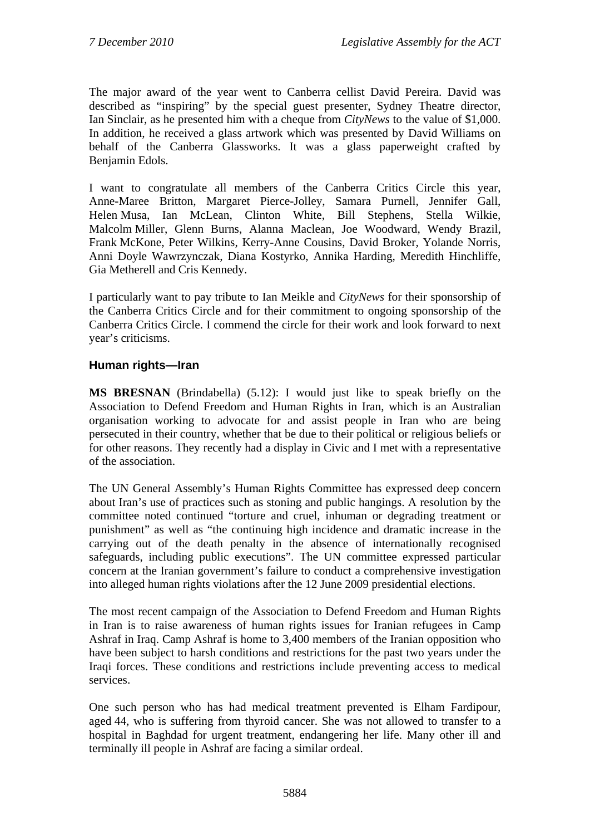The major award of the year went to Canberra cellist David Pereira. David was described as "inspiring" by the special guest presenter, Sydney Theatre director, Ian Sinclair, as he presented him with a cheque from *CityNews* to the value of \$1,000. In addition, he received a glass artwork which was presented by David Williams on behalf of the Canberra Glassworks. It was a glass paperweight crafted by Benjamin Edols.

I want to congratulate all members of the Canberra Critics Circle this year, Anne-Maree Britton, Margaret Pierce-Jolley, Samara Purnell, Jennifer Gall, Helen Musa, Ian McLean, Clinton White, Bill Stephens, Stella Wilkie, Malcolm Miller, Glenn Burns, Alanna Maclean, Joe Woodward, Wendy Brazil, Frank McKone, Peter Wilkins, Kerry-Anne Cousins, David Broker, Yolande Norris, Anni Doyle Wawrzynczak, Diana Kostyrko, Annika Harding, Meredith Hinchliffe, Gia Metherell and Cris Kennedy.

I particularly want to pay tribute to Ian Meikle and *CityNews* for their sponsorship of the Canberra Critics Circle and for their commitment to ongoing sponsorship of the Canberra Critics Circle. I commend the circle for their work and look forward to next year's criticisms.

### **Human rights—Iran**

**MS BRESNAN** (Brindabella) (5.12): I would just like to speak briefly on the Association to Defend Freedom and Human Rights in Iran, which is an Australian organisation working to advocate for and assist people in Iran who are being persecuted in their country, whether that be due to their political or religious beliefs or for other reasons. They recently had a display in Civic and I met with a representative of the association.

The UN General Assembly's Human Rights Committee has expressed deep concern about Iran's use of practices such as stoning and public hangings. A resolution by the committee noted continued "torture and cruel, inhuman or degrading treatment or punishment" as well as "the continuing high incidence and dramatic increase in the carrying out of the death penalty in the absence of internationally recognised safeguards, including public executions". The UN committee expressed particular concern at the Iranian government's failure to conduct a comprehensive investigation into alleged human rights violations after the 12 June 2009 presidential elections.

The most recent campaign of the Association to Defend Freedom and Human Rights in Iran is to raise awareness of human rights issues for Iranian refugees in Camp Ashraf in Iraq. Camp Ashraf is home to 3,400 members of the Iranian opposition who have been subject to harsh conditions and restrictions for the past two years under the Iraqi forces. These conditions and restrictions include preventing access to medical services.

One such person who has had medical treatment prevented is Elham Fardipour, aged 44, who is suffering from thyroid cancer. She was not allowed to transfer to a hospital in Baghdad for urgent treatment, endangering her life. Many other ill and terminally ill people in Ashraf are facing a similar ordeal.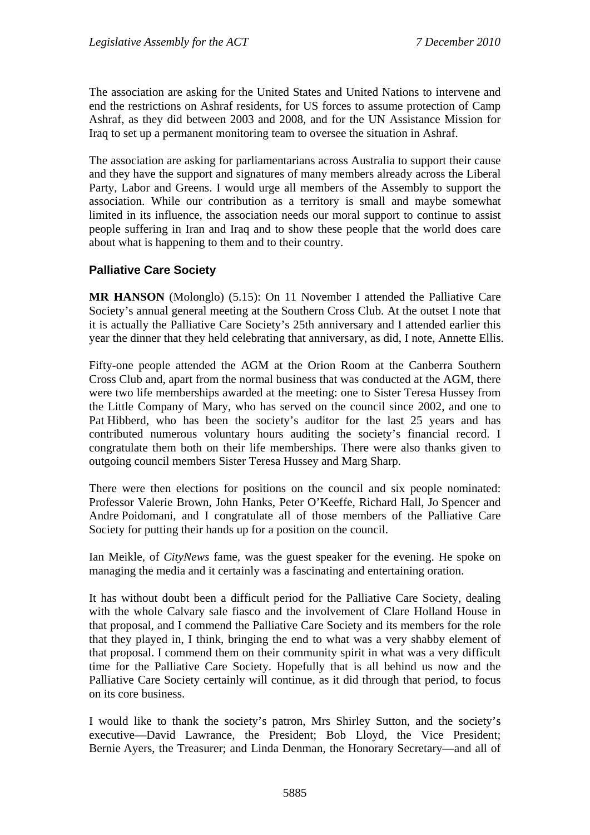The association are asking for the United States and United Nations to intervene and end the restrictions on Ashraf residents, for US forces to assume protection of Camp Ashraf, as they did between 2003 and 2008, and for the UN Assistance Mission for Iraq to set up a permanent monitoring team to oversee the situation in Ashraf.

The association are asking for parliamentarians across Australia to support their cause and they have the support and signatures of many members already across the Liberal Party, Labor and Greens. I would urge all members of the Assembly to support the association. While our contribution as a territory is small and maybe somewhat limited in its influence, the association needs our moral support to continue to assist people suffering in Iran and Iraq and to show these people that the world does care about what is happening to them and to their country.

### **Palliative Care Society**

**MR HANSON** (Molonglo) (5.15): On 11 November I attended the Palliative Care Society's annual general meeting at the Southern Cross Club. At the outset I note that it is actually the Palliative Care Society's 25th anniversary and I attended earlier this year the dinner that they held celebrating that anniversary, as did, I note, Annette Ellis.

Fifty-one people attended the AGM at the Orion Room at the Canberra Southern Cross Club and, apart from the normal business that was conducted at the AGM, there were two life memberships awarded at the meeting: one to Sister Teresa Hussey from the Little Company of Mary, who has served on the council since 2002, and one to Pat Hibberd, who has been the society's auditor for the last 25 years and has contributed numerous voluntary hours auditing the society's financial record. I congratulate them both on their life memberships. There were also thanks given to outgoing council members Sister Teresa Hussey and Marg Sharp.

There were then elections for positions on the council and six people nominated: Professor Valerie Brown, John Hanks, Peter O'Keeffe, Richard Hall, Jo Spencer and Andre Poidomani, and I congratulate all of those members of the Palliative Care Society for putting their hands up for a position on the council.

Ian Meikle, of *CityNews* fame, was the guest speaker for the evening. He spoke on managing the media and it certainly was a fascinating and entertaining oration.

It has without doubt been a difficult period for the Palliative Care Society, dealing with the whole Calvary sale fiasco and the involvement of Clare Holland House in that proposal, and I commend the Palliative Care Society and its members for the role that they played in, I think, bringing the end to what was a very shabby element of that proposal. I commend them on their community spirit in what was a very difficult time for the Palliative Care Society. Hopefully that is all behind us now and the Palliative Care Society certainly will continue, as it did through that period, to focus on its core business.

I would like to thank the society's patron, Mrs Shirley Sutton, and the society's executive—David Lawrance, the President; Bob Lloyd, the Vice President; Bernie Ayers, the Treasurer; and Linda Denman, the Honorary Secretary—and all of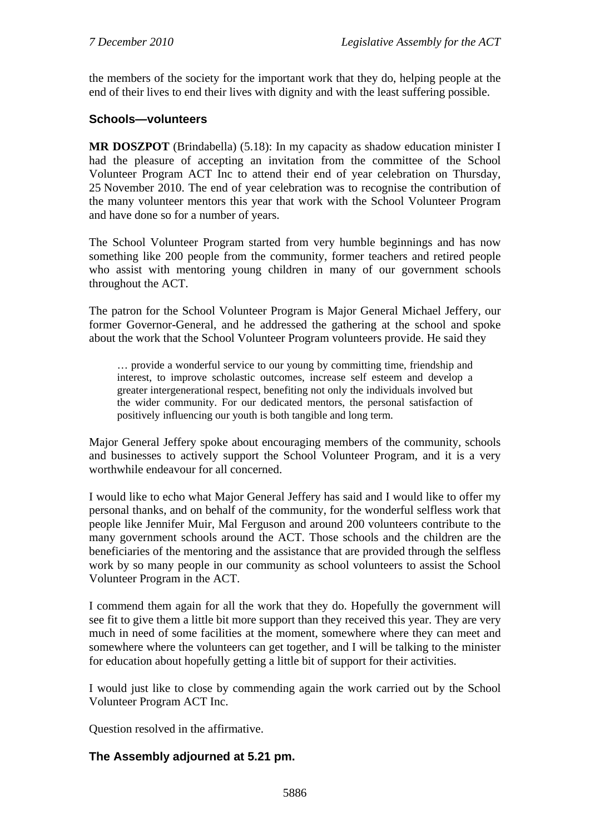the members of the society for the important work that they do, helping people at the end of their lives to end their lives with dignity and with the least suffering possible.

#### **Schools—volunteers**

**MR DOSZPOT** (Brindabella) (5.18): In my capacity as shadow education minister I had the pleasure of accepting an invitation from the committee of the School Volunteer Program ACT Inc to attend their end of year celebration on Thursday, 25 November 2010. The end of year celebration was to recognise the contribution of the many volunteer mentors this year that work with the School Volunteer Program and have done so for a number of years.

The School Volunteer Program started from very humble beginnings and has now something like 200 people from the community, former teachers and retired people who assist with mentoring young children in many of our government schools throughout the ACT.

The patron for the School Volunteer Program is Major General Michael Jeffery, our former Governor-General, and he addressed the gathering at the school and spoke about the work that the School Volunteer Program volunteers provide. He said they

… provide a wonderful service to our young by committing time, friendship and interest, to improve scholastic outcomes, increase self esteem and develop a greater intergenerational respect, benefiting not only the individuals involved but the wider community. For our dedicated mentors, the personal satisfaction of positively influencing our youth is both tangible and long term.

Major General Jeffery spoke about encouraging members of the community, schools and businesses to actively support the School Volunteer Program, and it is a very worthwhile endeavour for all concerned.

I would like to echo what Major General Jeffery has said and I would like to offer my personal thanks, and on behalf of the community, for the wonderful selfless work that people like Jennifer Muir, Mal Ferguson and around 200 volunteers contribute to the many government schools around the ACT. Those schools and the children are the beneficiaries of the mentoring and the assistance that are provided through the selfless work by so many people in our community as school volunteers to assist the School Volunteer Program in the ACT.

I commend them again for all the work that they do. Hopefully the government will see fit to give them a little bit more support than they received this year. They are very much in need of some facilities at the moment, somewhere where they can meet and somewhere where the volunteers can get together, and I will be talking to the minister for education about hopefully getting a little bit of support for their activities.

I would just like to close by commending again the work carried out by the School Volunteer Program ACT Inc.

Question resolved in the affirmative.

### **The Assembly adjourned at 5.21 pm.**